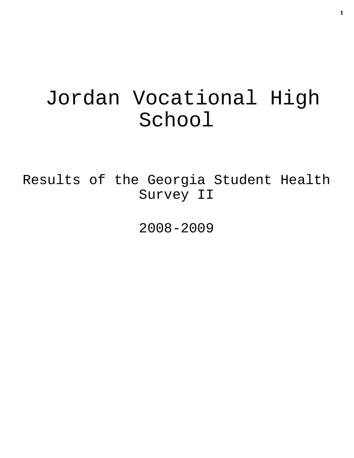# Jordan Vocational High School

Results of the Georgia Student Health Survey II

2008-2009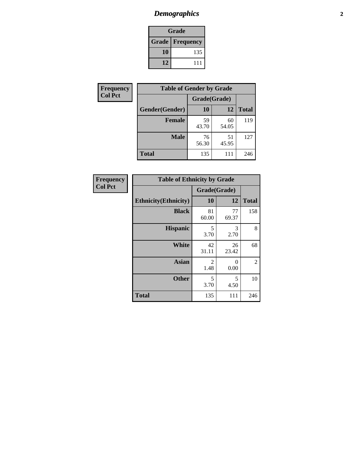# *Demographics* **2**

| Grade                  |     |  |  |
|------------------------|-----|--|--|
| <b>Grade Frequency</b> |     |  |  |
| 10                     | 135 |  |  |
| 12                     | 111 |  |  |

| Frequency      | <b>Table of Gender by Grade</b> |              |             |              |  |
|----------------|---------------------------------|--------------|-------------|--------------|--|
| <b>Col Pct</b> |                                 | Grade(Grade) |             |              |  |
|                | Gender(Gender)                  | 10           | 12          | <b>Total</b> |  |
|                | <b>Female</b>                   | 59<br>43.70  | 60<br>54.05 | 119          |  |
|                | <b>Male</b>                     | 76<br>56.30  | 51<br>45.95 | 127          |  |
|                | <b>Total</b>                    | 135          | 111         | 246          |  |

| <b>Frequency</b><br>Col Pct |
|-----------------------------|

|                              | <b>Table of Ethnicity by Grade</b> |                  |              |  |  |  |
|------------------------------|------------------------------------|------------------|--------------|--|--|--|
|                              |                                    | Grade(Grade)     |              |  |  |  |
| <b>Ethnicity</b> (Ethnicity) | 10                                 | 12               | <b>Total</b> |  |  |  |
| <b>Black</b>                 | 81<br>60.00                        | 77<br>69.37      | 158          |  |  |  |
| <b>Hispanic</b>              | 5<br>3.70                          | 3<br>2.70        | 8            |  |  |  |
| White                        | 42<br>31.11                        | 26<br>23.42      | 68           |  |  |  |
| <b>Asian</b>                 | 2<br>1.48                          | $\Omega$<br>0.00 | 2            |  |  |  |
| <b>Other</b>                 | 5<br>3.70                          | 5<br>4.50        | 10           |  |  |  |
| <b>Total</b>                 | 135                                | 111              | 246          |  |  |  |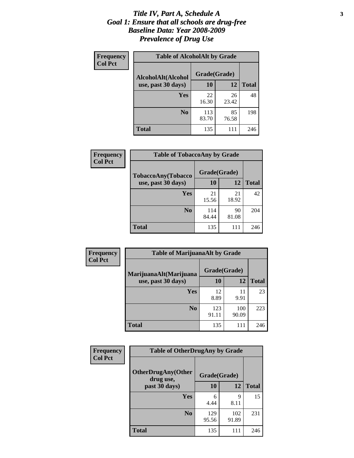#### *Title IV, Part A, Schedule A* **3** *Goal 1: Ensure that all schools are drug-free Baseline Data: Year 2008-2009 Prevalence of Drug Use*

| Frequency<br><b>Col Pct</b> | <b>Table of AlcoholAlt by Grade</b> |              |             |              |  |
|-----------------------------|-------------------------------------|--------------|-------------|--------------|--|
|                             | AlcoholAlt(Alcohol                  | Grade(Grade) |             |              |  |
|                             | use, past 30 days)                  | <b>10</b>    | 12          | <b>Total</b> |  |
|                             | Yes                                 | 22<br>16.30  | 26<br>23.42 | 48           |  |
|                             | N <sub>0</sub>                      | 113<br>83.70 | 85<br>76.58 | 198          |  |
|                             | Total                               | 135          | 111         | 246          |  |

| <b>Frequency</b> | <b>Table of TobaccoAny by Grade</b> |              |             |              |
|------------------|-------------------------------------|--------------|-------------|--------------|
| <b>Col Pct</b>   | TobaccoAny(Tobacco                  | Grade(Grade) |             |              |
|                  | use, past 30 days)                  | 10           | 12          | <b>Total</b> |
|                  | Yes                                 | 21<br>15.56  | 21<br>18.92 | 42           |
|                  | N <sub>0</sub>                      | 114<br>84.44 | 90<br>81.08 | 204          |
|                  | <b>Total</b>                        | 135          | 111         | 246          |

| Frequency<br><b>Col Pct</b> | <b>Table of MarijuanaAlt by Grade</b> |              |              |              |  |
|-----------------------------|---------------------------------------|--------------|--------------|--------------|--|
|                             | MarijuanaAlt(Marijuana                | Grade(Grade) |              |              |  |
|                             | use, past 30 days)                    | <b>10</b>    | 12           | <b>Total</b> |  |
|                             | <b>Yes</b>                            | 12<br>8.89   | 11<br>9.91   | 23           |  |
|                             | N <sub>0</sub>                        | 123<br>91.11 | 100<br>90.09 | 223          |  |
|                             | <b>Total</b>                          | 135          | 111          | 246          |  |

| Frequency      | <b>Table of OtherDrugAny by Grade</b>  |              |              |              |
|----------------|----------------------------------------|--------------|--------------|--------------|
| <b>Col Pct</b> | <b>OtherDrugAny(Other</b><br>drug use, | Grade(Grade) |              |              |
|                | past 30 days)                          | 10           | 12           | <b>Total</b> |
|                | Yes                                    | 6<br>4.44    | 9<br>8.11    | 15           |
|                | N <sub>0</sub>                         | 129<br>95.56 | 102<br>91.89 | 231          |
|                | <b>Total</b>                           | 135          | 111          | 246          |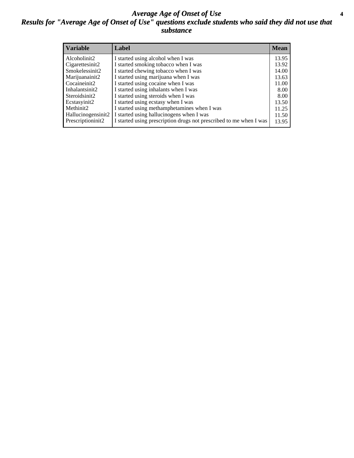#### *Average Age of Onset of Use* **4** *Results for "Average Age of Onset of Use" questions exclude students who said they did not use that substance*

| <b>Variable</b>    | Label                                                              | <b>Mean</b> |
|--------------------|--------------------------------------------------------------------|-------------|
| Alcoholinit2       | I started using alcohol when I was                                 | 13.95       |
| Cigarettesinit2    | I started smoking tobacco when I was                               | 13.92       |
| Smokelessinit2     | I started chewing tobacco when I was                               | 14.00       |
| Marijuanainit2     | I started using marijuana when I was                               | 13.63       |
| Cocaineinit2       | I started using cocaine when I was                                 | 11.00       |
| Inhalantsinit2     | I started using inhalants when I was                               | 8.00        |
| Steroidsinit2      | I started using steroids when I was                                | 8.00        |
| Ecstasyinit2       | I started using ecstasy when I was                                 | 13.50       |
| Methinit2          | I started using methamphetamines when I was                        | 11.25       |
| Hallucinogensinit2 | I started using hallucinogens when I was                           | 11.50       |
| Prescriptioninit2  | I started using prescription drugs not prescribed to me when I was | 13.95       |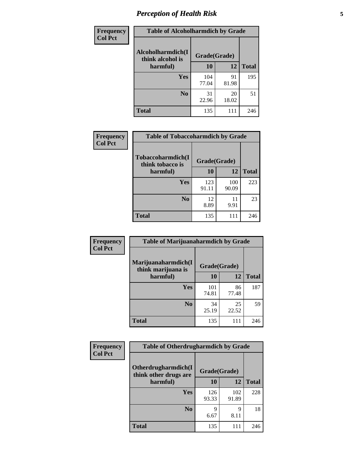# *Perception of Health Risk* **5**

| Frequency      | <b>Table of Alcoholharmdich by Grade</b> |              |             |              |
|----------------|------------------------------------------|--------------|-------------|--------------|
| <b>Col Pct</b> | Alcoholharmdich(I<br>think alcohol is    | Grade(Grade) |             |              |
|                | harmful)                                 | 10           | 12          | <b>Total</b> |
|                | <b>Yes</b>                               | 104<br>77.04 | 91<br>81.98 | 195          |
|                | N <sub>0</sub>                           | 31<br>22.96  | 20<br>18.02 | 51           |
|                | <b>Total</b>                             | 135          | 111         | 246          |

| Frequency      | <b>Table of Tobaccoharmdich by Grade</b> |              |              |              |
|----------------|------------------------------------------|--------------|--------------|--------------|
| <b>Col Pct</b> | Tobaccoharmdich(I<br>think tobacco is    | Grade(Grade) |              |              |
|                | harmful)                                 | 10           | 12           | <b>Total</b> |
|                | Yes                                      | 123<br>91.11 | 100<br>90.09 | 223          |
|                | N <sub>0</sub>                           | 12<br>8.89   | 11<br>9.91   | 23           |
|                | <b>Total</b>                             | 135          | 111          | 246          |

| <b>Frequency</b> | <b>Table of Marijuanaharmdich by Grade</b> |              |             |              |  |
|------------------|--------------------------------------------|--------------|-------------|--------------|--|
| <b>Col Pct</b>   | Marijuanaharmdich(I<br>think marijuana is  | Grade(Grade) |             |              |  |
|                  | harmful)                                   | 10           | 12          | <b>Total</b> |  |
|                  | Yes                                        | 101<br>74.81 | 86<br>77.48 | 187          |  |
|                  | N <sub>0</sub>                             | 34<br>25.19  | 25<br>22.52 | 59           |  |
|                  | <b>Total</b>                               | 135          | 111         | 246          |  |

| Frequency      | <b>Table of Otherdrugharmdich by Grade</b>                   |              |              |              |  |  |
|----------------|--------------------------------------------------------------|--------------|--------------|--------------|--|--|
| <b>Col Pct</b> | Otherdrugharmdich(I<br>Grade(Grade)<br>think other drugs are |              |              |              |  |  |
|                | harmful)                                                     | 10           | 12           | <b>Total</b> |  |  |
|                | Yes                                                          | 126<br>93.33 | 102<br>91.89 | 228          |  |  |
|                | N <sub>0</sub>                                               | 9<br>6.67    | 9<br>8.11    | 18           |  |  |
|                | <b>Total</b>                                                 | 135          | 111          | 246          |  |  |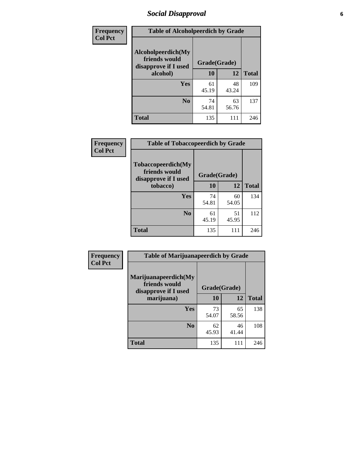# *Social Disapproval* **6**

| Frequency      | <b>Table of Alcoholpeerdich by Grade</b>                    |              |             |              |
|----------------|-------------------------------------------------------------|--------------|-------------|--------------|
| <b>Col Pct</b> | Alcoholpeerdich(My<br>friends would<br>disapprove if I used | Grade(Grade) |             |              |
|                | alcohol)                                                    | 10           | 12          | <b>Total</b> |
|                | <b>Yes</b>                                                  | 61<br>45.19  | 48<br>43.24 | 109          |
|                | N <sub>0</sub>                                              | 74<br>54.81  | 63<br>56.76 | 137          |
|                | <b>Total</b>                                                | 135          | 111         | 246          |

| <b>Frequency</b> |
|------------------|
| <b>Col Pct</b>   |

| <b>Table of Tobaccopeerdich by Grade</b>                    |              |             |              |  |  |
|-------------------------------------------------------------|--------------|-------------|--------------|--|--|
| Tobaccopeerdich(My<br>friends would<br>disapprove if I used | Grade(Grade) |             |              |  |  |
| tobacco)                                                    | 10           | 12          | <b>Total</b> |  |  |
| Yes                                                         | 74<br>54.81  | 60<br>54.05 | 134          |  |  |
| N <sub>0</sub>                                              | 61<br>45.19  | 51<br>45.95 | 112          |  |  |
| <b>Total</b>                                                | 135          | 111         | 246          |  |  |

| <b>Frequency</b> | <b>Table of Marijuanapeerdich by Grade</b>                    |              |             |              |  |
|------------------|---------------------------------------------------------------|--------------|-------------|--------------|--|
| <b>Col Pct</b>   | Marijuanapeerdich(My<br>friends would<br>disapprove if I used | Grade(Grade) |             |              |  |
|                  | marijuana)                                                    | 10           | 12          | <b>Total</b> |  |
|                  | <b>Yes</b>                                                    | 73<br>54.07  | 65<br>58.56 | 138          |  |
|                  | N <sub>0</sub>                                                | 62<br>45.93  | 46<br>41.44 | 108          |  |
|                  | <b>Total</b>                                                  | 135          | 111         | 246          |  |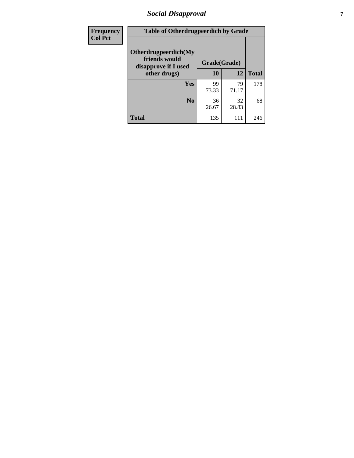# *Social Disapproval* **7**

| Frequency      | <b>Table of Otherdrugpeerdich by Grade</b>                    |              |             |              |  |  |
|----------------|---------------------------------------------------------------|--------------|-------------|--------------|--|--|
| <b>Col Pct</b> | Otherdrugpeerdich(My<br>friends would<br>disapprove if I used | Grade(Grade) |             |              |  |  |
|                | other drugs)                                                  | 10           | 12          | <b>Total</b> |  |  |
|                | Yes                                                           | 99<br>73.33  | 79<br>71.17 | 178          |  |  |
|                | N <sub>0</sub>                                                | 36<br>26.67  | 32<br>28.83 | 68           |  |  |
|                | <b>Total</b>                                                  | 135          | 111         | 246          |  |  |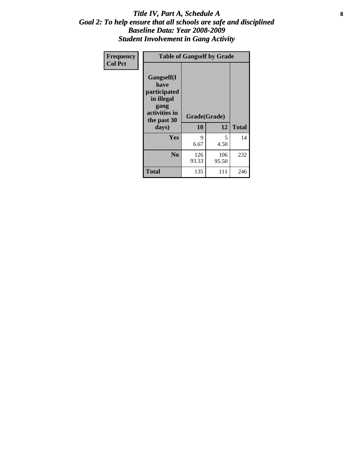### Title IV, Part A, Schedule A **8** *Goal 2: To help ensure that all schools are safe and disciplined Baseline Data: Year 2008-2009 Student Involvement in Gang Activity*

| Frequency      | <b>Table of Gangself by Grade</b>                                                                 |                    |              |              |
|----------------|---------------------------------------------------------------------------------------------------|--------------------|--------------|--------------|
| <b>Col Pct</b> | Gangself(I<br>have<br>participated<br>in illegal<br>gang<br>activities in<br>the past 30<br>days) | Grade(Grade)<br>10 | 12           | <b>Total</b> |
|                | Yes                                                                                               | 9<br>6.67          | 5<br>4.50    | 14           |
|                | N <sub>0</sub>                                                                                    | 126<br>93.33       | 106<br>95.50 | 232          |
|                | <b>Total</b>                                                                                      | 135                | 111          | 246          |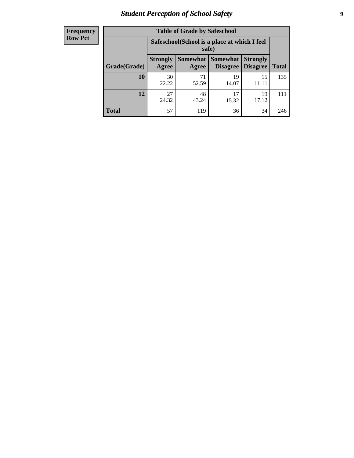# *Student Perception of School Safety* **9**

| <b>Frequency</b><br>Row Pct |
|-----------------------------|
|                             |

| <b>Table of Grade by Safeschool</b> |                          |                                                        |                             |                                    |              |  |
|-------------------------------------|--------------------------|--------------------------------------------------------|-----------------------------|------------------------------------|--------------|--|
|                                     |                          | Safeschool (School is a place at which I feel<br>safe) |                             |                                    |              |  |
| Grade(Grade)                        | <b>Strongly</b><br>Agree | Somewhat  <br>Agree                                    | <b>Somewhat</b><br>Disagree | <b>Strongly</b><br><b>Disagree</b> | <b>Total</b> |  |
| 10                                  | 30<br>22.22              | 71<br>52.59                                            | 19<br>14.07                 | 15<br>11.11                        | 135          |  |
| 12                                  | 27<br>24.32              | 48<br>43.24                                            | 17<br>15.32                 | 19<br>17.12                        | 111          |  |
| <b>Total</b>                        | 57                       | 119                                                    | 36                          | 34                                 | 246          |  |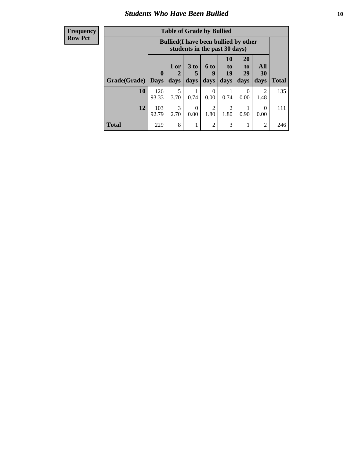### *Students Who Have Been Bullied* **10**

#### **Frequency Row Pct**

| <b>Table of Grade by Bullied</b> |                            |                                                                               |                     |                   |                        |                        |                          |              |
|----------------------------------|----------------------------|-------------------------------------------------------------------------------|---------------------|-------------------|------------------------|------------------------|--------------------------|--------------|
|                                  |                            | <b>Bullied</b> (I have been bullied by other<br>students in the past 30 days) |                     |                   |                        |                        |                          |              |
| Grade(Grade)                     | $\mathbf 0$<br><b>Days</b> | 1 or<br>days                                                                  | $3$ to<br>5<br>days | 6 to<br>9<br>days | 10<br>to<br>19<br>days | 20<br>to<br>29<br>days | All<br>30<br>days        | <b>Total</b> |
| 10                               | 126<br>93.33               | 5<br>3.70                                                                     | 0.74                | $\theta$<br>0.00  | 0.74                   | 0<br>0.00              | $\overline{c}$<br>1.48   | 135          |
| 12                               | 103<br>92.79               | 3<br>2.70                                                                     | 0<br>0.00           | 2<br>1.80         | 2<br>1.80              | 0.90                   | $\left( \right)$<br>0.00 | 111          |
| <b>Total</b>                     | 229                        | 8                                                                             | 1                   | $\overline{c}$    | 3                      | 1                      | $\overline{c}$           | 246          |

 $\blacksquare$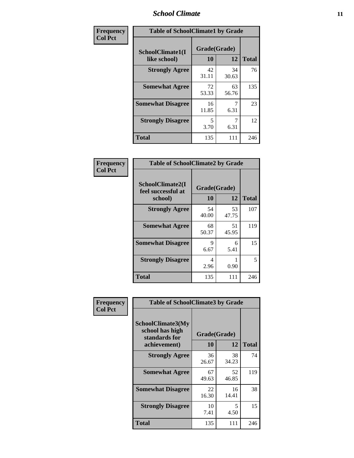### *School Climate* **11**

| Frequency      | <b>Table of SchoolClimate1 by Grade</b> |                    |             |              |  |  |
|----------------|-----------------------------------------|--------------------|-------------|--------------|--|--|
| <b>Col Pct</b> | SchoolClimate1(I<br>like school)        | Grade(Grade)<br>10 | 12          | <b>Total</b> |  |  |
|                | <b>Strongly Agree</b>                   | 42<br>31.11        | 34<br>30.63 | 76           |  |  |
|                | <b>Somewhat Agree</b>                   | 72<br>53.33        | 63<br>56.76 | 135          |  |  |
|                | <b>Somewhat Disagree</b>                | 16<br>11.85        | 6.31        | 23           |  |  |
|                | <b>Strongly Disagree</b>                | 5<br>3.70          | 6.31        | 12           |  |  |
|                | <b>Total</b>                            | 135                | 111         | 246          |  |  |

| Frequency      | <b>Table of SchoolClimate2 by Grade</b>           |                    |             |              |  |  |
|----------------|---------------------------------------------------|--------------------|-------------|--------------|--|--|
| <b>Col Pct</b> | SchoolClimate2(I<br>feel successful at<br>school) | Grade(Grade)<br>10 | 12          | <b>Total</b> |  |  |
|                | <b>Strongly Agree</b>                             | 54<br>40.00        | 53<br>47.75 | 107          |  |  |
|                | <b>Somewhat Agree</b>                             | 68<br>50.37        | 51<br>45.95 | 119          |  |  |
|                | <b>Somewhat Disagree</b>                          | 9<br>6.67          | 6<br>5.41   | 15           |  |  |
|                | <b>Strongly Disagree</b>                          | 4<br>2.96          | 0.90        | 5            |  |  |
|                | <b>Total</b>                                      | 135                | 111         | 246          |  |  |

| Frequency      | <b>Table of SchoolClimate3 by Grade</b>                      |              |             |              |  |
|----------------|--------------------------------------------------------------|--------------|-------------|--------------|--|
| <b>Col Pct</b> | <b>SchoolClimate3(My</b><br>school has high<br>standards for | Grade(Grade) |             |              |  |
|                | achievement)                                                 | <b>10</b>    | 12          | <b>Total</b> |  |
|                | <b>Strongly Agree</b>                                        | 36<br>26.67  | 38<br>34.23 | 74           |  |
|                | <b>Somewhat Agree</b>                                        | 67<br>49.63  | 52<br>46.85 | 119          |  |
|                | <b>Somewhat Disagree</b>                                     | 22<br>16.30  | 16<br>14.41 | 38           |  |
|                | <b>Strongly Disagree</b>                                     | 10<br>7.41   | 5<br>4.50   | 15           |  |
|                | Total                                                        | 135          | 111         | 246          |  |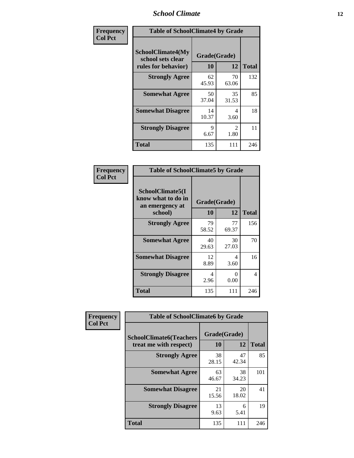### *School Climate* **12**

| Frequency      | <b>Table of SchoolClimate4 by Grade</b>                              |                    |                       |              |
|----------------|----------------------------------------------------------------------|--------------------|-----------------------|--------------|
| <b>Col Pct</b> | <b>SchoolClimate4(My</b><br>school sets clear<br>rules for behavior) | Grade(Grade)<br>10 | 12                    | <b>Total</b> |
|                | <b>Strongly Agree</b>                                                | 62<br>45.93        | 70<br>63.06           | 132          |
|                | <b>Somewhat Agree</b>                                                | 50<br>37.04        | 35<br>31.53           | 85           |
|                | <b>Somewhat Disagree</b>                                             | 14<br>10.37        | 4<br>3.60             | 18           |
|                | <b>Strongly Disagree</b>                                             | 9<br>6.67          | $\mathcal{L}$<br>1.80 | 11           |
|                | <b>Total</b>                                                         | 135                | 111                   | 246          |

| <b>Table of SchoolClimate5 by Grade</b>                   |              |             |              |  |
|-----------------------------------------------------------|--------------|-------------|--------------|--|
| SchoolClimate5(I<br>know what to do in<br>an emergency at | Grade(Grade) |             |              |  |
| school)                                                   | 10           | 12          | <b>Total</b> |  |
| <b>Strongly Agree</b>                                     | 79<br>58.52  | 77<br>69.37 | 156          |  |
| <b>Somewhat Agree</b>                                     | 40<br>29.63  | 30<br>27.03 | 70           |  |
| <b>Somewhat Disagree</b>                                  | 12<br>8.89   | 4<br>3.60   | 16           |  |
| <b>Strongly Disagree</b>                                  | 4<br>2.96    | 0<br>0.00   | 4            |  |
| Total                                                     | 135          | 111         | 246          |  |

| Frequency      | <b>Table of SchoolClimate6 by Grade</b>                  |                           |             |              |  |
|----------------|----------------------------------------------------------|---------------------------|-------------|--------------|--|
| <b>Col Pct</b> | <b>SchoolClimate6(Teachers</b><br>treat me with respect) | Grade(Grade)<br><b>10</b> | 12          | <b>Total</b> |  |
|                | <b>Strongly Agree</b>                                    | 38<br>28.15               | 47<br>42.34 | 85           |  |
|                | <b>Somewhat Agree</b>                                    | 63<br>46.67               | 38<br>34.23 | 101          |  |
|                | <b>Somewhat Disagree</b>                                 | 21<br>15.56               | 20<br>18.02 | 41           |  |
|                | <b>Strongly Disagree</b>                                 | 13<br>9.63                | 6<br>5.41   | 19           |  |
|                | <b>Total</b>                                             | 135                       | 111         | 246          |  |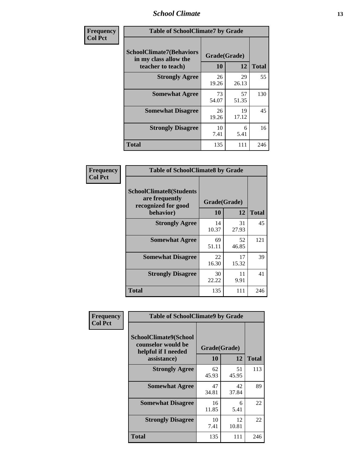### *School Climate* **13**

| Frequency      | <b>Table of SchoolClimate7 by Grade</b>                                       |                           |             |              |
|----------------|-------------------------------------------------------------------------------|---------------------------|-------------|--------------|
| <b>Col Pct</b> | <b>SchoolClimate7(Behaviors</b><br>in my class allow the<br>teacher to teach) | Grade(Grade)<br><b>10</b> | 12          | <b>Total</b> |
|                | <b>Strongly Agree</b>                                                         | 26<br>19.26               | 29<br>26.13 | 55           |
|                | <b>Somewhat Agree</b>                                                         | 73<br>54.07               | 57<br>51.35 | 130          |
|                | <b>Somewhat Disagree</b>                                                      | 26<br>19.26               | 19<br>17.12 | 45           |
|                | <b>Strongly Disagree</b>                                                      | 10<br>7.41                | 6<br>5.41   | 16           |
|                | <b>Total</b>                                                                  | 135                       | 111         | 246          |

| Frequency      | <b>Table of SchoolClimate8 by Grade</b>                                 |              |             |              |
|----------------|-------------------------------------------------------------------------|--------------|-------------|--------------|
| <b>Col Pct</b> | <b>SchoolClimate8(Students</b><br>are frequently<br>recognized for good | Grade(Grade) |             |              |
|                | behavior)                                                               | 10           | 12          | <b>Total</b> |
|                | <b>Strongly Agree</b>                                                   | 14<br>10.37  | 31<br>27.93 | 45           |
|                | <b>Somewhat Agree</b>                                                   | 69<br>51.11  | 52<br>46.85 | 121          |
|                | <b>Somewhat Disagree</b>                                                | 22<br>16.30  | 17<br>15.32 | 39           |
|                | <b>Strongly Disagree</b>                                                | 30<br>22.22  | 11<br>9.91  | 41           |
|                | <b>Total</b>                                                            | 135          | 111         | 246          |

| Frequency      | <b>Table of SchoolClimate9 by Grade</b>                                           |                    |             |              |
|----------------|-----------------------------------------------------------------------------------|--------------------|-------------|--------------|
| <b>Col Pct</b> | SchoolClimate9(School<br>counselor would be<br>helpful if I needed<br>assistance) | Grade(Grade)<br>10 | 12          | <b>Total</b> |
|                | <b>Strongly Agree</b>                                                             | 62<br>45.93        | 51<br>45.95 | 113          |
|                | <b>Somewhat Agree</b>                                                             | 47<br>34.81        | 42<br>37.84 | 89           |
|                | <b>Somewhat Disagree</b>                                                          | 16<br>11.85        | 6<br>5.41   | 22           |
|                | <b>Strongly Disagree</b>                                                          | 10<br>7.41         | 12<br>10.81 | 22           |
|                | Total                                                                             | 135                | 111         | 246          |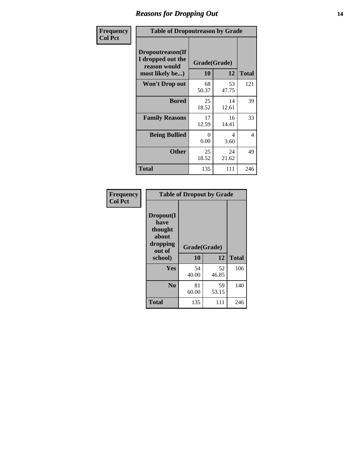### *Reasons for Dropping Out* **14**

| Frequency      | <b>Table of Dropoutreason by Grade</b>                                   |                    |             |              |
|----------------|--------------------------------------------------------------------------|--------------------|-------------|--------------|
| <b>Col Pct</b> | Dropoutreason(If<br>I dropped out the<br>reason would<br>most likely be) | Grade(Grade)<br>10 | 12          | <b>Total</b> |
|                | <b>Won't Drop out</b>                                                    | 68<br>50.37        | 53<br>47.75 | 121          |
|                | <b>Bored</b>                                                             | 25<br>18.52        | 14<br>12.61 | 39           |
|                | <b>Family Reasons</b>                                                    | 17<br>12.59        | 16<br>14.41 | 33           |
|                | <b>Being Bullied</b>                                                     | 0<br>0.00          | 4<br>3.60   | 4            |
|                | <b>Other</b>                                                             | 25<br>18.52        | 24<br>21.62 | 49           |
|                | <b>Total</b>                                                             | 135                | 111         | 246          |

| Frequency      | <b>Table of Dropout by Grade</b>                                       |                    |             |              |  |
|----------------|------------------------------------------------------------------------|--------------------|-------------|--------------|--|
| <b>Col Pct</b> | Dropout(I<br>have<br>thought<br>about<br>dropping<br>out of<br>school) | Grade(Grade)<br>10 | 12          | <b>Total</b> |  |
|                | Yes                                                                    | 54<br>40.00        | 52<br>46.85 | 106          |  |
|                | N <sub>0</sub>                                                         | 81<br>60.00        | 59<br>53.15 | 140          |  |
|                | <b>Total</b>                                                           | 135                | 111         | 246          |  |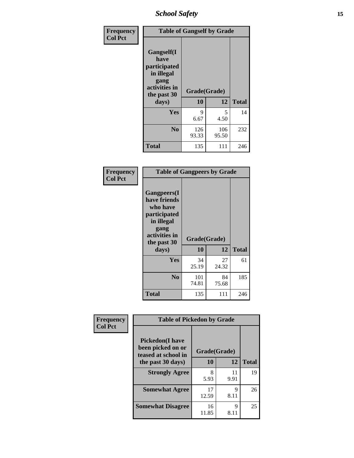*School Safety* **15**

| Frequency      | <b>Table of Gangself by Grade</b>                                                                 |                    |              |              |
|----------------|---------------------------------------------------------------------------------------------------|--------------------|--------------|--------------|
| <b>Col Pct</b> | Gangself(I<br>have<br>participated<br>in illegal<br>gang<br>activities in<br>the past 30<br>days) | Grade(Grade)<br>10 | 12           | <b>Total</b> |
|                | Yes                                                                                               | 9<br>6.67          | 5<br>4.50    | 14           |
|                | N <sub>o</sub>                                                                                    | 126<br>93.33       | 106<br>95.50 | 232          |
|                | Total                                                                                             | 135                | 111          | 246          |

| Frequency<br><b>Col Pct</b> | <b>Table of Gangpeers by Grade</b>                                                                                             |                    |             |              |
|-----------------------------|--------------------------------------------------------------------------------------------------------------------------------|--------------------|-------------|--------------|
|                             | <b>Gangpeers</b> (I<br>have friends<br>who have<br>participated<br>in illegal<br>gang<br>activities in<br>the past 30<br>days) | Grade(Grade)<br>10 | 12          | <b>Total</b> |
|                             | <b>Yes</b>                                                                                                                     | 34<br>25.19        | 27<br>24.32 | 61           |
|                             | N <sub>0</sub>                                                                                                                 | 101<br>74.81       | 84<br>75.68 | 185          |
|                             | <b>Total</b>                                                                                                                   | 135                | 111         | 246          |

| Frequency<br><b>Col Pct</b>                                        | <b>Table of Pickedon by Grade</b> |              |            |              |
|--------------------------------------------------------------------|-----------------------------------|--------------|------------|--------------|
| <b>Pickedon(I have</b><br>been picked on or<br>teased at school in |                                   | Grade(Grade) |            |              |
|                                                                    | the past 30 days)                 | 10           | 12         | <b>Total</b> |
|                                                                    | <b>Strongly Agree</b>             | 8<br>5.93    | 11<br>9.91 | 19           |
|                                                                    | <b>Somewhat Agree</b>             | 17<br>12.59  | Q<br>8.11  | 26           |
|                                                                    | <b>Somewhat Disagree</b>          | 16<br>11.85  | 9<br>8.11  | 25           |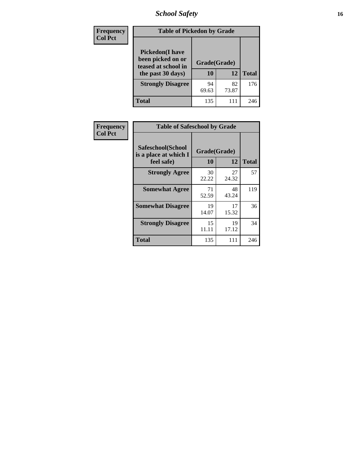# *School Safety* **16**

| Frequency      | <b>Table of Pickedon by Grade</b>                                                        |                    |              |     |
|----------------|------------------------------------------------------------------------------------------|--------------------|--------------|-----|
| <b>Col Pct</b> | <b>Pickedon</b> (I have<br>been picked on or<br>teased at school in<br>the past 30 days) | Grade(Grade)<br>10 | <b>Total</b> |     |
|                | <b>Strongly Disagree</b>                                                                 | 94<br>69.63        | 82<br>73.87  | 176 |
|                | Total                                                                                    | 135                | 111          | 246 |

| Frequency      |                                                          | <b>Table of Safeschool by Grade</b> |             |              |  |  |  |  |  |  |  |
|----------------|----------------------------------------------------------|-------------------------------------|-------------|--------------|--|--|--|--|--|--|--|
| <b>Col Pct</b> | Safeschool(School<br>is a place at which I<br>feel safe) | Grade(Grade)<br>10                  | 12          | <b>Total</b> |  |  |  |  |  |  |  |
|                | <b>Strongly Agree</b>                                    | 30<br>22.22                         | 27<br>24.32 | 57           |  |  |  |  |  |  |  |
|                | <b>Somewhat Agree</b>                                    | 71<br>52.59                         | 48<br>43.24 | 119          |  |  |  |  |  |  |  |
|                | <b>Somewhat Disagree</b>                                 | 19<br>14.07                         | 17<br>15.32 | 36           |  |  |  |  |  |  |  |
|                | <b>Strongly Disagree</b>                                 | 15<br>11.11                         | 19<br>17.12 | 34           |  |  |  |  |  |  |  |
|                | <b>Total</b>                                             | 135                                 | 111         | 246          |  |  |  |  |  |  |  |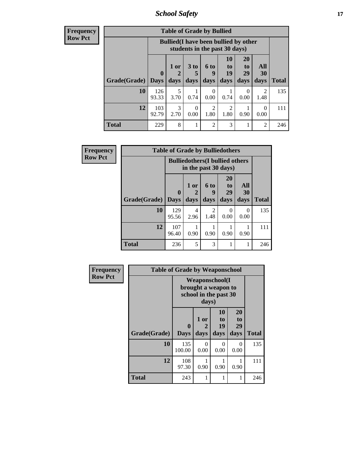*School Safety* **17**

| <b>Frequency</b> |
|------------------|
| Row Pct          |

| <b>Table of Grade by Bullied</b> |                            |                                                                               |                              |                        |                        |                        |                          |              |  |  |  |
|----------------------------------|----------------------------|-------------------------------------------------------------------------------|------------------------------|------------------------|------------------------|------------------------|--------------------------|--------------|--|--|--|
|                                  |                            | <b>Bullied</b> (I have been bullied by other<br>students in the past 30 days) |                              |                        |                        |                        |                          |              |  |  |  |
| Grade(Grade)                     | $\boldsymbol{0}$<br>  Days | 1 or<br>2<br>days                                                             | 3 <sub>to</sub><br>5<br>days | 6 to<br>9<br>days      | 10<br>to<br>19<br>days | 20<br>to<br>29<br>days | All<br><b>30</b><br>days | <b>Total</b> |  |  |  |
| 10                               | 126<br>93.33               | 5<br>3.70                                                                     | 0.74                         | $\theta$<br>0.00       | 0.74                   | 0<br>0.00              | $\mathfrak{D}$<br>1.48   | 135          |  |  |  |
| 12                               | 103<br>92.79               | 3<br>2.70                                                                     | 0<br>0.00                    | $\overline{2}$<br>1.80 | 2<br>1.80              | 0.90                   | $\Omega$<br>0.00         | 111          |  |  |  |
| <b>Total</b>                     | 229                        | 8                                                                             | 1                            | $\overline{2}$         | 3                      |                        | $\overline{2}$           | 246          |  |  |  |

| Frequency      | <b>Table of Grade by Bulliedothers</b> |                         |                                                                |                   |                        |                   |              |  |  |  |
|----------------|----------------------------------------|-------------------------|----------------------------------------------------------------|-------------------|------------------------|-------------------|--------------|--|--|--|
| <b>Row Pct</b> |                                        |                         | <b>Bulliedothers</b> (I bullied others<br>in the past 30 days) |                   |                        |                   |              |  |  |  |
|                | Grade(Grade)                           | $\bf{0}$<br><b>Days</b> | 1 or<br>days                                                   | 6 to<br>9<br>days | 20<br>to<br>29<br>days | All<br>30<br>days | <b>Total</b> |  |  |  |
|                | 10                                     | 129<br>95.56            | 4<br>2.96                                                      | 2<br>1.48         | 0<br>0.00              | 0<br>0.00         | 135          |  |  |  |
|                | 12                                     | 107<br>96.40            | 0.90                                                           | 0.90              | 0.90                   | 0.90              | 111          |  |  |  |
|                | <b>Total</b>                           | 236                     | 5                                                              | 3                 |                        |                   | 246          |  |  |  |

| <b>Frequency</b> | <b>Table of Grade by Weaponschool</b> |                                                                        |                   |                               |                        |              |  |  |  |  |
|------------------|---------------------------------------|------------------------------------------------------------------------|-------------------|-------------------------------|------------------------|--------------|--|--|--|--|
| <b>Row Pct</b>   |                                       | <b>Weaponschool</b> (I<br>brought a weapon to<br>school in the past 30 |                   |                               |                        |              |  |  |  |  |
|                  | Grade(Grade)                          | $\mathbf{0}$<br><b>Days</b>                                            | 1 or<br>2<br>days | <b>10</b><br>to<br>19<br>days | 20<br>to<br>29<br>days | <b>Total</b> |  |  |  |  |
|                  | 10                                    | 135<br>100.00                                                          | 0<br>0.00         | 0<br>0.00                     | 0<br>0.00              | 135          |  |  |  |  |
|                  | 12                                    | 108<br>97.30                                                           | 0.90              | 0.90                          | 0.90                   | 111          |  |  |  |  |
|                  | <b>Total</b>                          | 243                                                                    | 1                 |                               |                        | 246          |  |  |  |  |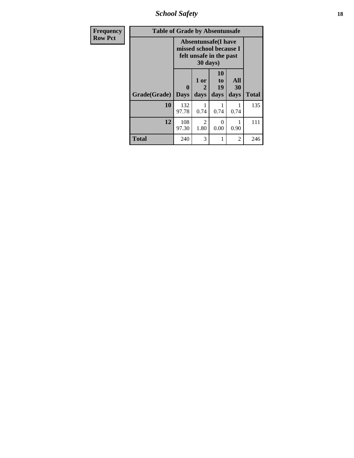*School Safety* **18**

| <b>Frequency</b> | <b>Table of Grade by Absentunsafe</b> |                                                                                  |                   |                               |                   |              |  |  |  |  |
|------------------|---------------------------------------|----------------------------------------------------------------------------------|-------------------|-------------------------------|-------------------|--------------|--|--|--|--|
| <b>Row Pct</b>   |                                       | <b>Absentunsafe(I have</b><br>missed school because I<br>felt unsafe in the past |                   |                               |                   |              |  |  |  |  |
|                  | Grade(Grade)                          | 0<br><b>Days</b>                                                                 | 1 or<br>2<br>days | <b>10</b><br>to<br>19<br>days | All<br>30<br>days | <b>Total</b> |  |  |  |  |
|                  | 10                                    | 132<br>97.78                                                                     | 0.74              | 1<br>0.74                     | 0.74              | 135          |  |  |  |  |
|                  | 12                                    | 108<br>97.30                                                                     | 2<br>1.80         | 0<br>0.00                     | 0.90              | 111          |  |  |  |  |
|                  | <b>Total</b>                          | 240                                                                              | 3                 | 1                             | 2                 | 246          |  |  |  |  |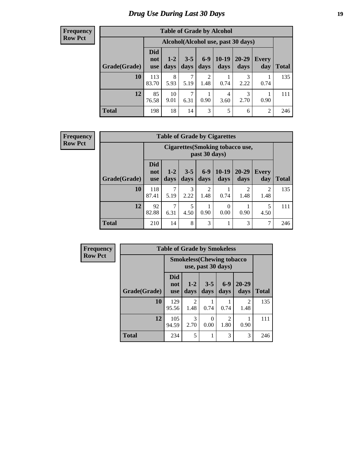# *Drug Use During Last 30 Days* **19**

#### **Frequency Row Pct**

| <b>Table of Grade by Alcohol</b> |                                 |                                    |                 |                        |                 |                   |                |              |  |  |
|----------------------------------|---------------------------------|------------------------------------|-----------------|------------------------|-----------------|-------------------|----------------|--------------|--|--|
|                                  |                                 | Alcohol(Alcohol use, past 30 days) |                 |                        |                 |                   |                |              |  |  |
| Grade(Grade)                     | <b>Did</b><br>not<br><b>use</b> | $1-2$<br>days                      | $3 - 5$<br>days | $6-9$<br>days          | $10-19$<br>days | $20 - 29$<br>days | Every<br>day   | <b>Total</b> |  |  |
| 10                               | 113<br>83.70                    | 8<br>5.93                          | 7<br>5.19       | $\overline{2}$<br>1.48 | 0.74            | 3<br>2.22         | 0.74           | 135          |  |  |
| 12                               | 85<br>76.58                     | 10<br>9.01                         | 7<br>6.31       | 1<br>0.90              | 4<br>3.60       | 3<br>2.70         | 0.90           | 111          |  |  |
| <b>Total</b>                     | 198                             | 18                                 | 14              | 3                      | 5               | 6                 | $\overline{2}$ | 246          |  |  |

#### **Frequency Row Pct**

| <b>Table of Grade by Cigarettes</b> |                                 |                                                   |                 |                        |                 |                        |                     |       |  |  |
|-------------------------------------|---------------------------------|---------------------------------------------------|-----------------|------------------------|-----------------|------------------------|---------------------|-------|--|--|
|                                     |                                 | Cigarettes (Smoking tobacco use,<br>past 30 days) |                 |                        |                 |                        |                     |       |  |  |
| Grade(Grade)                        | <b>Did</b><br>not<br><b>use</b> | $1 - 2$<br>days                                   | $3 - 5$<br>days | $6-9$<br>days          | $10-19$<br>days | $20 - 29$<br>days      | <b>Every</b><br>day | Total |  |  |
| 10                                  | 118<br>87.41                    | 5.19                                              | 3<br>2.22       | $\overline{2}$<br>1.48 | 0.74            | $\overline{2}$<br>1.48 | 2<br>1.48           | 135   |  |  |
| 12                                  | 92<br>82.88                     | 7<br>6.31                                         | 5<br>4.50       | 0.90                   | 0<br>0.00       | 0.90                   | 5<br>4.50           | 111   |  |  |
| <b>Total</b>                        | 210                             | 14                                                | 8               | 3                      | 1               | 3                      | 7                   | 246   |  |  |

| Frequency      |              | <b>Table of Grade by Smokeless</b> |                                                         |                  |               |                        |              |  |
|----------------|--------------|------------------------------------|---------------------------------------------------------|------------------|---------------|------------------------|--------------|--|
| <b>Row Pct</b> |              |                                    | <b>Smokeless</b> (Chewing tobacco<br>use, past 30 days) |                  |               |                        |              |  |
|                | Grade(Grade) | <b>Did</b><br>not<br><b>use</b>    | $1 - 2$<br>days                                         | $3 - 5$<br>days  | $6-9$<br>days | 20-29<br>days          | <b>Total</b> |  |
|                | <b>10</b>    | 129<br>95.56                       | 2<br>1.48                                               | 0.74             | 0.74          | $\mathfrak{D}$<br>1.48 | 135          |  |
|                | 12           | 105<br>94.59                       | 3<br>2.70                                               | $\theta$<br>0.00 | っ<br>1.80     | 0.90                   | 111          |  |
|                | <b>Total</b> | 234                                | 5                                                       |                  | 3             | 3                      | 246          |  |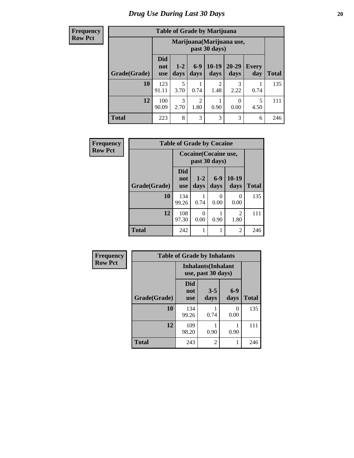**Frequency Row Pct**

| <b>Table of Grade by Marijuana</b> |                          |                                            |                        |                        |                   |              |              |  |  |  |  |
|------------------------------------|--------------------------|--------------------------------------------|------------------------|------------------------|-------------------|--------------|--------------|--|--|--|--|
|                                    |                          | Marijuana (Marijuana use,<br>past 30 days) |                        |                        |                   |              |              |  |  |  |  |
| Grade(Grade)                       | <b>Did</b><br>not<br>use | $1-2$<br>days                              | $6-9$<br>days          | $10-19$<br>days        | $20 - 29$<br>days | Every<br>day | <b>Total</b> |  |  |  |  |
| 10                                 | 123<br>91.11             | 5<br>3.70                                  | 0.74                   | $\overline{2}$<br>1.48 | 3<br>2.22         | 0.74         | 135          |  |  |  |  |
| 12                                 | 100<br>90.09             | 3<br>2.70                                  | $\overline{2}$<br>1.80 | 0.90                   | 0<br>0.00         | 5<br>4.50    | 111          |  |  |  |  |
| <b>Total</b>                       | 223                      | 8                                          | 3                      | 3                      | 3                 | 6            | 246          |  |  |  |  |

| <b>Frequency</b> | <b>Table of Grade by Cocaine</b> |                                 |                                        |                  |                        |              |  |  |  |
|------------------|----------------------------------|---------------------------------|----------------------------------------|------------------|------------------------|--------------|--|--|--|
| <b>Row Pct</b>   |                                  |                                 | Cocaine (Cocaine use,<br>past 30 days) |                  |                        |              |  |  |  |
|                  | Grade(Grade)                     | <b>Did</b><br>not<br><b>use</b> | $1-2$<br>days                          | $6-9$<br>days    | $10-19$<br>days        | <b>Total</b> |  |  |  |
|                  | 10                               | 134<br>99.26                    | 0.74                                   | $\Omega$<br>0.00 | $\mathbf{0}$<br>0.00   | 135          |  |  |  |
|                  | 12                               | 108<br>97.30                    | 0<br>0.00                              | 0.90             | $\overline{c}$<br>1.80 | 111          |  |  |  |
|                  | <b>Total</b>                     | 242                             | 1                                      |                  | 2                      | 246          |  |  |  |

| Frequency      | <b>Table of Grade by Inhalants</b> |                                                  |                 |               |              |
|----------------|------------------------------------|--------------------------------------------------|-----------------|---------------|--------------|
| <b>Row Pct</b> |                                    | <b>Inhalants</b> (Inhalant<br>use, past 30 days) |                 |               |              |
|                | Grade(Grade)                       | <b>Did</b><br>not<br><b>use</b>                  | $3 - 5$<br>days | $6-9$<br>days | <b>Total</b> |
|                | 10                                 | 134<br>99.26                                     | 0.74            | 0<br>0.00     | 135          |
|                | 12                                 | 109<br>98.20                                     | 0.90            | 0.90          | 111          |
|                | <b>Total</b>                       | 243                                              | 2               |               | 246          |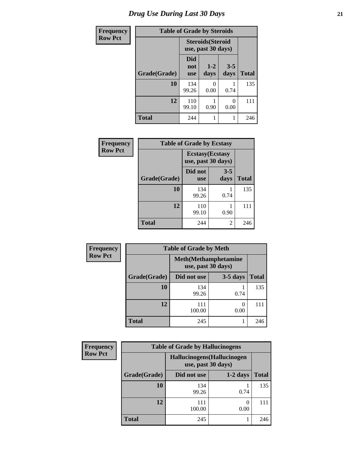# *Drug Use During Last 30 Days* **21**

| <b>Frequency</b> | <b>Table of Grade by Steroids</b> |                                                |                 |                       |              |
|------------------|-----------------------------------|------------------------------------------------|-----------------|-----------------------|--------------|
| <b>Row Pct</b>   |                                   | <b>Steroids</b> (Steroid<br>use, past 30 days) |                 |                       |              |
|                  | Grade(Grade)                      | Did<br>not<br><b>use</b>                       | $1 - 2$<br>days | $3 - 5$<br>days       | <b>Total</b> |
|                  | 10                                | 134<br>99.26                                   | 0<br>0.00       | 0.74                  | 135          |
|                  | 12                                | 110<br>99.10                                   | 0.90            | $\mathcal{O}$<br>0.00 | 111          |
|                  | <b>Total</b>                      | 244                                            |                 |                       | 246          |

| Frequency      | <b>Table of Grade by Ecstasy</b> |                                               |                 |              |  |
|----------------|----------------------------------|-----------------------------------------------|-----------------|--------------|--|
| <b>Row Pct</b> |                                  | <b>Ecstasy</b> (Ecstasy<br>use, past 30 days) |                 |              |  |
|                | Grade(Grade)                     | Did not<br><b>use</b>                         | $3 - 5$<br>days | <b>Total</b> |  |
|                | 10                               | 134<br>99.26                                  | 0.74            | 135          |  |
|                | 12                               | 110<br>99.10                                  | 0.90            | 111          |  |
|                | <b>Total</b>                     | 244                                           | 2               | 246          |  |

| Frequency      | <b>Table of Grade by Meth</b> |                    |                              |              |  |
|----------------|-------------------------------|--------------------|------------------------------|--------------|--|
| <b>Row Pct</b> |                               | use, past 30 days) | <b>Meth</b> (Methamphetamine |              |  |
|                | Grade(Grade)                  | Did not use        | $3-5$ days                   | <b>Total</b> |  |
|                | 10                            | 134<br>99.26       | 0.74                         | 135          |  |
|                | 12                            | 111<br>100.00      | 0<br>0.00                    | 111          |  |
|                | <b>Total</b>                  | 245                |                              | 246          |  |

| <b>Frequency</b> | <b>Table of Grade by Hallucinogens</b> |                                                   |            |              |  |
|------------------|----------------------------------------|---------------------------------------------------|------------|--------------|--|
| <b>Row Pct</b>   |                                        | Hallucinogens (Hallucinogen<br>use, past 30 days) |            |              |  |
|                  | Grade(Grade)                           | Did not use                                       | $1-2$ days | <b>Total</b> |  |
|                  | 10                                     | 134<br>99.26                                      | 0.74       | 135          |  |
|                  | 12                                     | 111<br>100.00                                     | 0.00       | 111          |  |
|                  | <b>Total</b>                           | 245                                               |            | 246          |  |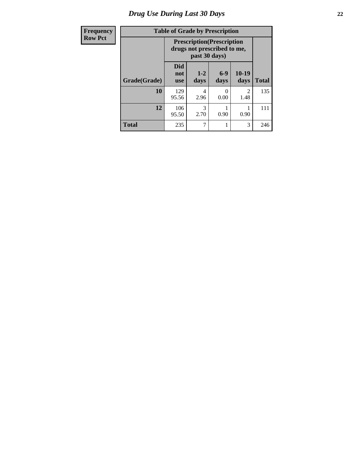# *Drug Use During Last 30 Days* **22**

| Frequency      | <b>Table of Grade by Prescription</b> |                                                                                   |               |               |                        |              |
|----------------|---------------------------------------|-----------------------------------------------------------------------------------|---------------|---------------|------------------------|--------------|
| <b>Row Pct</b> |                                       | <b>Prescription</b> (Prescription<br>drugs not prescribed to me,<br>past 30 days) |               |               |                        |              |
|                | Grade(Grade)                          | <b>Did</b><br>not<br><b>use</b>                                                   | $1-2$<br>days | $6-9$<br>days | $10-19$<br>days        | <b>Total</b> |
|                | 10                                    | 129<br>95.56                                                                      | 4<br>2.96     | 0<br>0.00     | $\overline{c}$<br>1.48 | 135          |
|                | 12                                    | 106<br>95.50                                                                      | 3<br>2.70     | 0.90          | 0.90                   | 111          |
|                | <b>Total</b>                          | 235                                                                               | 7             |               | 3                      | 246          |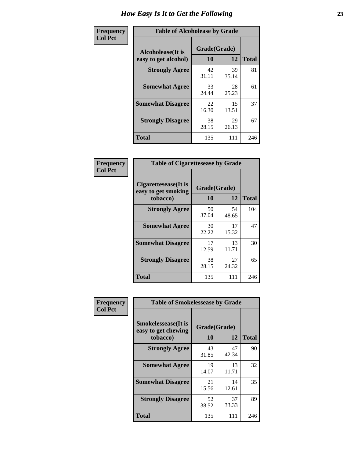| Frequency      | <b>Table of Alcoholease by Grade</b>              |                    |             |              |  |
|----------------|---------------------------------------------------|--------------------|-------------|--------------|--|
| <b>Col Pct</b> | <b>Alcoholease</b> (It is<br>easy to get alcohol) | Grade(Grade)<br>10 | 12          | <b>Total</b> |  |
|                | <b>Strongly Agree</b>                             | 42<br>31.11        | 39<br>35.14 | 81           |  |
|                | <b>Somewhat Agree</b>                             | 33<br>24.44        | 28<br>25.23 | 61           |  |
|                | <b>Somewhat Disagree</b>                          | 22<br>16.30        | 15<br>13.51 | 37           |  |
|                | <b>Strongly Disagree</b>                          | 38<br>28.15        | 29<br>26.13 | 67           |  |
|                | <b>Total</b>                                      | 135                | 111         | 246          |  |

| Frequency      | <b>Table of Cigarettesease by Grade</b>                  |                           |             |              |
|----------------|----------------------------------------------------------|---------------------------|-------------|--------------|
| <b>Col Pct</b> | Cigarettesease (It is<br>easy to get smoking<br>tobacco) | Grade(Grade)<br><b>10</b> | 12          | <b>Total</b> |
|                | <b>Strongly Agree</b>                                    | 50<br>37.04               | 54<br>48.65 | 104          |
|                | <b>Somewhat Agree</b>                                    | 30<br>22.22               | 17<br>15.32 | 47           |
|                | <b>Somewhat Disagree</b>                                 | 17<br>12.59               | 13<br>11.71 | 30           |
|                | <b>Strongly Disagree</b>                                 | 38<br>28.15               | 27<br>24.32 | 65           |
|                | <b>Total</b>                                             | 135                       | 111         | 246          |

| Frequency      | <b>Table of Smokelessease by Grade</b>                         |                          |             |              |  |
|----------------|----------------------------------------------------------------|--------------------------|-------------|--------------|--|
| <b>Col Pct</b> | <b>Smokelessease</b> (It is<br>easy to get chewing<br>tobacco) | Grade(Grade)<br>10<br>12 |             | <b>Total</b> |  |
|                | <b>Strongly Agree</b>                                          | 43<br>31.85              | 47<br>42.34 | 90           |  |
|                | <b>Somewhat Agree</b>                                          | 19<br>14.07              | 13<br>11.71 | 32           |  |
|                | <b>Somewhat Disagree</b>                                       | 21<br>15.56              | 14<br>12.61 | 35           |  |
|                | <b>Strongly Disagree</b>                                       | 52<br>38.52              | 37<br>33.33 | 89           |  |
|                | <b>Total</b>                                                   | 135                      | 111         | 246          |  |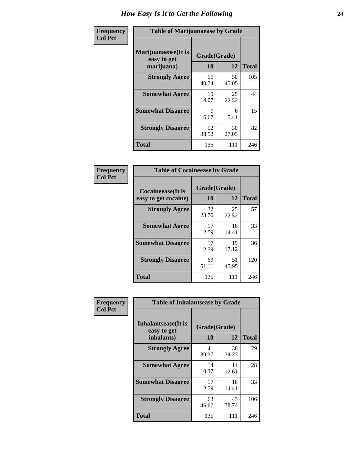| Frequency      | <b>Table of Marijuanaease by Grade</b>           |                    |             |              |
|----------------|--------------------------------------------------|--------------------|-------------|--------------|
| <b>Col Pct</b> | Marijuanaease(It is<br>easy to get<br>marijuana) | Grade(Grade)<br>10 | 12          | <b>Total</b> |
|                | <b>Strongly Agree</b>                            | 55<br>40.74        | 50<br>45.05 | 105          |
|                | <b>Somewhat Agree</b>                            | 19<br>14.07        | 25<br>22.52 | 44           |
|                | <b>Somewhat Disagree</b>                         | 9<br>6.67          | 6<br>5.41   | 15           |
|                | <b>Strongly Disagree</b>                         | 52<br>38.52        | 30<br>27.03 | 82           |
|                | <b>Total</b>                                     | 135                | 111         | 246          |

| <b>Table of Cocaineease by Grade</b>              |                    |              |     |  |  |
|---------------------------------------------------|--------------------|--------------|-----|--|--|
| <b>Cocaineease</b> (It is<br>easy to get cocaine) | Grade(Grade)<br>10 | <b>Total</b> |     |  |  |
| <b>Strongly Agree</b>                             | 32<br>23.70        | 25<br>22.52  | 57  |  |  |
| <b>Somewhat Agree</b>                             | 17<br>12.59        | 16<br>14.41  | 33  |  |  |
| <b>Somewhat Disagree</b>                          | 17<br>12.59        | 19<br>17.12  | 36  |  |  |
| <b>Strongly Disagree</b>                          | 69<br>51.11        | 51<br>45.95  | 120 |  |  |
| <b>Total</b>                                      | 135                | 111          | 246 |  |  |

| Frequency      | <b>Table of Inhalantsease by Grade</b>     |              |             |              |  |
|----------------|--------------------------------------------|--------------|-------------|--------------|--|
| <b>Col Pct</b> | <b>Inhalantsease</b> (It is<br>easy to get | Grade(Grade) |             |              |  |
|                | inhalants)                                 | 10           | 12          | <b>Total</b> |  |
|                | <b>Strongly Agree</b>                      | 41<br>30.37  | 38<br>34.23 | 79           |  |
|                | <b>Somewhat Agree</b>                      | 14<br>10.37  | 14<br>12.61 | 28           |  |
|                | <b>Somewhat Disagree</b>                   | 17<br>12.59  | 16<br>14.41 | 33           |  |
|                | <b>Strongly Disagree</b>                   | 63<br>46.67  | 43<br>38.74 | 106          |  |
|                | <b>Total</b>                               | 135          | 111         | 246          |  |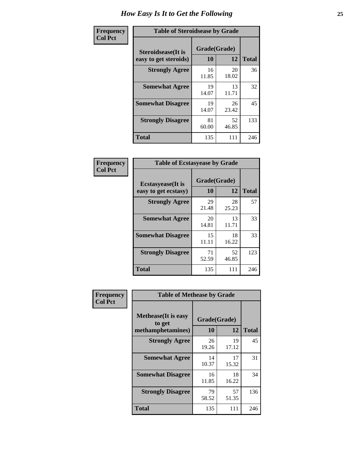| Frequency      | <b>Table of Steroidsease by Grade</b>               |                    |             |              |  |  |
|----------------|-----------------------------------------------------|--------------------|-------------|--------------|--|--|
| <b>Col Pct</b> | <b>Steroidsease</b> (It is<br>easy to get steroids) | Grade(Grade)<br>10 | 12          | <b>Total</b> |  |  |
|                | <b>Strongly Agree</b>                               | 16<br>11.85        | 20<br>18.02 | 36           |  |  |
|                | <b>Somewhat Agree</b>                               | 19<br>14.07        | 13<br>11.71 | 32           |  |  |
|                | <b>Somewhat Disagree</b>                            | 19<br>14.07        | 26<br>23.42 | 45           |  |  |
|                | <b>Strongly Disagree</b>                            | 81<br>60.00        | 52<br>46.85 | 133          |  |  |
|                | <b>Total</b>                                        | 135                | 111         | 246          |  |  |

| Frequency      | <b>Table of Ecstasyease by Grade</b>              |                    |              |     |  |  |  |
|----------------|---------------------------------------------------|--------------------|--------------|-----|--|--|--|
| <b>Col Pct</b> | <b>Ecstasyease</b> (It is<br>easy to get ecstasy) | Grade(Grade)<br>10 | <b>Total</b> |     |  |  |  |
|                | <b>Strongly Agree</b>                             | 29<br>21.48        | 28<br>25.23  | 57  |  |  |  |
|                | <b>Somewhat Agree</b>                             | 20<br>14.81        | 13<br>11.71  | 33  |  |  |  |
|                | <b>Somewhat Disagree</b>                          | 15<br>11.11        | 18<br>16.22  | 33  |  |  |  |
|                | <b>Strongly Disagree</b>                          | 71<br>52.59        | 52<br>46.85  | 123 |  |  |  |
|                | <b>Total</b>                                      | 135                | 111          | 246 |  |  |  |

| Frequency      | <b>Table of Methease by Grade</b>                          |                           |             |              |
|----------------|------------------------------------------------------------|---------------------------|-------------|--------------|
| <b>Col Pct</b> | <b>Methease</b> (It is easy<br>to get<br>methamphetamines) | Grade(Grade)<br><b>10</b> | 12          | <b>Total</b> |
|                | <b>Strongly Agree</b>                                      | 26<br>19.26               | 19<br>17.12 | 45           |
|                | <b>Somewhat Agree</b>                                      | 14<br>10.37               | 17<br>15.32 | 31           |
|                | <b>Somewhat Disagree</b>                                   | 16<br>11.85               | 18<br>16.22 | 34           |
|                | <b>Strongly Disagree</b>                                   | 79<br>58.52               | 57<br>51.35 | 136          |
|                | Total                                                      | 135                       | 111         | 246          |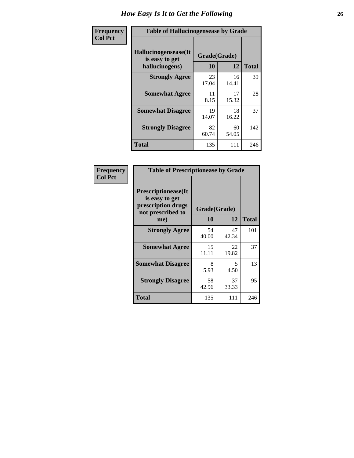| <b>Frequency</b> | <b>Table of Hallucinogensease by Grade</b>                |                    |             |              |  |  |
|------------------|-----------------------------------------------------------|--------------------|-------------|--------------|--|--|
| <b>Col Pct</b>   | Hallucinogensease(It)<br>is easy to get<br>hallucinogens) | Grade(Grade)<br>10 | 12          | <b>Total</b> |  |  |
|                  | <b>Strongly Agree</b>                                     | 23<br>17.04        | 16<br>14.41 | 39           |  |  |
|                  | <b>Somewhat Agree</b>                                     | 11<br>8.15         | 17<br>15.32 | 28           |  |  |
|                  | <b>Somewhat Disagree</b>                                  | 19<br>14.07        | 18<br>16.22 | 37           |  |  |
|                  | <b>Strongly Disagree</b>                                  | 82<br>60.74        | 60<br>54.05 | 142          |  |  |
|                  | <b>Total</b>                                              | 135                | 111         | 246          |  |  |

| <b>Table of Prescriptionease by Grade</b>                                                |              |             |              |  |  |  |  |
|------------------------------------------------------------------------------------------|--------------|-------------|--------------|--|--|--|--|
| <b>Prescriptionease</b> (It<br>is easy to get<br>prescription drugs<br>not prescribed to | Grade(Grade) |             |              |  |  |  |  |
| me)                                                                                      | 10           | 12          | <b>Total</b> |  |  |  |  |
| <b>Strongly Agree</b>                                                                    | 54<br>40.00  | 47<br>42.34 | 101          |  |  |  |  |
| <b>Somewhat Agree</b>                                                                    | 15<br>11.11  | 22<br>19.82 | 37           |  |  |  |  |
| <b>Somewhat Disagree</b>                                                                 | 8<br>5.93    | 5<br>4.50   | 13           |  |  |  |  |
| <b>Strongly Disagree</b>                                                                 | 58<br>42.96  | 37<br>33.33 | 95           |  |  |  |  |
| <b>Total</b>                                                                             | 135          | 111         | 246          |  |  |  |  |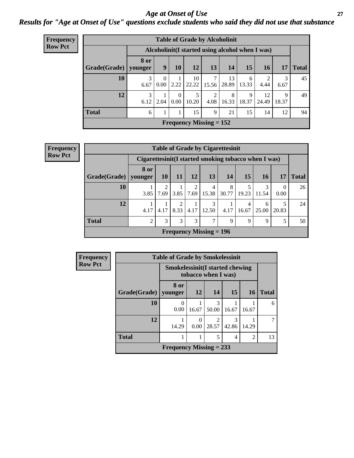### *Age at Onset of Use* **27** *Results for "Age at Onset of Use" questions exclude students who said they did not use that substance*

| Frequency      | <b>Table of Grade by Alcoholinit</b> |             |                |                  |             |                                                  |             |            |             |            |              |
|----------------|--------------------------------------|-------------|----------------|------------------|-------------|--------------------------------------------------|-------------|------------|-------------|------------|--------------|
| <b>Row Pct</b> |                                      |             |                |                  |             | Alcoholinit (I started using alcohol when I was) |             |            |             |            |              |
|                | Grade(Grade)   younger               | <b>8 or</b> | 9 <sup>1</sup> | 10               | 12          | 13                                               | 14          | 15         | <b>16</b>   | 17         | <b>Total</b> |
|                | 10                                   | 3<br>6.67   | 0<br>0.00      | 2.22             | 10<br>22.22 | 7<br>15.56                                       | 13<br>28.89 | 6<br>13.33 | 4.44        | 3<br>6.67  | 45           |
|                | 12                                   | 3<br>6.12   | 2.04           | $\Omega$<br>0.00 | 5<br>10.20  | $\overline{c}$<br>4.08                           | 8<br>16.33  | 9<br>18.37 | 12<br>24.49 | 9<br>18.37 | 49           |
|                | <b>Total</b>                         | 6           |                |                  | 15          | 9                                                | 21          | 15         | 14          | 12         | 94           |
|                | Frequency Missing $= 152$            |             |                |                  |             |                                                  |             |            |             |            |              |

**Frequency Row Pct**

| <b>Table of Grade by Cigarettesinit</b>               |                        |                 |           |                        |                                |            |            |                 |                  |              |
|-------------------------------------------------------|------------------------|-----------------|-----------|------------------------|--------------------------------|------------|------------|-----------------|------------------|--------------|
| Cigarettesinit (I started smoking tobacco when I was) |                        |                 |           |                        |                                |            |            |                 |                  |              |
| Grade(Grade)                                          | <b>8 or</b><br>younger | 10 <sup>1</sup> | <b>11</b> | <b>12</b>              | <b>13</b>                      | 14         | 15         | 16 <sup>1</sup> | 17               | <b>Total</b> |
| 10                                                    | 3.85                   | 2<br>7.69       | 3.85      | $\overline{c}$<br>7.69 | 4<br>15.38                     | 8<br>30.77 | 19.23      | 11.54           | $\Omega$<br>0.00 | 26           |
| 12                                                    | 4.17                   | 4.17            | ∍<br>8.33 | 4.17                   | 3<br>12.50                     | 4.17       | 4<br>16.67 | 6<br>25.00      | 20.83            | 24           |
| <b>Total</b>                                          | 2                      | 3               | 3         | 3                      | 7                              | 9          | 9          | 9               | 5                | 50           |
|                                                       |                        |                 |           |                        | <b>Frequency Missing = 196</b> |            |            |                 |                  |              |

| <b>Frequency</b> | <b>Table of Grade by Smokelessinit</b> |                                                               |       |                                      |            |                |              |  |
|------------------|----------------------------------------|---------------------------------------------------------------|-------|--------------------------------------|------------|----------------|--------------|--|
| <b>Row Pct</b>   |                                        | <b>Smokelessinit(I started chewing</b><br>tobacco when I was) |       |                                      |            |                |              |  |
|                  | Grade(Grade)                           | 8 or<br>younger                                               | 12    | 14                                   | <b>15</b>  | <b>16</b>      | <b>Total</b> |  |
|                  | 10                                     | 0<br>0.00                                                     | 16.67 | 3<br>50.00                           | 16.67      | 16.67          | 6            |  |
|                  | 12                                     | 14.29                                                         | 0.00  | $\mathcal{D}_{\mathcal{L}}$<br>28.57 | 3<br>42.86 | 14.29          | 7            |  |
|                  | <b>Total</b>                           |                                                               |       | 5                                    | 4          | $\overline{2}$ | 13           |  |
|                  |                                        | Frequency Missing $= 233$                                     |       |                                      |            |                |              |  |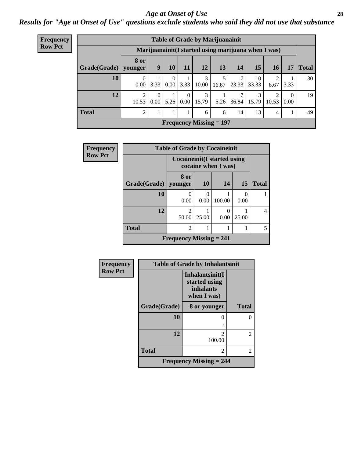#### *Age at Onset of Use* **28**

*Results for "Age at Onset of Use" questions exclude students who said they did not use that substance*

| Frequency      | <b>Table of Grade by Marijuanainit</b> |                        |                               |                  |          |                                       |                                |       |             |                                                      |                  |              |
|----------------|----------------------------------------|------------------------|-------------------------------|------------------|----------|---------------------------------------|--------------------------------|-------|-------------|------------------------------------------------------|------------------|--------------|
| <b>Row Pct</b> |                                        |                        |                               |                  |          |                                       |                                |       |             | Marijuanainit (I started using marijuana when I was) |                  |              |
|                | Grade(Grade)                           | <b>8 or</b><br>younger | 9 <sup>°</sup>                | 10               | 11       | 12                                    | 13                             | 14    | 15          | 16                                                   | 17               | <b>Total</b> |
|                | 10                                     | $\theta$<br>0.00       | 3.33                          | $\left($<br>0.00 | 3.33     | 3<br>10.00                            | 5<br>16.67                     | 23.33 | 10<br>33.33 | $\overline{2}$<br>6.67                               | 3.33             | 30           |
|                | 12                                     | ↑<br>10.53             | $\theta$<br>0.00 <sub>l</sub> |                  | $\Omega$ | 3<br>$5.26 \mid 0.00 \mid 15.79 \mid$ | 5.26                           | 36.84 | 15.79       | $\overline{2}$<br>10.53                              | $\theta$<br>0.00 | 19           |
|                | <b>Total</b>                           | 2                      |                               |                  |          | 6                                     | 6                              | 14    | 13          | 4                                                    |                  | 49           |
|                |                                        |                        |                               |                  |          |                                       | <b>Frequency Missing = 197</b> |       |             |                                                      |                  |              |

| Frequency      | <b>Table of Grade by Cocaineinit</b> |                                     |           |                     |           |              |
|----------------|--------------------------------------|-------------------------------------|-----------|---------------------|-----------|--------------|
| <b>Row Pct</b> |                                      | <b>Cocaineinit</b> (I started using |           | cocaine when I was) |           |              |
|                | <b>Grade(Grade)</b>                  | 8 or<br>younger                     | <b>10</b> | 14                  | <b>15</b> | <b>Total</b> |
|                | 10                                   | 0.00                                | 0.00      | 100.00              | 0.00      |              |
|                | 12                                   | $\overline{c}$<br>50.00             | 25.00     | 0<br>0.00           | 25.00     | 4            |
|                | <b>Total</b>                         | $\overline{2}$                      |           |                     |           | 5            |
|                |                                      | <b>Frequency Missing = 241</b>      |           |                     |           |              |

| Frequency      | <b>Table of Grade by Inhalantsinit</b> |                                                              |              |  |  |  |  |
|----------------|----------------------------------------|--------------------------------------------------------------|--------------|--|--|--|--|
| <b>Row Pct</b> |                                        | Inhalantsinit(I<br>started using<br>inhalants<br>when I was) |              |  |  |  |  |
|                | Grade(Grade)                           | 8 or younger                                                 | <b>Total</b> |  |  |  |  |
|                | 10                                     |                                                              | O            |  |  |  |  |
|                | 12                                     | 100.00                                                       | 2            |  |  |  |  |
|                | <b>Total</b>                           | $\mathfrak{D}$                                               | 2            |  |  |  |  |
|                | <b>Frequency Missing = 244</b>         |                                                              |              |  |  |  |  |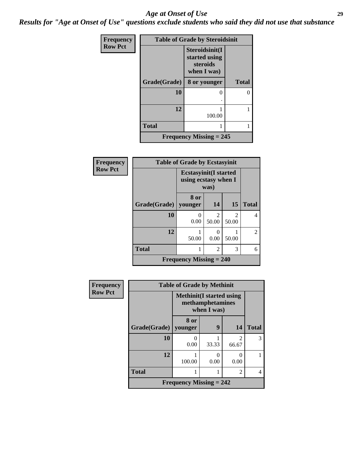#### *Age at Onset of Use* **29**

*Results for "Age at Onset of Use" questions exclude students who said they did not use that substance*

| Frequency      | <b>Table of Grade by Steroidsinit</b> |                                                            |              |  |  |  |
|----------------|---------------------------------------|------------------------------------------------------------|--------------|--|--|--|
| <b>Row Pct</b> |                                       | Steroidsinit(I<br>started using<br>steroids<br>when I was) |              |  |  |  |
|                | Grade(Grade)                          | 8 or younger                                               | <b>Total</b> |  |  |  |
|                | 10                                    | 0                                                          |              |  |  |  |
|                |                                       |                                                            |              |  |  |  |
|                | 12                                    | 100.00                                                     |              |  |  |  |
|                | <b>Total</b>                          |                                                            |              |  |  |  |
|                | <b>Frequency Missing = 245</b>        |                                                            |              |  |  |  |

| Frequency      | <b>Table of Grade by Ecstasyinit</b> |                                                               |                        |                        |                |  |
|----------------|--------------------------------------|---------------------------------------------------------------|------------------------|------------------------|----------------|--|
| <b>Row Pct</b> |                                      | <b>Ecstasyinit</b> (I started<br>using ecstasy when I<br>was) |                        |                        |                |  |
|                | Grade(Grade)   younger               | 8 or                                                          | 14                     | 15                     | <b>Total</b>   |  |
|                | 10                                   | 0<br>0.00                                                     | $\mathcal{D}$<br>50.00 | $\mathcal{L}$<br>50.00 | $\overline{4}$ |  |
|                | 12                                   | 50.00                                                         | 0.00                   | 50.00                  | $\overline{2}$ |  |
|                | <b>Total</b>                         |                                                               | $\mathfrak{D}$         | 3                      | 6              |  |
|                |                                      | <b>Frequency Missing = 240</b>                                |                        |                        |                |  |

| <b>Frequency</b> | <b>Table of Grade by Methinit</b> |                                                                     |       |                           |              |  |
|------------------|-----------------------------------|---------------------------------------------------------------------|-------|---------------------------|--------------|--|
| <b>Row Pct</b>   |                                   | <b>Methinit</b> (I started using<br>methamphetamines<br>when I was) |       |                           |              |  |
|                  | Grade(Grade)   younger            | 8 or                                                                | 9     | 14                        | <b>Total</b> |  |
|                  | 10                                | $\mathbf{\Omega}$<br>0.00                                           | 33.33 | $\mathfrak{D}$<br>66.67   | 3            |  |
|                  | 12                                | 100.00                                                              | 0.00  | $\mathbf{\Omega}$<br>0.00 |              |  |
|                  | <b>Total</b>                      |                                                                     |       | $\overline{c}$            | 4            |  |
|                  | Frequency Missing $= 242$         |                                                                     |       |                           |              |  |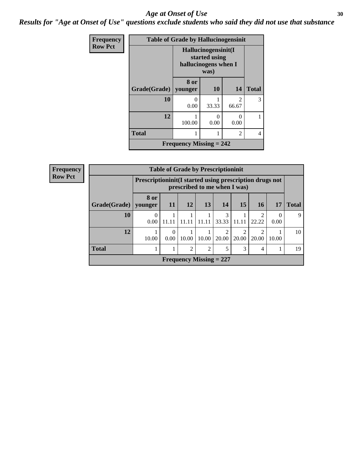#### Age at Onset of Use **30**

*Results for "Age at Onset of Use" questions exclude students who said they did not use that substance*

| <b>Frequency</b> |                                |                                                              | <b>Table of Grade by Hallucinogensinit</b> |                |                |  |
|------------------|--------------------------------|--------------------------------------------------------------|--------------------------------------------|----------------|----------------|--|
| <b>Row Pct</b>   |                                | Hallucinogensinit(I<br>started using<br>hallucinogens when I |                                            |                |                |  |
|                  | Grade(Grade)                   | 8 or<br>younger                                              | <b>10</b>                                  | <b>14</b>      | <b>Total</b>   |  |
|                  | 10                             | 0.00                                                         | 33.33                                      | 2<br>66.67     | 3              |  |
|                  | 12                             | 100.00                                                       | 0.00                                       | 0<br>0.00      |                |  |
|                  | <b>Total</b>                   |                                                              |                                            | $\mathfrak{D}$ | $\overline{4}$ |  |
|                  | <b>Frequency Missing = 242</b> |                                                              |                                            |                |                |  |

| <b>Frequency</b> | <b>Table of Grade by Prescriptioninit</b>                                                  |           |       |                |                                |                                      |                        |                         |       |              |
|------------------|--------------------------------------------------------------------------------------------|-----------|-------|----------------|--------------------------------|--------------------------------------|------------------------|-------------------------|-------|--------------|
| <b>Row Pct</b>   | Prescription in it (I started using prescription drugs not<br>prescribed to me when I was) |           |       |                |                                |                                      |                        |                         |       |              |
|                  | Grade(Grade)   younger                                                                     | 8 or      | 11    | 12             | 13                             | 14                                   | 15                     | <b>16</b>               | 17    | <b>Total</b> |
|                  | 10                                                                                         | 0<br>0.00 | 11.11 |                | 11.11                          | 3<br>33.33                           | 11.11                  | $\mathfrak{D}$<br>22.22 | 0.00  | 9            |
|                  | 12                                                                                         | 10.00     | 0.00  | 10.00          | 10.00                          | $\mathcal{D}_{\mathcal{A}}$<br>20.00 | $\mathcal{D}$<br>20.00 | 2<br>20.00              | 10.00 | 10           |
|                  | <b>Total</b>                                                                               |           |       | $\overline{c}$ | $\overline{2}$                 | 5                                    | 3                      | 4                       |       | 19           |
|                  |                                                                                            |           |       |                | <b>Frequency Missing = 227</b> |                                      |                        |                         |       |              |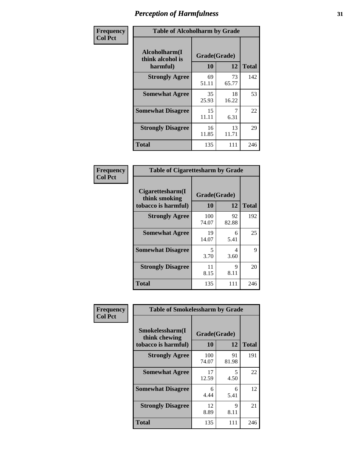| Frequency      | <b>Table of Alcoholharm by Grade</b>          |                    |             |              |  |
|----------------|-----------------------------------------------|--------------------|-------------|--------------|--|
| <b>Col Pct</b> | Alcoholharm(I<br>think alcohol is<br>harmful) | Grade(Grade)<br>10 | 12          | <b>Total</b> |  |
|                | <b>Strongly Agree</b>                         | 69<br>51.11        | 73<br>65.77 | 142          |  |
|                | <b>Somewhat Agree</b>                         | 35<br>25.93        | 18<br>16.22 | 53           |  |
|                | <b>Somewhat Disagree</b>                      | 15<br>11.11        | 6.31        | 22           |  |
|                | <b>Strongly Disagree</b>                      | 16<br>11.85        | 13<br>11.71 | 29           |  |
|                | <b>Total</b>                                  | 135                | 111         | 246          |  |

| <b>Table of Cigarettesharm by Grade</b>                  |                    |             |              |  |  |  |
|----------------------------------------------------------|--------------------|-------------|--------------|--|--|--|
| Cigarettesharm(I<br>think smoking<br>tobacco is harmful) | Grade(Grade)<br>10 | 12          | <b>Total</b> |  |  |  |
| <b>Strongly Agree</b>                                    | 100<br>74.07       | 92<br>82.88 | 192          |  |  |  |
| <b>Somewhat Agree</b>                                    | 19<br>14.07        | 6<br>5.41   | 25           |  |  |  |
| <b>Somewhat Disagree</b>                                 | 5<br>3.70          | 4<br>3.60   | 9            |  |  |  |
| <b>Strongly Disagree</b>                                 | 11<br>8.15         | 9<br>8.11   | 20           |  |  |  |
| <b>Total</b>                                             | 135                | 111         | 246          |  |  |  |

| Frequency      | <b>Table of Smokelessharm by Grade</b>                  |                    |             |              |  |  |
|----------------|---------------------------------------------------------|--------------------|-------------|--------------|--|--|
| <b>Col Pct</b> | Smokelessharm(I<br>think chewing<br>tobacco is harmful) | Grade(Grade)<br>10 | 12          | <b>Total</b> |  |  |
|                | <b>Strongly Agree</b>                                   | 100<br>74.07       | 91<br>81.98 | 191          |  |  |
|                | <b>Somewhat Agree</b>                                   | 17<br>12.59        | 5<br>4.50   | 22           |  |  |
|                | <b>Somewhat Disagree</b>                                | 6<br>4.44          | 6<br>5.41   | 12           |  |  |
|                | <b>Strongly Disagree</b>                                | 12<br>8.89         | 9<br>8.11   | 21           |  |  |
|                | <b>Total</b>                                            | 135                | 111         | 246          |  |  |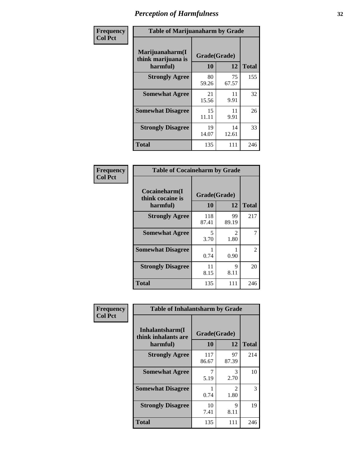| Frequency      |                                                   | <b>Table of Marijuanaharm by Grade</b> |             |              |  |  |
|----------------|---------------------------------------------------|----------------------------------------|-------------|--------------|--|--|
| <b>Col Pct</b> | Marijuanaharm(I<br>think marijuana is<br>harmful) | Grade(Grade)<br>10                     | 12          | <b>Total</b> |  |  |
|                | <b>Strongly Agree</b>                             | 80<br>59.26                            | 75<br>67.57 | 155          |  |  |
|                | <b>Somewhat Agree</b>                             | 21<br>15.56                            | 11<br>9.91  | 32           |  |  |
|                | <b>Somewhat Disagree</b>                          | 15<br>11.11                            | 11<br>9.91  | 26           |  |  |
|                | <b>Strongly Disagree</b>                          | 19<br>14.07                            | 14<br>12.61 | 33           |  |  |
|                | <b>Total</b>                                      | 135                                    | 111         | 246          |  |  |

| <b>Table of Cocaineharm by Grade</b>          |                    |                        |              |  |  |  |
|-----------------------------------------------|--------------------|------------------------|--------------|--|--|--|
| Cocaineharm(I<br>think cocaine is<br>harmful) | Grade(Grade)<br>10 | 12                     | <b>Total</b> |  |  |  |
| <b>Strongly Agree</b>                         | 118<br>87.41       | 99<br>89.19            | 217          |  |  |  |
| <b>Somewhat Agree</b>                         | 5<br>3.70          | $\mathfrak{D}$<br>1.80 | 7            |  |  |  |
| <b>Somewhat Disagree</b>                      | 1<br>0.74          | 0.90                   | 2            |  |  |  |
| <b>Strongly Disagree</b>                      | 11<br>8.15         | 9<br>8.11              | 20           |  |  |  |
| <b>Total</b>                                  | 135                | 111                    | 246          |  |  |  |

| Frequency      | <b>Table of Inhalantsharm by Grade</b>             |                    |                       |              |  |  |
|----------------|----------------------------------------------------|--------------------|-----------------------|--------------|--|--|
| <b>Col Pct</b> | Inhalantsharm(I<br>think inhalants are<br>harmful) | Grade(Grade)<br>10 | 12                    | <b>Total</b> |  |  |
|                | <b>Strongly Agree</b>                              | 117<br>86.67       | 97<br>87.39           | 214          |  |  |
|                | <b>Somewhat Agree</b>                              | 7<br>5.19          | 3<br>2.70             | 10           |  |  |
|                | <b>Somewhat Disagree</b>                           | 0.74               | $\mathcal{L}$<br>1.80 | 3            |  |  |
|                | <b>Strongly Disagree</b>                           | 10<br>7.41         | 9<br>8.11             | 19           |  |  |
|                | <b>Total</b>                                       | 135                | 111                   | 246          |  |  |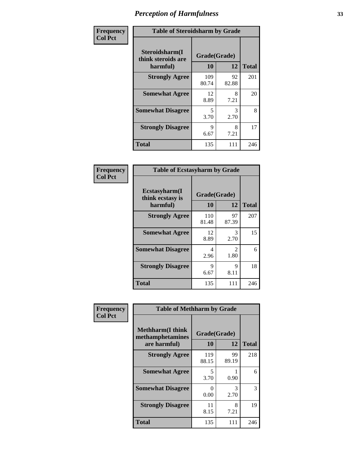| Frequency      | <b>Table of Steroidsharm by Grade</b>            |                    |             |              |  |
|----------------|--------------------------------------------------|--------------------|-------------|--------------|--|
| <b>Col Pct</b> | Steroidsharm(I<br>think steroids are<br>harmful) | Grade(Grade)<br>10 | 12          | <b>Total</b> |  |
|                | <b>Strongly Agree</b>                            | 109<br>80.74       | 92<br>82.88 | 201          |  |
|                | <b>Somewhat Agree</b>                            | 12<br>8.89         | 8<br>7.21   | 20           |  |
|                | <b>Somewhat Disagree</b>                         | 5<br>3.70          | 3<br>2.70   | 8            |  |
|                | <b>Strongly Disagree</b>                         | Q<br>6.67          | 8<br>7.21   | 17           |  |
|                | <b>Total</b>                                     | 135                | 111         | 246          |  |

| <b>Table of Ecstasyharm by Grade</b>          |                    |                        |              |  |  |  |
|-----------------------------------------------|--------------------|------------------------|--------------|--|--|--|
| Ecstasyharm(I<br>think ecstasy is<br>harmful) | Grade(Grade)<br>10 | 12                     | <b>Total</b> |  |  |  |
| <b>Strongly Agree</b>                         | 110<br>81.48       | 97<br>87.39            | 207          |  |  |  |
| <b>Somewhat Agree</b>                         | 12<br>8.89         | 3<br>2.70              | 15           |  |  |  |
| <b>Somewhat Disagree</b>                      | 4<br>2.96          | $\mathfrak{D}$<br>1.80 | 6            |  |  |  |
| <b>Strongly Disagree</b>                      | 9<br>6.67          | 9<br>8.11              | 18           |  |  |  |
| <b>Total</b>                                  | 135                | 111                    | 246          |  |  |  |

| Frequency      | <b>Table of Methharm by Grade</b>                            |                           |             |              |
|----------------|--------------------------------------------------------------|---------------------------|-------------|--------------|
| <b>Col Pct</b> | <b>Methharm</b> (I think<br>methamphetamines<br>are harmful) | Grade(Grade)<br><b>10</b> | 12          | <b>Total</b> |
|                | <b>Strongly Agree</b>                                        | 119<br>88.15              | 99<br>89.19 | 218          |
|                | <b>Somewhat Agree</b>                                        | 5<br>3.70                 | 0.90        | 6            |
|                | <b>Somewhat Disagree</b>                                     | 0<br>0.00                 | 3<br>2.70   | 3            |
|                | <b>Strongly Disagree</b>                                     | 11<br>8.15                | 8<br>7.21   | 19           |
|                | <b>Total</b>                                                 | 135                       | 111         | 246          |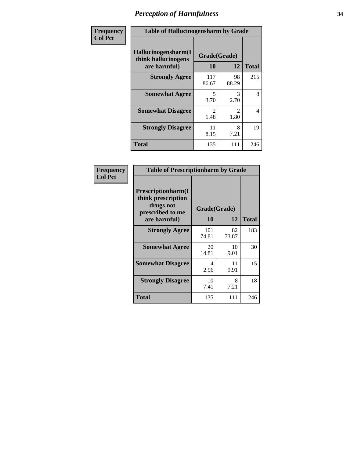| Frequency      | <b>Table of Hallucinogensharm by Grade</b>                 |                       |                       |              |
|----------------|------------------------------------------------------------|-----------------------|-----------------------|--------------|
| <b>Col Pct</b> | Hallucinogensharm(I<br>think hallucinogens<br>are harmful) | Grade(Grade)<br>10    | 12                    | <b>Total</b> |
|                | <b>Strongly Agree</b>                                      | 117<br>86.67          | 98<br>88.29           | 215          |
|                | <b>Somewhat Agree</b>                                      | 5<br>3.70             | 3<br>2.70             | 8            |
|                | <b>Somewhat Disagree</b>                                   | $\mathcal{L}$<br>1.48 | $\mathcal{L}$<br>1.80 | 4            |
|                | <b>Strongly Disagree</b>                                   | 11<br>8.15            | 8<br>7.21             | 19           |
|                | <b>Total</b>                                               | 135                   | 111                   | 246          |

| <b>Table of Prescriptionharm by Grade</b>                                                         |                    |             |              |  |
|---------------------------------------------------------------------------------------------------|--------------------|-------------|--------------|--|
| <b>Prescriptionharm</b> (I<br>think prescription<br>drugs not<br>prescribed to me<br>are harmful) | Grade(Grade)<br>10 | 12          | <b>Total</b> |  |
| <b>Strongly Agree</b>                                                                             | 101<br>74.81       | 82<br>73.87 | 183          |  |
| <b>Somewhat Agree</b>                                                                             | 20<br>14.81        | 10<br>9.01  | 30           |  |
| <b>Somewhat Disagree</b>                                                                          | 4<br>2.96          | 11<br>9.91  | 15           |  |
| <b>Strongly Disagree</b>                                                                          | 10<br>7.41         | 8<br>7.21   | 18           |  |
| <b>Total</b>                                                                                      | 135                | 111         | 246          |  |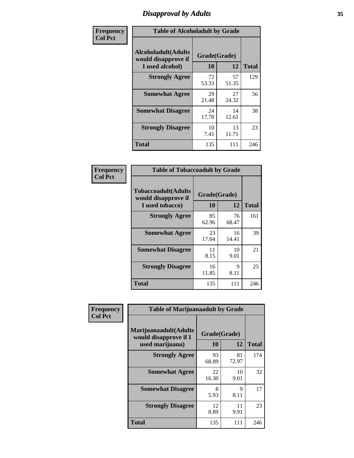# *Disapproval by Adults* **35**

| Frequency      | <b>Table of Alcoholadult by Grade</b>                                 |                    |             |              |
|----------------|-----------------------------------------------------------------------|--------------------|-------------|--------------|
| <b>Col Pct</b> | <b>Alcoholadult</b> (Adults<br>would disapprove if<br>I used alcohol) | Grade(Grade)<br>10 | 12          | <b>Total</b> |
|                | <b>Strongly Agree</b>                                                 | 72<br>53.33        | 57<br>51.35 | 129          |
|                | <b>Somewhat Agree</b>                                                 | 29<br>21.48        | 27<br>24.32 | 56           |
|                | <b>Somewhat Disagree</b>                                              | 24<br>17.78        | 14<br>12.61 | 38           |
|                | <b>Strongly Disagree</b>                                              | 10<br>7.41         | 13<br>11.71 | 23           |
|                | <b>Total</b>                                                          | 135                | 111         | 246          |

| <b>Table of Tobaccoadult by Grade</b>                                 |                    |             |              |  |
|-----------------------------------------------------------------------|--------------------|-------------|--------------|--|
| <b>Tobaccoadult</b> (Adults<br>would disapprove if<br>I used tobacco) | Grade(Grade)<br>10 | 12          | <b>Total</b> |  |
| <b>Strongly Agree</b>                                                 | 85<br>62.96        | 76<br>68.47 | 161          |  |
| <b>Somewhat Agree</b>                                                 | 23<br>17.04        | 16<br>14.41 | 39           |  |
| <b>Somewhat Disagree</b>                                              | 11<br>8.15         | 10<br>9.01  | 21           |  |
| <b>Strongly Disagree</b>                                              | 16<br>11.85        | 9<br>8.11   | 25           |  |
| <b>Total</b>                                                          | 135                | 111         | 246          |  |

| Frequency      | <b>Table of Marijuanaadult by Grade</b>                           |                    |             |              |
|----------------|-------------------------------------------------------------------|--------------------|-------------|--------------|
| <b>Col Pct</b> | Marijuanaadult(Adults<br>would disapprove if I<br>used marijuana) | Grade(Grade)<br>10 | 12          | <b>Total</b> |
|                | <b>Strongly Agree</b>                                             | 93<br>68.89        | 81<br>72.97 | 174          |
|                | <b>Somewhat Agree</b>                                             | 22<br>16.30        | 10<br>9.01  | 32           |
|                | <b>Somewhat Disagree</b>                                          | 8<br>5.93          | 9<br>8.11   | 17           |
|                | <b>Strongly Disagree</b>                                          | 12<br>8.89         | 11<br>9.91  | 23           |
|                | <b>Total</b>                                                      | 135                | 111         | 246          |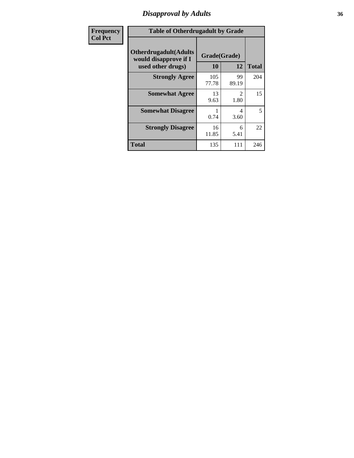### *Disapproval by Adults* **36**

| <b>Frequency</b> | <b>Table of Otherdrugadult by Grade</b>                                     |                    |                                     |              |
|------------------|-----------------------------------------------------------------------------|--------------------|-------------------------------------|--------------|
| <b>Col Pct</b>   | <b>Otherdrugadult</b> (Adults<br>would disapprove if I<br>used other drugs) | Grade(Grade)<br>10 | 12                                  | <b>Total</b> |
|                  | <b>Strongly Agree</b>                                                       | 105<br>77.78       | 99<br>89.19                         | 204          |
|                  | <b>Somewhat Agree</b>                                                       | 13<br>9.63         | $\mathcal{D}_{\mathcal{L}}$<br>1.80 | 15           |
|                  | <b>Somewhat Disagree</b>                                                    | 0.74               | 4<br>3.60                           | 5            |
|                  | <b>Strongly Disagree</b>                                                    | 16<br>11.85        | 6<br>5.41                           | 22           |
|                  | <b>Total</b>                                                                | 135                | 111                                 | 246          |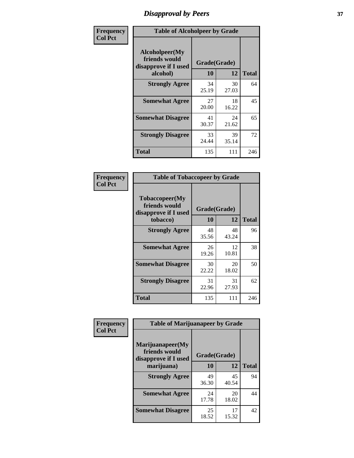# *Disapproval by Peers* **37**

| Frequency      | <b>Table of Alcoholpeer by Grade</b>                    |              |             |              |  |
|----------------|---------------------------------------------------------|--------------|-------------|--------------|--|
| <b>Col Pct</b> | Alcoholpeer(My<br>friends would<br>disapprove if I used | Grade(Grade) |             |              |  |
|                | alcohol)                                                | 10           | 12          | <b>Total</b> |  |
|                | <b>Strongly Agree</b>                                   | 34<br>25.19  | 30<br>27.03 | 64           |  |
|                | <b>Somewhat Agree</b>                                   | 27<br>20.00  | 18<br>16.22 | 45           |  |
|                | <b>Somewhat Disagree</b>                                | 41<br>30.37  | 24<br>21.62 | 65           |  |
|                | <b>Strongly Disagree</b>                                | 33<br>24.44  | 39<br>35.14 | 72           |  |
|                | Total                                                   | 135          | 111         | 246          |  |

| Frequency      | <b>Table of Tobaccopeer by Grade</b>                                |                    |             |              |  |
|----------------|---------------------------------------------------------------------|--------------------|-------------|--------------|--|
| <b>Col Pct</b> | Tobaccopeer(My<br>friends would<br>disapprove if I used<br>tobacco) | Grade(Grade)<br>10 | 12          | <b>Total</b> |  |
|                | <b>Strongly Agree</b>                                               | 48<br>35.56        | 48<br>43.24 | 96           |  |
|                | <b>Somewhat Agree</b>                                               | 26<br>19.26        | 12<br>10.81 | 38           |  |
|                | <b>Somewhat Disagree</b>                                            | 30<br>22.22        | 20<br>18.02 | 50           |  |
|                | <b>Strongly Disagree</b>                                            | 31<br>22.96        | 31<br>27.93 | 62           |  |
|                | Total                                                               | 135                | 111         | 246          |  |

| Frequency      | <b>Table of Marijuanapeer by Grade</b> |              |             |              |
|----------------|----------------------------------------|--------------|-------------|--------------|
| <b>Col Pct</b> | Marijuanapeer(My                       |              |             |              |
|                | friends would<br>disapprove if I used  | Grade(Grade) |             |              |
|                | marijuana)                             | 10           | 12          | <b>Total</b> |
|                | <b>Strongly Agree</b>                  | 49           | 45          | 94           |
|                |                                        | 36.30        | 40.54       |              |
|                | <b>Somewhat Agree</b>                  | 24           | 20          | 44           |
|                |                                        | 17.78        | 18.02       |              |
|                | <b>Somewhat Disagree</b>               | 25<br>18.52  | 17<br>15.32 | 42           |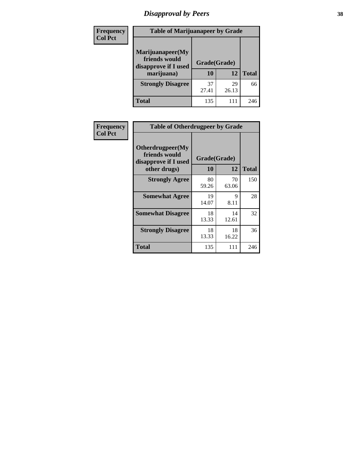# *Disapproval by Peers* **38**

| <b>Frequency</b> | <b>Table of Marijuanapeer by Grade</b>                                  |                    |             |              |
|------------------|-------------------------------------------------------------------------|--------------------|-------------|--------------|
| <b>Col Pct</b>   | Marijuanapeer(My<br>friends would<br>disapprove if I used<br>marijuana) | Grade(Grade)<br>10 | 12          | <b>Total</b> |
|                  | <b>Strongly Disagree</b>                                                | 37<br>27.41        | 29<br>26.13 | 66           |
|                  | <b>Total</b>                                                            | 135                | 111         | 246          |

| <b>Frequency</b> | <b>Table of Otherdrugpeer by Grade</b>                                    |                    |                     |              |
|------------------|---------------------------------------------------------------------------|--------------------|---------------------|--------------|
| <b>Col Pct</b>   | Otherdrugpeer(My<br>friends would<br>disapprove if I used<br>other drugs) | Grade(Grade)<br>10 | 12                  | <b>Total</b> |
|                  |                                                                           |                    |                     |              |
|                  | <b>Strongly Agree</b>                                                     | 80<br>59.26        | 70<br>63.06         | 150          |
|                  | <b>Somewhat Agree</b>                                                     | 19<br>14.07        | $\mathbf Q$<br>8.11 | 28           |
|                  | <b>Somewhat Disagree</b>                                                  | 18<br>13.33        | 14<br>12.61         | 32           |
|                  | <b>Strongly Disagree</b>                                                  | 18<br>13.33        | 18<br>16.22         | 36           |
|                  | Total                                                                     | 135                | 111                 | 246          |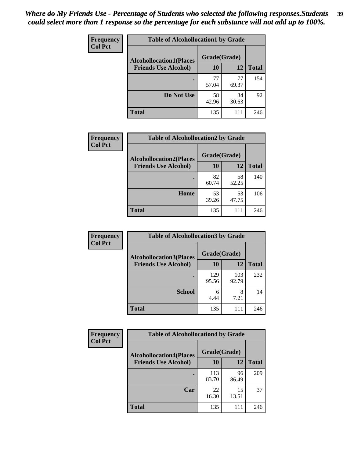| Frequency      | <b>Table of Alcohollocation1 by Grade</b> |              |             |              |
|----------------|-------------------------------------------|--------------|-------------|--------------|
| <b>Col Pct</b> | <b>Alcohollocation1(Places</b>            | Grade(Grade) |             |              |
|                | <b>Friends Use Alcohol)</b>               | 10           | 12          | <b>Total</b> |
|                |                                           | 77<br>57.04  | 77<br>69.37 | 154          |
|                | Do Not Use                                | 58<br>42.96  | 34<br>30.63 | 92           |
|                | <b>Total</b>                              | 135          | 111         | 246          |

| Frequency      | <b>Table of Alcohollocation2 by Grade</b>                     |                    |             |              |
|----------------|---------------------------------------------------------------|--------------------|-------------|--------------|
| <b>Col Pct</b> | <b>Alcohollocation2(Places</b><br><b>Friends Use Alcohol)</b> | Grade(Grade)<br>10 | <b>12</b>   | <b>Total</b> |
|                |                                                               | 82<br>60.74        | 58<br>52.25 | 140          |
|                | Home                                                          | 53<br>39.26        | 53<br>47.75 | 106          |
|                | <b>Total</b>                                                  | 135                | 111         | 246          |

| Frequency<br><b>Col Pct</b> | <b>Table of Alcohollocation 3 by Grade</b>                    |                    |              |              |
|-----------------------------|---------------------------------------------------------------|--------------------|--------------|--------------|
|                             | <b>Alcohollocation3(Places</b><br><b>Friends Use Alcohol)</b> | Grade(Grade)<br>10 | 12           | <b>Total</b> |
|                             |                                                               | 129<br>95.56       | 103<br>92.79 | 232          |
|                             | <b>School</b>                                                 | 6<br>4.44          | 8<br>7.21    | 14           |
|                             | <b>Total</b>                                                  | 135                |              | 246          |

| <b>Frequency</b> | <b>Table of Alcohollocation4 by Grade</b> |              |             |              |  |
|------------------|-------------------------------------------|--------------|-------------|--------------|--|
| <b>Col Pct</b>   | <b>Alcohollocation4(Places</b>            | Grade(Grade) |             |              |  |
|                  | <b>Friends Use Alcohol)</b>               | <b>10</b>    | 12          | <b>Total</b> |  |
|                  |                                           | 113<br>83.70 | 96<br>86.49 | 209          |  |
|                  | Car                                       | 22<br>16.30  | 15<br>13.51 | 37           |  |
|                  | <b>Total</b>                              | 135          | 111         | 246          |  |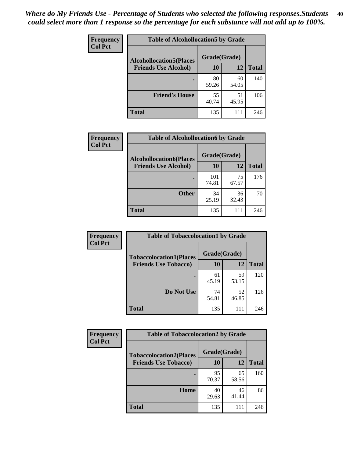| Frequency<br><b>Col Pct</b> | <b>Table of Alcohollocation5 by Grade</b> |              |             |              |
|-----------------------------|-------------------------------------------|--------------|-------------|--------------|
|                             | <b>Alcohollocation5(Places</b>            | Grade(Grade) |             |              |
|                             | <b>Friends Use Alcohol)</b>               | 10           | 12          | <b>Total</b> |
|                             |                                           | 80<br>59.26  | 60<br>54.05 | 140          |
|                             | <b>Friend's House</b>                     | 55<br>40.74  | 51<br>45.95 | 106          |
|                             | <b>Total</b>                              | 135          | 111         | 246          |

| <b>Frequency</b> | <b>Table of Alcohollocation6 by Grade</b> |              |             |              |
|------------------|-------------------------------------------|--------------|-------------|--------------|
| <b>Col Pct</b>   | <b>Alcohollocation6(Places</b>            | Grade(Grade) |             |              |
|                  | <b>Friends Use Alcohol)</b>               | 10           | 12          | <b>Total</b> |
|                  |                                           | 101<br>74.81 | 75<br>67.57 | 176          |
|                  | <b>Other</b>                              | 34<br>25.19  | 36<br>32.43 | 70           |
|                  | <b>Total</b>                              | 135          | 111         | 246          |

| Frequency      | <b>Table of Tobaccolocation1 by Grade</b> |              |             |              |
|----------------|-------------------------------------------|--------------|-------------|--------------|
| <b>Col Pct</b> | <b>Tobaccolocation1(Places</b>            | Grade(Grade) |             |              |
|                | <b>Friends Use Tobacco)</b>               | <b>10</b>    | 12          | <b>Total</b> |
|                |                                           | 61<br>45.19  | 59<br>53.15 | 120          |
|                | Do Not Use                                | 74<br>54.81  | 52<br>46.85 | 126          |
|                | <b>Total</b>                              | 135          | 111         | 246          |

| <b>Frequency</b> | <b>Table of Tobaccolocation2 by Grade</b> |              |             |              |  |
|------------------|-------------------------------------------|--------------|-------------|--------------|--|
| <b>Col Pct</b>   | <b>Tobaccolocation2(Places</b>            | Grade(Grade) |             |              |  |
|                  | <b>Friends Use Tobacco)</b>               | 10           | 12          | <b>Total</b> |  |
|                  |                                           | 95<br>70.37  | 65<br>58.56 | 160          |  |
|                  | Home                                      | 40<br>29.63  | 46<br>41.44 | 86           |  |
|                  | <b>Total</b>                              | 135          |             | 246          |  |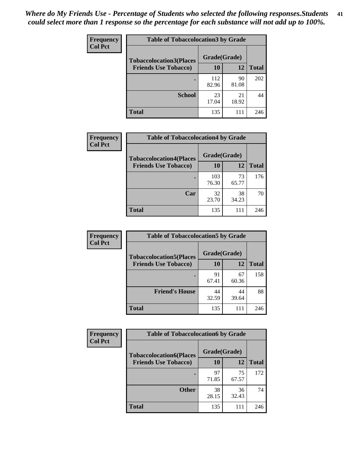| Frequency      | <b>Table of Tobaccolocation 3 by Grade</b> |              |             |              |
|----------------|--------------------------------------------|--------------|-------------|--------------|
| <b>Col Pct</b> | <b>Tobaccolocation3(Places</b>             | Grade(Grade) |             |              |
|                | <b>Friends Use Tobacco)</b>                | 10           | 12          | <b>Total</b> |
|                |                                            | 112<br>82.96 | 90<br>81.08 | 202          |
|                | <b>School</b>                              | 23<br>17.04  | 21<br>18.92 | 44           |
|                | <b>Total</b>                               | 135          | 111         | 246          |

| Frequency      | <b>Table of Tobaccolocation4 by Grade</b> |              |             |              |
|----------------|-------------------------------------------|--------------|-------------|--------------|
| <b>Col Pct</b> | <b>Tobaccolocation4(Places</b>            | Grade(Grade) |             |              |
|                | <b>Friends Use Tobacco)</b>               | 10           | 12          | <b>Total</b> |
|                |                                           | 103<br>76.30 | 73<br>65.77 | 176          |
|                | Car                                       | 32<br>23.70  | 38<br>34.23 | 70           |
|                | <b>Total</b>                              | 135          | 111         | 246          |

| Frequency      | <b>Table of Tobaccolocation5 by Grade</b> |              |             |              |
|----------------|-------------------------------------------|--------------|-------------|--------------|
| <b>Col Pct</b> | <b>Tobaccolocation5(Places</b>            | Grade(Grade) |             |              |
|                | <b>Friends Use Tobacco)</b>               | 10           | 12          | <b>Total</b> |
|                |                                           | 91<br>67.41  | 67<br>60.36 | 158          |
|                | <b>Friend's House</b>                     | 44<br>32.59  | 44<br>39.64 | 88           |
|                | <b>Total</b>                              | 135          | 111         | 246          |

| <b>Frequency</b> | <b>Table of Tobaccolocation6 by Grade</b> |              |             |              |  |
|------------------|-------------------------------------------|--------------|-------------|--------------|--|
| <b>Col Pct</b>   | <b>Tobaccolocation6(Places</b>            | Grade(Grade) |             |              |  |
|                  | <b>Friends Use Tobacco)</b>               | 10           | 12          | <b>Total</b> |  |
|                  |                                           | 97<br>71.85  | 75<br>67.57 | 172          |  |
|                  | <b>Other</b>                              | 38<br>28.15  | 36<br>32.43 | 74           |  |
|                  | <b>Total</b>                              | 135          | 111         | 246          |  |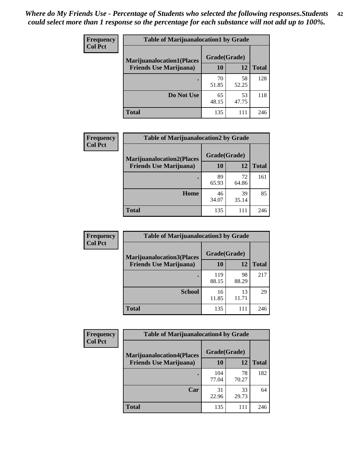| <b>Frequency</b> | <b>Table of Marijuanalocation1 by Grade</b> |              |             |              |
|------------------|---------------------------------------------|--------------|-------------|--------------|
| <b>Col Pct</b>   | <b>Marijuanalocation1(Places</b>            | Grade(Grade) |             |              |
|                  | <b>Friends Use Marijuana</b> )              | 10           | 12          | <b>Total</b> |
|                  |                                             | 70<br>51.85  | 58<br>52.25 | 128          |
|                  | Do Not Use                                  | 65<br>48.15  | 53<br>47.75 | 118          |
|                  | <b>Total</b>                                | 135          | 111         | 246          |

| <b>Frequency</b> | <b>Table of Marijuanalocation2 by Grade</b>                        |                    |             |              |
|------------------|--------------------------------------------------------------------|--------------------|-------------|--------------|
| <b>Col Pct</b>   | <b>Marijuanalocation2(Places</b><br><b>Friends Use Marijuana</b> ) | Grade(Grade)<br>10 | 12          | <b>Total</b> |
|                  |                                                                    | 89<br>65.93        | 72<br>64.86 | 161          |
|                  | <b>Home</b>                                                        | 46<br>34.07        | 39<br>35.14 | 85           |
|                  | <b>Total</b>                                                       | 135                | 111         | 246          |

| Frequency<br><b>Col Pct</b> | <b>Table of Marijuanalocation3 by Grade</b> |              |             |              |
|-----------------------------|---------------------------------------------|--------------|-------------|--------------|
|                             | <b>Marijuanalocation3</b> (Places           | Grade(Grade) |             |              |
|                             | <b>Friends Use Marijuana</b> )              | <b>10</b>    | 12          | <b>Total</b> |
|                             |                                             | 119<br>88.15 | 98<br>88.29 | 217          |
|                             | <b>School</b>                               | 16<br>11.85  | 13<br>11.71 | 29           |
|                             | <b>Total</b>                                | 135          | 111         | 246          |

| <b>Frequency</b> | <b>Table of Marijuanalocation4 by Grade</b> |              |             |              |  |
|------------------|---------------------------------------------|--------------|-------------|--------------|--|
| <b>Col Pct</b>   | <b>Marijuanalocation4(Places</b>            | Grade(Grade) |             |              |  |
|                  | <b>Friends Use Marijuana</b> )              | <b>10</b>    | 12          | <b>Total</b> |  |
|                  |                                             | 104<br>77.04 | 78<br>70.27 | 182          |  |
|                  | Car                                         | 31<br>22.96  | 33<br>29.73 | 64           |  |
|                  | <b>Total</b>                                | 135          | 111         | 246          |  |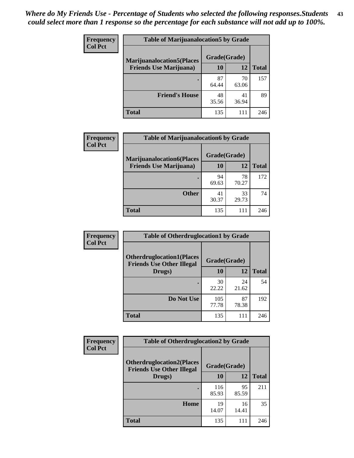| <b>Frequency</b> | <b>Table of Marijuanalocation5 by Grade</b> |              |             |              |
|------------------|---------------------------------------------|--------------|-------------|--------------|
| <b>Col Pct</b>   | <b>Marijuanalocation5</b> (Places           | Grade(Grade) |             |              |
|                  | <b>Friends Use Marijuana</b> )              | 10           | 12          | <b>Total</b> |
|                  |                                             | 87<br>64.44  | 70<br>63.06 | 157          |
|                  | <b>Friend's House</b>                       | 48<br>35.56  | 41<br>36.94 | 89           |
|                  | <b>Total</b>                                | 135          | 111         | 246          |

| <b>Frequency</b> | <b>Table of Marijuanalocation6 by Grade</b>                        |                    |             |              |
|------------------|--------------------------------------------------------------------|--------------------|-------------|--------------|
| <b>Col Pct</b>   | <b>Marijuanalocation6(Places</b><br><b>Friends Use Marijuana</b> ) | Grade(Grade)<br>10 | 12          | <b>Total</b> |
|                  |                                                                    | 94<br>69.63        | 78<br>70.27 | 172          |
|                  | <b>Other</b>                                                       | 41<br>30.37        | 33<br>29.73 | 74           |
|                  | <b>Total</b>                                                       | 135                | 111         | 246          |

| <b>Frequency</b> | <b>Table of Otherdruglocation1 by Grade</b>                          |              |             |              |
|------------------|----------------------------------------------------------------------|--------------|-------------|--------------|
| <b>Col Pct</b>   | <b>Otherdruglocation1(Places</b><br><b>Friends Use Other Illegal</b> | Grade(Grade) |             |              |
|                  | Drugs)                                                               | <b>10</b>    | 12          | <b>Total</b> |
|                  |                                                                      | 30<br>22.22  | 24<br>21.62 | 54           |
|                  | Do Not Use                                                           | 105<br>77.78 | 87<br>78.38 | 192          |
|                  | <b>Total</b>                                                         | 135          | 111         | 246          |

| <b>Frequency</b> | <b>Table of Otherdruglocation2 by Grade</b>                          |              |             |              |
|------------------|----------------------------------------------------------------------|--------------|-------------|--------------|
| <b>Col Pct</b>   | <b>Otherdruglocation2(Places</b><br><b>Friends Use Other Illegal</b> | Grade(Grade) |             |              |
|                  | Drugs)                                                               | 10           | 12          | <b>Total</b> |
|                  |                                                                      | 116<br>85.93 | 95<br>85.59 | 211          |
|                  | Home                                                                 | 19<br>14.07  | 16<br>14.41 | 35           |
|                  | <b>Total</b>                                                         | 135          | 111         | 246          |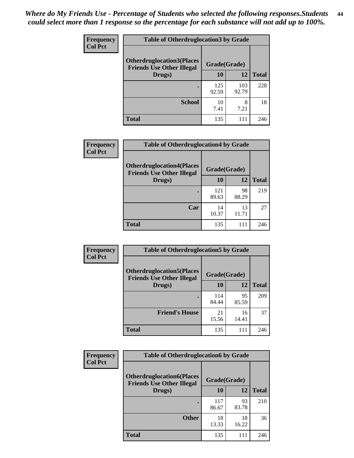| <b>Frequency</b> | <b>Table of Otherdruglocation3 by Grade</b>                          |              |              |              |
|------------------|----------------------------------------------------------------------|--------------|--------------|--------------|
| <b>Col Pct</b>   | <b>Otherdruglocation3(Places</b><br><b>Friends Use Other Illegal</b> | Grade(Grade) |              |              |
|                  | Drugs)                                                               | 10           | 12           | <b>Total</b> |
|                  |                                                                      | 125<br>92.59 | 103<br>92.79 | 228          |
|                  | <b>School</b>                                                        | 10<br>7.41   | 8<br>7.21    | 18           |
|                  | <b>Total</b>                                                         | 135          | 111          | 246          |

| <b>Frequency</b> | <b>Table of Otherdruglocation4 by Grade</b>                          |              |             |              |
|------------------|----------------------------------------------------------------------|--------------|-------------|--------------|
| <b>Col Pct</b>   | <b>Otherdruglocation4(Places</b><br><b>Friends Use Other Illegal</b> | Grade(Grade) |             |              |
|                  | Drugs)                                                               | 10           | 12          | <b>Total</b> |
|                  |                                                                      | 121<br>89.63 | 98<br>88.29 | 219          |
|                  | Car                                                                  | 14<br>10.37  | 13<br>11.71 | 27           |
|                  | <b>Total</b>                                                         | 135          | 111         | 246          |

| Frequency      | <b>Table of Otherdruglocation5 by Grade</b>                          |              |             |              |
|----------------|----------------------------------------------------------------------|--------------|-------------|--------------|
| <b>Col Pct</b> | <b>Otherdruglocation5(Places</b><br><b>Friends Use Other Illegal</b> | Grade(Grade) |             |              |
|                | Drugs)                                                               | 10           | 12          | <b>Total</b> |
|                |                                                                      | 114<br>84.44 | 95<br>85.59 | 209          |
|                | <b>Friend's House</b>                                                | 21<br>15.56  | 16<br>14.41 | 37           |
|                | Total                                                                | 135          | 111         | 246          |

| Frequency      | <b>Table of Otherdruglocation6 by Grade</b>                          |              |             |              |
|----------------|----------------------------------------------------------------------|--------------|-------------|--------------|
| <b>Col Pct</b> | <b>Otherdruglocation6(Places</b><br><b>Friends Use Other Illegal</b> | Grade(Grade) |             |              |
|                | Drugs)                                                               | 10           | 12          | <b>Total</b> |
|                |                                                                      | 117<br>86.67 | 93<br>83.78 | 210          |
|                | <b>Other</b>                                                         | 18<br>13.33  | 18<br>16.22 | 36           |
|                | <b>Total</b>                                                         | 135          | 111         | 246          |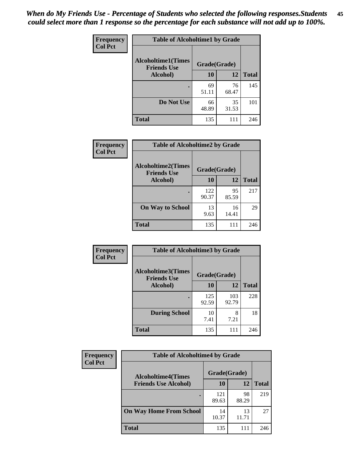| Frequency      | <b>Table of Alcoholtime1 by Grade</b>           |              |             |              |
|----------------|-------------------------------------------------|--------------|-------------|--------------|
| <b>Col Pct</b> | <b>Alcoholtime1(Times</b><br><b>Friends Use</b> | Grade(Grade) |             |              |
|                | Alcohol)                                        | 10           | 12          | <b>Total</b> |
|                |                                                 | 69<br>51.11  | 76<br>68.47 | 145          |
|                | Do Not Use                                      | 66<br>48.89  | 35<br>31.53 | 101          |
|                | <b>Total</b>                                    | 135          | 111         | 246          |

| Frequency      | <b>Table of Alcoholtime2 by Grade</b>           |              |             |              |
|----------------|-------------------------------------------------|--------------|-------------|--------------|
| <b>Col Pct</b> | <b>Alcoholtime2(Times</b><br><b>Friends Use</b> | Grade(Grade) |             |              |
|                | Alcohol)                                        | 10           | 12          | <b>Total</b> |
|                |                                                 | 122<br>90.37 | 95<br>85.59 | 217          |
|                | <b>On Way to School</b>                         | 13<br>9.63   | 16<br>14.41 | 29           |
|                | <b>Total</b>                                    | 135          | 111         | 246          |

| Frequency      | <b>Table of Alcoholtime3 by Grade</b>                    |              |              |              |
|----------------|----------------------------------------------------------|--------------|--------------|--------------|
| <b>Col Pct</b> | Alcoholtime3(Times<br>Grade(Grade)<br><b>Friends Use</b> |              |              |              |
|                | Alcohol)                                                 | 10           | 12           | <b>Total</b> |
|                |                                                          | 125<br>92.59 | 103<br>92.79 | 228          |
|                | <b>During School</b>                                     | 10<br>7.41   | 8<br>7.21    | 18           |
|                | <b>Total</b>                                             | 135          | 111          | 246          |

| <b>Frequency</b> | <b>Table of Alcoholtime4 by Grade</b> |              |             |              |
|------------------|---------------------------------------|--------------|-------------|--------------|
| <b>Col Pct</b>   | <b>Alcoholtime4(Times</b>             | Grade(Grade) |             |              |
|                  | <b>Friends Use Alcohol)</b>           | 10           | 12          | <b>Total</b> |
|                  |                                       | 121<br>89.63 | 98<br>88.29 | 219          |
|                  | <b>On Way Home From School</b>        | 14<br>10.37  | 13<br>11.71 | 27           |
|                  | <b>Total</b>                          | 135          | 111         | 246          |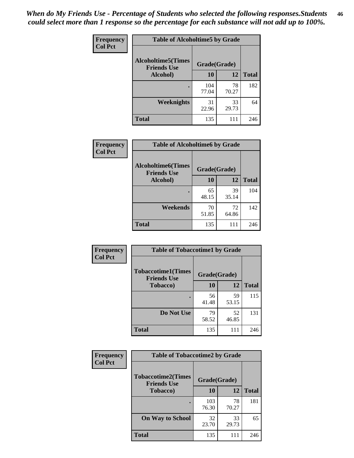*When do My Friends Use - Percentage of Students who selected the following responses.Students could select more than 1 response so the percentage for each substance will not add up to 100%.* **46**

| Frequency      | <b>Table of Alcoholtime5 by Grade</b>           |              |             |              |
|----------------|-------------------------------------------------|--------------|-------------|--------------|
| <b>Col Pct</b> | <b>Alcoholtime5(Times</b><br><b>Friends Use</b> | Grade(Grade) |             |              |
|                | Alcohol)                                        | 10           | 12          | <b>Total</b> |
|                |                                                 | 104<br>77.04 | 78<br>70.27 | 182          |
|                | Weeknights                                      | 31<br>22.96  | 33<br>29.73 | 64           |
|                | <b>Total</b>                                    | 135          | 111         | 246          |

| Frequency      | <b>Table of Alcoholtime6 by Grade</b>           |              |             |              |
|----------------|-------------------------------------------------|--------------|-------------|--------------|
| <b>Col Pct</b> | <b>Alcoholtime6(Times</b><br><b>Friends Use</b> | Grade(Grade) |             |              |
|                | Alcohol)                                        | 10           | 12          | <b>Total</b> |
|                |                                                 | 65<br>48.15  | 39<br>35.14 | 104          |
|                | Weekends                                        | 70<br>51.85  | 72<br>64.86 | 142          |
|                | <b>Total</b>                                    | 135          | 111         | 246          |

| Frequency      | <b>Table of Tobaccotime1 by Grade</b>           |              |             |              |
|----------------|-------------------------------------------------|--------------|-------------|--------------|
| <b>Col Pct</b> | <b>Tobaccotime1(Times</b><br><b>Friends Use</b> | Grade(Grade) |             |              |
|                | <b>Tobacco</b> )                                | 10           | 12          | <b>Total</b> |
|                |                                                 | 56<br>41.48  | 59<br>53.15 | 115          |
|                | Do Not Use                                      | 79<br>58.52  | 52<br>46.85 | 131          |
|                | <b>Total</b>                                    | 135          | 111         | 246          |

| <b>Frequency</b> | <b>Table of Tobaccotime2 by Grade</b>           |              |             |              |  |
|------------------|-------------------------------------------------|--------------|-------------|--------------|--|
| <b>Col Pct</b>   | <b>Tobaccotime2(Times</b><br><b>Friends Use</b> | Grade(Grade) |             |              |  |
|                  | <b>Tobacco</b> )                                | 10           | 12          | <b>Total</b> |  |
|                  |                                                 | 103<br>76.30 | 78<br>70.27 | 181          |  |
|                  | <b>On Way to School</b>                         | 32<br>23.70  | 33<br>29.73 | 65           |  |
|                  | <b>Total</b>                                    | 135          | 111         | 246          |  |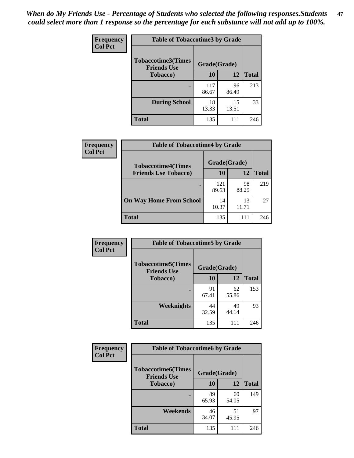*When do My Friends Use - Percentage of Students who selected the following responses.Students could select more than 1 response so the percentage for each substance will not add up to 100%.* **47**

| <b>Frequency</b> | <b>Table of Tobaccotime3 by Grade</b>           |              |             |              |  |
|------------------|-------------------------------------------------|--------------|-------------|--------------|--|
| <b>Col Pct</b>   | <b>Tobaccotime3(Times</b><br><b>Friends Use</b> | Grade(Grade) |             |              |  |
|                  | <b>Tobacco</b> )                                | 10           | 12          | <b>Total</b> |  |
|                  |                                                 | 117<br>86.67 | 96<br>86.49 | 213          |  |
|                  | <b>During School</b>                            | 18<br>13.33  | 15<br>13.51 | 33           |  |
|                  | <b>Total</b>                                    | 135          | 111         | 246          |  |

| <b>Frequency</b><br><b>Col Pct</b> | <b>Table of Tobaccotime4 by Grade</b> |              |             |              |
|------------------------------------|---------------------------------------|--------------|-------------|--------------|
|                                    | <b>Tobaccotime4(Times</b>             | Grade(Grade) |             |              |
|                                    | <b>Friends Use Tobacco)</b>           | 10           | 12          | <b>Total</b> |
|                                    |                                       | 121<br>89.63 | 98<br>88.29 | 219          |
|                                    | <b>On Way Home From School</b>        | 14<br>10.37  | 13<br>11.71 | 27           |
|                                    | Total                                 | 135          | 111         | 246          |

| <b>Frequency</b> | <b>Table of Tobaccotime5 by Grade</b>            |              |             |              |
|------------------|--------------------------------------------------|--------------|-------------|--------------|
| <b>Col Pct</b>   | <b>Tobaccotime5</b> (Times<br><b>Friends Use</b> | Grade(Grade) |             |              |
|                  | Tobacco)                                         | 10           | 12          | <b>Total</b> |
|                  | ٠                                                | 91<br>67.41  | 62<br>55.86 | 153          |
|                  | Weeknights                                       | 44<br>32.59  | 49<br>44.14 | 93           |
|                  | <b>Total</b>                                     | 135          | 111         | 246          |

| Frequency      | <b>Table of Tobaccotime6 by Grade</b>           |              |             |              |
|----------------|-------------------------------------------------|--------------|-------------|--------------|
| <b>Col Pct</b> | <b>Tobaccotime6(Times</b><br><b>Friends Use</b> | Grade(Grade) |             |              |
|                | <b>Tobacco</b> )                                | 10           | 12          | <b>Total</b> |
|                | ٠                                               | 89<br>65.93  | 60<br>54.05 | 149          |
|                | Weekends                                        | 46<br>34.07  | 51<br>45.95 | 97           |
|                | <b>Total</b>                                    | 135          | 111         | 246          |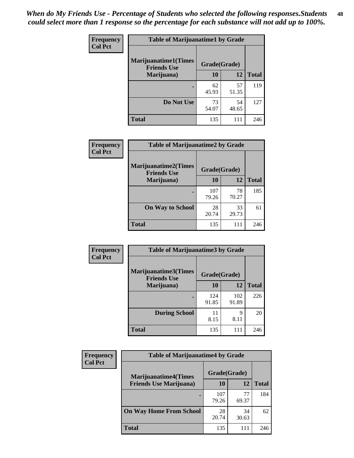| Frequency      | <b>Table of Marijuanatime1 by Grade</b>           |              |             |              |  |
|----------------|---------------------------------------------------|--------------|-------------|--------------|--|
| <b>Col Pct</b> | <b>Marijuanatime1(Times</b><br><b>Friends Use</b> | Grade(Grade) |             |              |  |
|                | Marijuana)                                        | 10           | 12          | <b>Total</b> |  |
|                |                                                   | 62<br>45.93  | 57<br>51.35 | 119          |  |
|                | Do Not Use                                        | 73<br>54.07  | 54<br>48.65 | 127          |  |
|                | <b>Total</b>                                      | 135          | 111         | 246          |  |

| <b>Frequency</b> | <b>Table of Marijuanatime2 by Grade</b>           |              |             |              |
|------------------|---------------------------------------------------|--------------|-------------|--------------|
| <b>Col Pct</b>   | <b>Marijuanatime2(Times</b><br><b>Friends Use</b> | Grade(Grade) |             |              |
|                  | Marijuana)                                        | 10           | 12          | <b>Total</b> |
|                  |                                                   | 107<br>79.26 | 78<br>70.27 | 185          |
|                  | <b>On Way to School</b>                           | 28<br>20.74  | 33<br>29.73 | 61           |
|                  | <b>Total</b>                                      | 135          | 111         | 246          |

| Frequency      | <b>Table of Marijuanatime3 by Grade</b>    |              |              |              |
|----------------|--------------------------------------------|--------------|--------------|--------------|
| <b>Col Pct</b> | Marijuanatime3(Times<br><b>Friends Use</b> | Grade(Grade) |              |              |
|                | Marijuana)                                 | 10           | 12           | <b>Total</b> |
|                |                                            | 124<br>91.85 | 102<br>91.89 | 226          |
|                | <b>During School</b>                       | 11<br>8.15   | Q<br>8.11    | 20           |
|                | <b>Total</b>                               | 135          | 111          | 246          |

| <b>Frequency</b> | <b>Table of Marijuanatime4 by Grade</b> |              |             |              |
|------------------|-----------------------------------------|--------------|-------------|--------------|
| <b>Col Pct</b>   | <b>Marijuanatime4(Times</b>             | Grade(Grade) |             |              |
|                  | <b>Friends Use Marijuana</b> )          | 10           | 12          | <b>Total</b> |
|                  |                                         | 107<br>79.26 | 77<br>69.37 | 184          |
|                  | <b>On Way Home From School</b>          | 28<br>20.74  | 34<br>30.63 | 62           |
|                  | <b>Total</b>                            | 135          | 111         | 246          |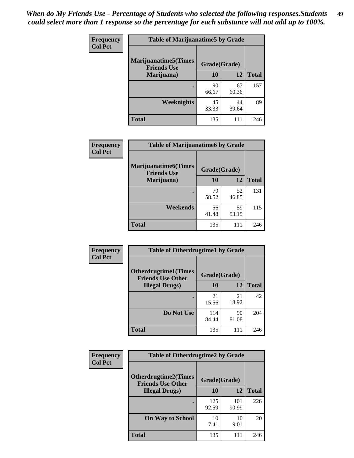| Frequency      | <b>Table of Marijuanatime5 by Grade</b>            |              |             |              |  |
|----------------|----------------------------------------------------|--------------|-------------|--------------|--|
| <b>Col Pct</b> | <b>Marijuanatime5</b> (Times<br><b>Friends Use</b> | Grade(Grade) |             |              |  |
|                | Marijuana)                                         | 10           | 12          | <b>Total</b> |  |
|                |                                                    | 90<br>66.67  | 67<br>60.36 | 157          |  |
|                | Weeknights                                         | 45<br>33.33  | 44<br>39.64 | 89           |  |
|                | <b>Total</b>                                       | 135          | 111         | 246          |  |

| Frequency      | <b>Table of Marijuanatime6 by Grade</b>           |              |             |              |
|----------------|---------------------------------------------------|--------------|-------------|--------------|
| <b>Col Pct</b> | <b>Marijuanatime6(Times</b><br><b>Friends Use</b> | Grade(Grade) |             |              |
|                | Marijuana)                                        | 10           | 12          | <b>Total</b> |
|                |                                                   | 79<br>58.52  | 52<br>46.85 | 131          |
|                | Weekends                                          | 56<br>41.48  | 59<br>53.15 | 115          |
|                | <b>Total</b>                                      | 135          | 111         | 246          |

| <b>Frequency</b> | <b>Table of Otherdrugtime1 by Grade</b>                  |              |             |              |  |
|------------------|----------------------------------------------------------|--------------|-------------|--------------|--|
| <b>Col Pct</b>   | <b>Otherdrugtime1</b> (Times<br><b>Friends Use Other</b> | Grade(Grade) |             |              |  |
|                  | <b>Illegal Drugs</b> )                                   | 10           | 12          | <b>Total</b> |  |
|                  |                                                          | 21<br>15.56  | 21<br>18.92 | 42           |  |
|                  | Do Not Use                                               | 114<br>84.44 | 90<br>81.08 | 204          |  |
|                  | <b>Total</b>                                             | 135          | 111         | 246          |  |

| Frequency<br><b>Col Pct</b> | <b>Table of Otherdrugtime2 by Grade</b>                 |              |              |              |  |  |
|-----------------------------|---------------------------------------------------------|--------------|--------------|--------------|--|--|
|                             | <b>Otherdrugtime2(Times</b><br><b>Friends Use Other</b> | Grade(Grade) |              |              |  |  |
|                             | <b>Illegal Drugs</b> )                                  | 10           | 12           | <b>Total</b> |  |  |
|                             |                                                         | 125<br>92.59 | 101<br>90.99 | 226          |  |  |
|                             | <b>On Way to School</b>                                 | 10<br>7.41   | 10<br>9.01   | 20           |  |  |
|                             | Total                                                   | 135          | 111          | 246          |  |  |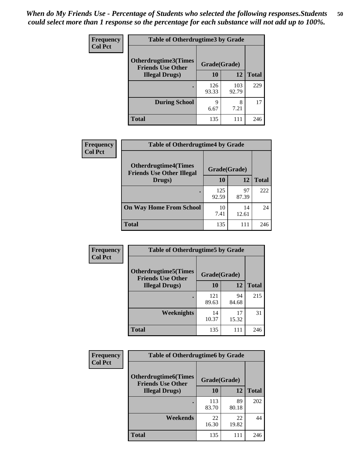| <b>Frequency</b> | <b>Table of Otherdrugtime3 by Grade</b>          |              |              |              |  |  |
|------------------|--------------------------------------------------|--------------|--------------|--------------|--|--|
| <b>Col Pct</b>   | Otherdrugtime3(Times<br><b>Friends Use Other</b> |              |              |              |  |  |
|                  | <b>Illegal Drugs</b> )                           | 10           | 12           | <b>Total</b> |  |  |
|                  |                                                  | 126<br>93.33 | 103<br>92.79 | 229          |  |  |
|                  | <b>During School</b>                             | 9<br>6.67    | 8<br>7.21    | 17           |  |  |
|                  | Total                                            | 135          | 111          | 246          |  |  |

| Frequency      | <b>Table of Otherdrugtime4 by Grade</b>                         |              |             |              |  |  |  |
|----------------|-----------------------------------------------------------------|--------------|-------------|--------------|--|--|--|
| <b>Col Pct</b> | <b>Otherdrugtime4(Times</b><br><b>Friends Use Other Illegal</b> | Grade(Grade) |             |              |  |  |  |
|                | Drugs)                                                          | 10           | 12          | <b>Total</b> |  |  |  |
|                | $\bullet$                                                       | 125<br>92.59 | 97<br>87.39 | 222          |  |  |  |
|                | <b>On Way Home From School</b>                                  | 10<br>7.41   | 14<br>12.61 | 24           |  |  |  |
|                | <b>Total</b>                                                    | 135          | 111         | 246          |  |  |  |

| <b>Frequency</b><br><b>Col Pct</b> | <b>Table of Otherdrugtime5 by Grade</b>                  |              |             |              |  |  |
|------------------------------------|----------------------------------------------------------|--------------|-------------|--------------|--|--|
|                                    | <b>Otherdrugtime5</b> (Times<br><b>Friends Use Other</b> | Grade(Grade) |             |              |  |  |
|                                    | <b>Illegal Drugs</b> )                                   | 10           | 12          | <b>Total</b> |  |  |
|                                    |                                                          | 121<br>89.63 | 94<br>84.68 | 215          |  |  |
|                                    | <b>Weeknights</b>                                        | 14<br>10.37  | 17<br>15.32 | 31           |  |  |
|                                    | Total                                                    | 135          | 111         | 246          |  |  |

| <b>Frequency</b> | <b>Table of Otherdrugtime6 by Grade</b>                 |              |             |              |  |  |
|------------------|---------------------------------------------------------|--------------|-------------|--------------|--|--|
| <b>Col Pct</b>   | <b>Otherdrugtime6(Times</b><br><b>Friends Use Other</b> | Grade(Grade) |             |              |  |  |
|                  | <b>Illegal Drugs</b> )                                  | 10           | 12          | <b>Total</b> |  |  |
|                  |                                                         | 113<br>83.70 | 89<br>80.18 | 202          |  |  |
|                  | Weekends                                                | 22<br>16.30  | 22<br>19.82 | 44           |  |  |
|                  | Total                                                   | 135          | 111         | 246          |  |  |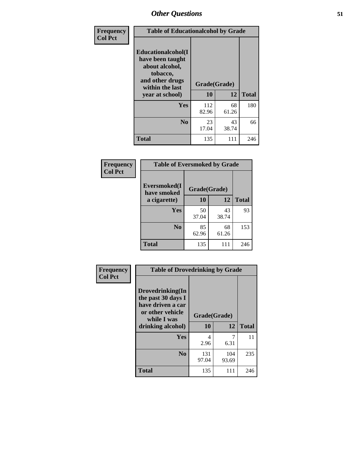| Frequency      | <b>Table of Educationalcohol by Grade</b>                                                                  |              |             |              |  |  |
|----------------|------------------------------------------------------------------------------------------------------------|--------------|-------------|--------------|--|--|
| <b>Col Pct</b> | Educationalcohol(I<br>have been taught<br>about alcohol,<br>tobacco,<br>and other drugs<br>within the last | Grade(Grade) |             |              |  |  |
|                | year at school)                                                                                            | 10           | 12          | <b>Total</b> |  |  |
|                | Yes                                                                                                        | 112<br>82.96 | 68<br>61.26 | 180          |  |  |
|                | N <sub>0</sub>                                                                                             | 23<br>17.04  | 43<br>38.74 | 66           |  |  |
|                | <b>Total</b>                                                                                               | 135          | 111         | 246          |  |  |

| Frequency      | <b>Table of Eversmoked by Grade</b>         |             |             |              |  |  |  |
|----------------|---------------------------------------------|-------------|-------------|--------------|--|--|--|
| <b>Col Pct</b> | Eversmoked(I<br>Grade(Grade)<br>have smoked |             |             |              |  |  |  |
|                | a cigarette)                                | 10          | 12          | <b>Total</b> |  |  |  |
|                | <b>Yes</b>                                  | 50<br>37.04 | 43<br>38.74 | 93           |  |  |  |
|                | N <sub>0</sub>                              | 85<br>62.96 | 68<br>61.26 | 153          |  |  |  |
|                | <b>Total</b>                                | 135         | 111         | 246          |  |  |  |

| Frequency      | <b>Table of Drovedrinking by Grade</b>                                                                              |                          |              |              |  |  |
|----------------|---------------------------------------------------------------------------------------------------------------------|--------------------------|--------------|--------------|--|--|
| <b>Col Pct</b> | Drovedrinking(In<br>the past 30 days I<br>have driven a car<br>or other vehicle<br>while I was<br>drinking alcohol) | Grade(Grade)<br>10<br>12 |              | <b>Total</b> |  |  |
|                | <b>Yes</b>                                                                                                          | 4<br>2.96                | 6.31         | 11           |  |  |
|                | N <sub>0</sub>                                                                                                      | 131<br>97.04             | 104<br>93.69 | 235          |  |  |
|                | <b>Total</b>                                                                                                        | 135                      | 111          | 246          |  |  |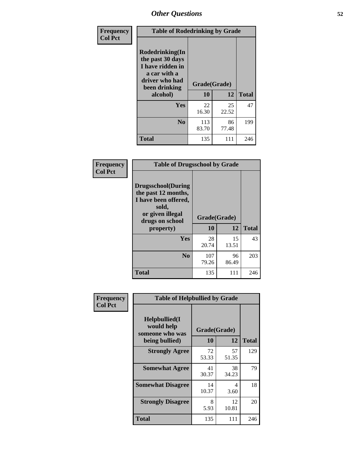| Frequency<br><b>Col Pct</b> | <b>Table of Rodedrinking by Grade</b>                                                                      |              |             |              |  |  |
|-----------------------------|------------------------------------------------------------------------------------------------------------|--------------|-------------|--------------|--|--|
|                             | Rodedrinking(In<br>the past 30 days<br>I have ridden in<br>a car with a<br>driver who had<br>been drinking | Grade(Grade) |             |              |  |  |
|                             | alcohol)                                                                                                   | 10           | 12          | <b>Total</b> |  |  |
|                             | Yes                                                                                                        | 22<br>16.30  | 25<br>22.52 | 47           |  |  |
|                             | N <sub>0</sub>                                                                                             | 113<br>83.70 | 86<br>77.48 | 199          |  |  |
|                             | <b>Total</b>                                                                                               | 135          | 111         | 246          |  |  |

#### **Frequency Col Pct**

| <b>Table of Drugsschool by Grade</b>                                                                                      |              |             |              |  |  |  |  |
|---------------------------------------------------------------------------------------------------------------------------|--------------|-------------|--------------|--|--|--|--|
| <b>Drugsschool</b> (During<br>the past 12 months,<br>I have been offered,<br>sold,<br>or given illegal<br>drugs on school | Grade(Grade) |             |              |  |  |  |  |
| property)                                                                                                                 | 10           | 12          | <b>Total</b> |  |  |  |  |
| Yes                                                                                                                       | 28<br>20.74  | 15<br>13.51 | 43           |  |  |  |  |
| $\bf No$                                                                                                                  | 107<br>79.26 | 96<br>86.49 | 203          |  |  |  |  |
| Total                                                                                                                     | 135          | 111         | 246          |  |  |  |  |

| Frequency      | <b>Table of Helpbullied by Grade</b>                 |              |             |              |  |
|----------------|------------------------------------------------------|--------------|-------------|--------------|--|
| <b>Col Pct</b> | $Helpb$ ullied $(I$<br>would help<br>someone who was | Grade(Grade) |             |              |  |
|                | being bullied)                                       | 10           | 12          | <b>Total</b> |  |
|                | <b>Strongly Agree</b>                                | 72<br>53.33  | 57<br>51.35 | 129          |  |
|                | <b>Somewhat Agree</b>                                | 41<br>30.37  | 38<br>34.23 | 79           |  |
|                | <b>Somewhat Disagree</b>                             | 14<br>10.37  | 4<br>3.60   | 18           |  |
|                | <b>Strongly Disagree</b>                             | 8<br>5.93    | 12<br>10.81 | 20           |  |
|                | <b>Total</b>                                         | 135          | 111         | 246          |  |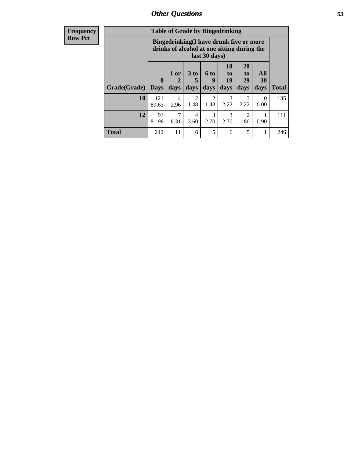| <b>Frequency</b> | <b>Table of Grade by Bingedrinking</b> |                                                                                                         |                        |                              |                             |                                   |                        |                   |              |
|------------------|----------------------------------------|---------------------------------------------------------------------------------------------------------|------------------------|------------------------------|-----------------------------|-----------------------------------|------------------------|-------------------|--------------|
| <b>Row Pct</b>   |                                        | Bingedrinking(I have drunk five or more<br>drinks of alcohol at one sitting during the<br>last 30 days) |                        |                              |                             |                                   |                        |                   |              |
|                  | Grade(Grade)   Days                    | $\mathbf{0}$                                                                                            | 1 or<br>2<br>days      | 3 <sub>to</sub><br>5<br>days | $6 \text{ to}$<br>9<br>days | 10<br>$\mathbf{to}$<br>19<br>days | 20<br>to<br>29<br>days | All<br>30<br>days | <b>Total</b> |
|                  | 10                                     | 121<br>89.63                                                                                            | $\overline{4}$<br>2.96 | $\overline{2}$<br>1.48       | 2<br>1.48                   | 3<br>2.22                         | 3<br>2.22              | 0<br>0.00         | 135          |
|                  | 12                                     | 91<br>81.98                                                                                             | $\tau$<br>6.31         | 4<br>3.60                    | 3<br>2.70                   | 3<br>2.70                         | 2<br>1.80              | 0.90              | 111          |
|                  | <b>Total</b>                           | 212                                                                                                     | 11                     | 6                            | 5                           | 6                                 | 5                      |                   | 246          |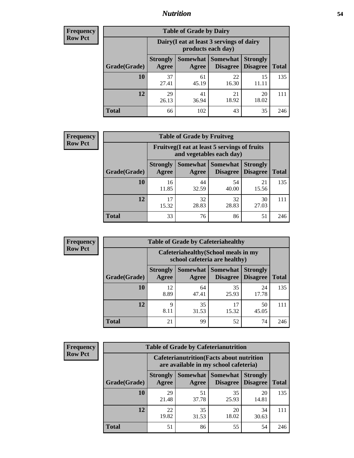### *Nutrition* **54**

| <b>Frequency</b><br>Row Pct |
|-----------------------------|
|                             |

| <b>Table of Grade by Dairy</b> |                          |                                                                 |                             |                                    |              |  |
|--------------------------------|--------------------------|-----------------------------------------------------------------|-----------------------------|------------------------------------|--------------|--|
|                                |                          | Dairy (I eat at least 3 servings of dairy<br>products each day) |                             |                                    |              |  |
| Grade(Grade)                   | <b>Strongly</b><br>Agree | Somewhat<br>Agree                                               | <b>Somewhat</b><br>Disagree | <b>Strongly</b><br><b>Disagree</b> | <b>Total</b> |  |
| 10                             | 37<br>27.41              | 61<br>45.19                                                     | 22<br>16.30                 | 15<br>11.11                        | 135          |  |
| 12                             | 29<br>26.13              | 41<br>36.94                                                     | 21<br>18.92                 | 20<br>18.02                        | 111          |  |
| <b>Total</b>                   | 66                       | 102                                                             | 43                          | 35                                 | 246          |  |

| Frequency      |
|----------------|
| <b>Row Pct</b> |

| <b>Table of Grade by Fruitveg</b> |                          |                                                                          |                                      |                                    |              |  |
|-----------------------------------|--------------------------|--------------------------------------------------------------------------|--------------------------------------|------------------------------------|--------------|--|
|                                   |                          | Fruitveg(I eat at least 5 servings of fruits<br>and vegetables each day) |                                      |                                    |              |  |
| Grade(Grade)                      | <b>Strongly</b><br>Agree | Agree                                                                    | Somewhat Somewhat<br><b>Disagree</b> | <b>Strongly</b><br><b>Disagree</b> | <b>Total</b> |  |
| 10                                | 16<br>11.85              | 44<br>32.59                                                              | 54<br>40.00                          | 21<br>15.56                        | 135          |  |
| 12                                | 15.32                    | 32<br>28.83                                                              | 32<br>28.83                          | 30<br>27.03                        | 111          |  |
| <b>Total</b>                      | 33                       | 76                                                                       | 86                                   | 51                                 | 246          |  |

| <b>Frequency</b> | <b>Table of Grade by Cafeteriahealthy</b> |                                                                       |             |                                          |                                    |              |
|------------------|-------------------------------------------|-----------------------------------------------------------------------|-------------|------------------------------------------|------------------------------------|--------------|
| <b>Row Pct</b>   |                                           | Cafeteriahealthy (School meals in my<br>school cafeteria are healthy) |             |                                          |                                    |              |
|                  | Grade(Grade)                              | <b>Strongly</b><br>Agree                                              | Agree       | Somewhat   Somewhat  <br><b>Disagree</b> | <b>Strongly</b><br><b>Disagree</b> | <b>Total</b> |
|                  | 10                                        | 12<br>8.89                                                            | 64<br>47.41 | 35<br>25.93                              | 24<br>17.78                        | 135          |
|                  | 12                                        | Q<br>8.11                                                             | 35<br>31.53 | 17<br>15.32                              | 50<br>45.05                        | 111          |
|                  | <b>Total</b>                              | 21                                                                    | 99          | 52                                       | 74                                 | 246          |

| <b>Frequency</b> |
|------------------|
| <b>Row Pct</b>   |

| <b>Table of Grade by Cafeterianutrition</b> |                          |                                                                                           |                                    |                                    |              |  |
|---------------------------------------------|--------------------------|-------------------------------------------------------------------------------------------|------------------------------------|------------------------------------|--------------|--|
|                                             |                          | <b>Cafeterianutrition</b> (Facts about nutrition<br>are available in my school cafeteria) |                                    |                                    |              |  |
| Grade(Grade)                                | <b>Strongly</b><br>Agree | <b>Somewhat</b><br>Agree                                                                  | <b>Somewhat</b><br><b>Disagree</b> | <b>Strongly</b><br><b>Disagree</b> | <b>Total</b> |  |
| 10                                          | 29<br>21.48              | 51<br>37.78                                                                               | 35<br>25.93                        | 20<br>14.81                        | 135          |  |
| 12                                          | 22<br>19.82              | 35<br>31.53                                                                               | 20<br>18.02                        | 34<br>30.63                        | 111          |  |
| <b>Total</b>                                | 51                       | 86                                                                                        | 55                                 | 54                                 | 246          |  |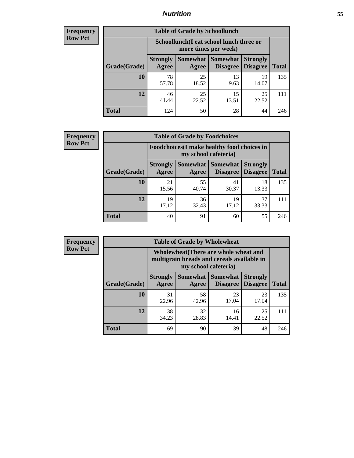### *Nutrition* **55**

| Frequency |
|-----------|
| Row Pct   |

| <b>Table of Grade by Schoollunch</b> |                          |                                                                 |                                 |                                    |              |  |
|--------------------------------------|--------------------------|-----------------------------------------------------------------|---------------------------------|------------------------------------|--------------|--|
|                                      |                          | Schoollunch(I eat school lunch three or<br>more times per week) |                                 |                                    |              |  |
| Grade(Grade)                         | <b>Strongly</b><br>Agree | Agree                                                           | Somewhat   Somewhat<br>Disagree | <b>Strongly</b><br><b>Disagree</b> | <b>Total</b> |  |
| 10                                   | 78<br>57.78              | 25<br>18.52                                                     | 13<br>9.63                      | 19<br>14.07                        | 135          |  |
| 12                                   | 46<br>41.44              | 25<br>22.52                                                     | 15<br>13.51                     | 25<br>22.52                        | 111          |  |
| <b>Total</b>                         | 124                      | 50                                                              | 28                              | 44                                 | 246          |  |

| <b>Frequency</b> |  |
|------------------|--|
| <b>Row Pct</b>   |  |

| <b>Table of Grade by Foodchoices</b> |                          |                                                                     |                                      |                                    |              |
|--------------------------------------|--------------------------|---------------------------------------------------------------------|--------------------------------------|------------------------------------|--------------|
|                                      |                          | Foodchoices (I make healthy food choices in<br>my school cafeteria) |                                      |                                    |              |
| Grade(Grade)                         | <b>Strongly</b><br>Agree | Agree                                                               | <b>Somewhat Somewhat</b><br>Disagree | <b>Strongly</b><br><b>Disagree</b> | <b>Total</b> |
| 10                                   | 21<br>15.56              | 55<br>40.74                                                         | 41<br>30.37                          | 18<br>13.33                        | 135          |
| 12                                   | 19<br>17.12              | 36<br>32.43                                                         | 19<br>17.12                          | 37<br>33.33                        | 111          |
| <b>Total</b>                         | 40                       | 91                                                                  | 60                                   | 55                                 | 246          |

| <b>Frequency</b> |
|------------------|
| <b>Row Pct</b>   |

7 C

| $\mathbf{y}$ |              | <b>Table of Grade by Wholewheat</b>                                                                         |             |                                          |                                    |              |  |  |
|--------------|--------------|-------------------------------------------------------------------------------------------------------------|-------------|------------------------------------------|------------------------------------|--------------|--|--|
|              |              | Wholewheat (There are whole wheat and<br>multigrain breads and cereals available in<br>my school cafeteria) |             |                                          |                                    |              |  |  |
|              | Grade(Grade) | <b>Strongly</b><br>Agree                                                                                    | Agree       | Somewhat   Somewhat  <br><b>Disagree</b> | <b>Strongly</b><br><b>Disagree</b> | <b>Total</b> |  |  |
|              | 10           | 31<br>22.96                                                                                                 | 58<br>42.96 | 23<br>17.04                              | 23<br>17.04                        | 135          |  |  |
|              | 12           | 38<br>34.23                                                                                                 | 32<br>28.83 | 16<br>14.41                              | 25<br>22.52                        | 111          |  |  |
|              | <b>Total</b> | 69                                                                                                          | 90          | 39                                       | 48                                 | 246          |  |  |

÷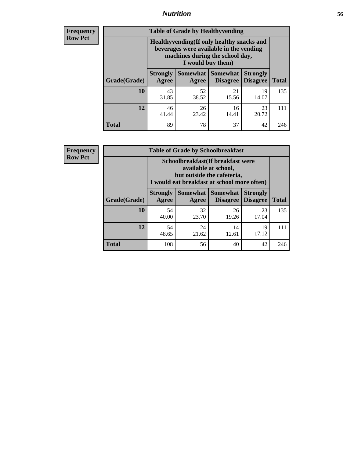### *Nutrition* **56**

**Frequency Row Pct**

| <b>Table of Grade by Healthyvending</b> |                                                                                                                                               |                     |                                    |                                    |              |  |
|-----------------------------------------|-----------------------------------------------------------------------------------------------------------------------------------------------|---------------------|------------------------------------|------------------------------------|--------------|--|
|                                         | Healthyvending (If only healthy snacks and<br>beverages were available in the vending<br>machines during the school day,<br>I would buy them) |                     |                                    |                                    |              |  |
| Grade(Grade)                            | <b>Strongly</b><br>Agree                                                                                                                      | Somewhat  <br>Agree | <b>Somewhat</b><br><b>Disagree</b> | <b>Strongly</b><br><b>Disagree</b> | <b>Total</b> |  |
| 10                                      | 43<br>31.85                                                                                                                                   | 52<br>38.52         | 21<br>15.56                        | 19<br>14.07                        | 135          |  |
| 12                                      | 46<br>41.44                                                                                                                                   | 26<br>23.42         | 16<br>14.41                        | 23<br>20.72                        | 111          |  |
| <b>Total</b>                            | 89                                                                                                                                            | 78                  | 37                                 | 42                                 | 246          |  |

**Frequency Row Pct**

| <b>Table of Grade by Schoolbreakfast</b> |                                                                                                                                         |             |                                 |                                    |              |  |  |
|------------------------------------------|-----------------------------------------------------------------------------------------------------------------------------------------|-------------|---------------------------------|------------------------------------|--------------|--|--|
|                                          | Schoolbreakfast (If breakfast were<br>available at school,<br>but outside the cafeteria,<br>I would eat breakfast at school more often) |             |                                 |                                    |              |  |  |
| Grade(Grade)                             | <b>Strongly</b><br>Agree                                                                                                                | Agree       | Somewhat   Somewhat<br>Disagree | <b>Strongly</b><br><b>Disagree</b> | <b>Total</b> |  |  |
| 10                                       | 54<br>40.00                                                                                                                             | 32<br>23.70 | 26<br>19.26                     | 23<br>17.04                        | 135          |  |  |
| 12                                       | 54<br>48.65                                                                                                                             | 24<br>21.62 | 14<br>12.61                     | 19<br>17.12                        | 111          |  |  |
| <b>Total</b>                             | 108                                                                                                                                     | 56          | 40                              | 42                                 | 246          |  |  |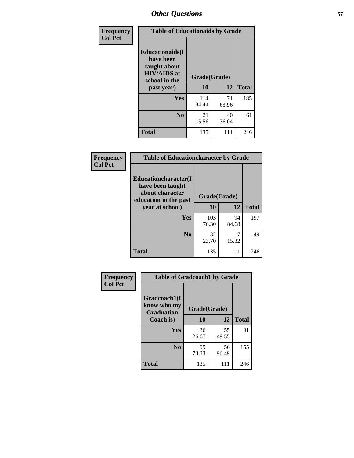| Frequency<br><b>Col Pct</b> | <b>Table of Educationaids by Grade</b>                                                                    |                    |             |              |
|-----------------------------|-----------------------------------------------------------------------------------------------------------|--------------------|-------------|--------------|
|                             | <b>Educationaids</b> (I<br>have been<br>taught about<br><b>HIV/AIDS</b> at<br>school in the<br>past year) | Grade(Grade)<br>10 | 12          | <b>Total</b> |
|                             | Yes                                                                                                       | 114<br>84.44       | 71<br>63.96 | 185          |
|                             | N <sub>0</sub>                                                                                            | 21<br>15.56        | 40<br>36.04 | 61           |
|                             | <b>Total</b>                                                                                              | 135                | 111         | 246          |

| <b>Frequency</b> | <b>Table of Educationcharacter by Grade</b>                                                             |              |             |              |
|------------------|---------------------------------------------------------------------------------------------------------|--------------|-------------|--------------|
| <b>Col Pct</b>   | Educationcharacter(I<br>have been taught<br>about character<br>education in the past<br>year at school) | Grade(Grade) |             |              |
|                  |                                                                                                         | 10           | 12          | <b>Total</b> |
|                  | <b>Yes</b>                                                                                              | 103<br>76.30 | 94<br>84.68 | 197          |
|                  | N <sub>0</sub>                                                                                          | 32<br>23.70  | 17<br>15.32 | 49           |
|                  | <b>Total</b>                                                                                            | 135          | 111         | 246          |

| Frequency      | <b>Table of Gradcoach1 by Grade</b>              |              |             |              |  |
|----------------|--------------------------------------------------|--------------|-------------|--------------|--|
| <b>Col Pct</b> | Gradcoach1(I<br>know who my<br><b>Graduation</b> | Grade(Grade) |             |              |  |
|                | Coach is)                                        | 10           | 12          | <b>Total</b> |  |
|                | Yes                                              | 36<br>26.67  | 55<br>49.55 | 91           |  |
|                | N <sub>0</sub>                                   | 99<br>73.33  | 56<br>50.45 | 155          |  |
|                | <b>Total</b>                                     | 135          | 111         | 246          |  |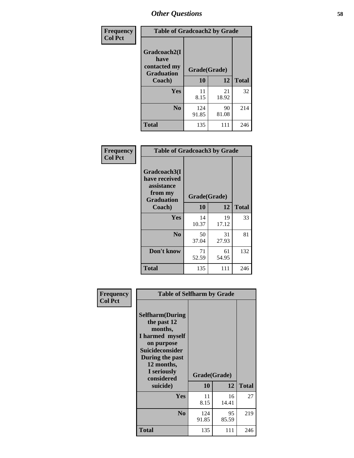| Frequency      | <b>Table of Gradcoach2 by Grade</b> |              |             |              |
|----------------|-------------------------------------|--------------|-------------|--------------|
| <b>Col Pct</b> |                                     |              |             |              |
|                | Gradcoach2(I<br>have                |              |             |              |
|                | contacted my<br><b>Graduation</b>   | Grade(Grade) |             |              |
|                | Coach)                              | 10           | 12          | <b>Total</b> |
|                | Yes                                 | 11<br>8.15   | 21<br>18.92 | 32           |
|                | N <sub>0</sub>                      | 124<br>91.85 | 90<br>81.08 | 214          |
|                | <b>Total</b>                        | 135          | 111         | 246          |

| <b>Frequency</b><br><b>Col Pct</b> | <b>Table of Gradcoach3 by Grade</b>                                         |              |             |              |
|------------------------------------|-----------------------------------------------------------------------------|--------------|-------------|--------------|
|                                    | Gradcoach3(I<br>have received<br>assistance<br>from my<br><b>Graduation</b> | Grade(Grade) |             |              |
|                                    | Coach)                                                                      | 10           | 12          | <b>Total</b> |
|                                    | Yes                                                                         | 14<br>10.37  | 19<br>17.12 | 33           |
|                                    | N <sub>0</sub>                                                              | 50<br>37.04  | 31<br>27.93 | 81           |
|                                    | Don't know                                                                  | 71<br>52.59  | 61<br>54.95 | 132          |
|                                    | <b>Total</b>                                                                | 135          | 111         | 246          |

| Frequency      | <b>Table of Selfharm by Grade</b>                                                                                                                                                      |              |                    |              |
|----------------|----------------------------------------------------------------------------------------------------------------------------------------------------------------------------------------|--------------|--------------------|--------------|
| <b>Col Pct</b> | <b>Selfharm</b> (During<br>the past 12<br>months,<br>I harmed myself<br>on purpose<br><b>Suicideconsider</b><br>During the past<br>12 months,<br>I seriously<br>considered<br>suicide) | 10           | Grade(Grade)<br>12 | <b>Total</b> |
|                | Yes                                                                                                                                                                                    | 11<br>8.15   | 16<br>14.41        | 27           |
|                | N <sub>0</sub>                                                                                                                                                                         | 124<br>91.85 | 95<br>85.59        | 219          |
|                | <b>Total</b>                                                                                                                                                                           | 135          | 111                | 246          |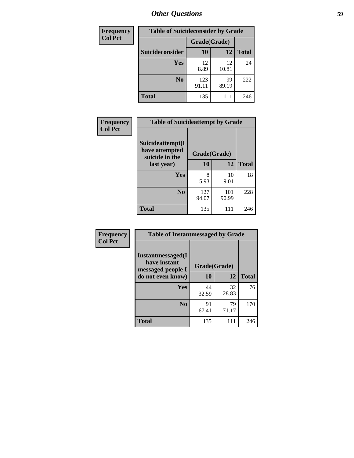| <b>Frequency</b> | <b>Table of Suicideconsider by Grade</b> |              |             |              |
|------------------|------------------------------------------|--------------|-------------|--------------|
| <b>Col Pct</b>   |                                          | Grade(Grade) |             |              |
|                  | Suicideconsider                          | <b>10</b>    | 12          | <b>Total</b> |
|                  | Yes                                      | 12<br>8.89   | 12<br>10.81 | 24           |
|                  | N <sub>0</sub>                           | 123<br>91.11 | 99<br>89.19 | 222          |
|                  | <b>Total</b>                             | 135          |             | 246          |

| Frequency      | <b>Table of Suicideattempt by Grade</b>              |              |              |              |
|----------------|------------------------------------------------------|--------------|--------------|--------------|
| <b>Col Pct</b> | Suicideattempt(I<br>have attempted<br>suicide in the | Grade(Grade) |              |              |
|                | last year)                                           | 10           | 12           | <b>Total</b> |
|                | Yes                                                  | 8<br>5.93    | 10<br>9.01   | 18           |
|                | N <sub>0</sub>                                       | 127<br>94.07 | 101<br>90.99 | 228          |
|                | <b>Total</b>                                         | 135          | 111          | 246          |

| Frequency      | <b>Table of Instantmessaged by Grade</b>               |              |             |              |
|----------------|--------------------------------------------------------|--------------|-------------|--------------|
| <b>Col Pct</b> | Instantmessaged(I<br>have instant<br>messaged people I | Grade(Grade) |             |              |
|                | do not even know)                                      | 10           | 12          | <b>Total</b> |
|                | Yes                                                    | 44<br>32.59  | 32<br>28.83 | 76           |
|                | N <sub>0</sub>                                         | 91<br>67.41  | 79<br>71.17 | 170          |
|                | <b>Total</b>                                           | 135          | 111         | 246          |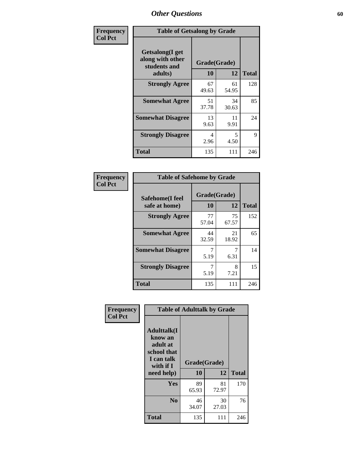| Frequency      | <b>Table of Getsalong by Grade</b>                          |             |              |              |  |  |  |
|----------------|-------------------------------------------------------------|-------------|--------------|--------------|--|--|--|
| <b>Col Pct</b> | <b>Getsalong</b> (I get<br>along with other<br>students and |             | Grade(Grade) |              |  |  |  |
|                | adults)                                                     | 10          | 12           | <b>Total</b> |  |  |  |
|                | <b>Strongly Agree</b>                                       | 67<br>49.63 | 61<br>54.95  | 128          |  |  |  |
|                | <b>Somewhat Agree</b>                                       | 51<br>37.78 | 34<br>30.63  | 85           |  |  |  |
|                | <b>Somewhat Disagree</b>                                    | 13<br>9.63  | 11<br>9.91   | 24           |  |  |  |
|                | <b>Strongly Disagree</b>                                    | 4<br>2.96   | 5<br>4.50    | 9            |  |  |  |
|                | <b>Total</b>                                                | 135         | 111          | 246          |  |  |  |

| Frequency      | <b>Table of Safehome by Grade</b> |                    |             |              |  |  |  |
|----------------|-----------------------------------|--------------------|-------------|--------------|--|--|--|
| <b>Col Pct</b> | Safehome(I feel<br>safe at home)  | Grade(Grade)<br>10 | 12          | <b>Total</b> |  |  |  |
|                | <b>Strongly Agree</b>             | 77<br>57.04        | 75<br>67.57 | 152          |  |  |  |
|                | <b>Somewhat Agree</b>             | 44<br>32.59        | 21<br>18.92 | 65           |  |  |  |
|                | <b>Somewhat Disagree</b>          | 5.19               | 6.31        | 14           |  |  |  |
|                | <b>Strongly Disagree</b>          | 7<br>5.19          | 8<br>7.21   | 15           |  |  |  |
|                | <b>Total</b>                      | 135                | 111         | 246          |  |  |  |

| Frequency      |                                                                                      | <b>Table of Adulttalk by Grade</b> |             |              |
|----------------|--------------------------------------------------------------------------------------|------------------------------------|-------------|--------------|
| <b>Col Pct</b> | <b>Adulttalk</b> (I<br>know an<br>adult at<br>school that<br>I can talk<br>with if I | Grade(Grade)                       |             |              |
|                | need help)                                                                           | 10                                 | 12          | <b>Total</b> |
|                | <b>Yes</b>                                                                           | 89<br>65.93                        | 81<br>72.97 | 170          |
|                | N <sub>0</sub>                                                                       | 46<br>34.07                        | 30<br>27.03 | 76           |
|                | <b>Total</b>                                                                         | 135                                | 111         | 246          |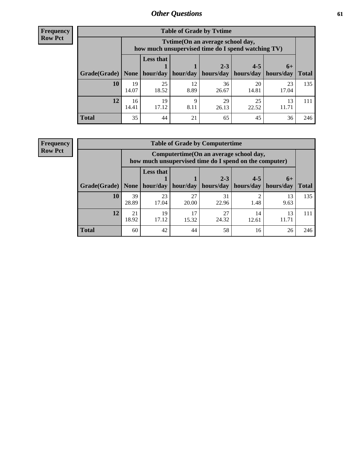**Frequency Row Pct**

| <b>Table of Grade by Tytime</b> |             |                                                                                         |            |             |             |             |              |  |  |  |
|---------------------------------|-------------|-----------------------------------------------------------------------------------------|------------|-------------|-------------|-------------|--------------|--|--|--|
|                                 |             | Tytime (On an average school day,<br>how much unsupervised time do I spend watching TV) |            |             |             |             |              |  |  |  |
|                                 |             | <b>Less that</b>                                                                        |            | $2 - 3$     | $4 - 5$     | $6+$        |              |  |  |  |
| Grade(Grade)                    | None        | hour/day                                                                                | hour/day   | hours/day   | hours/day   | hours/day   | <b>Total</b> |  |  |  |
| 10                              | 19<br>14.07 | 25<br>18.52                                                                             | 12<br>8.89 | 36<br>26.67 | 20<br>14.81 | 23<br>17.04 | 135          |  |  |  |
| 12                              | 16<br>14.41 | 19<br>17.12                                                                             | Q<br>8.11  | 29<br>26.13 | 25<br>22.52 | 13<br>11.71 | 111          |  |  |  |
| <b>Total</b>                    | 35          | 44                                                                                      | 21         | 65          | 45          | 36          | 246          |  |  |  |

**Frequency Row Pct**

| <b>Table of Grade by Computertime</b> |             |                                                                                                   |             |                      |                      |                   |              |  |  |  |  |
|---------------------------------------|-------------|---------------------------------------------------------------------------------------------------|-------------|----------------------|----------------------|-------------------|--------------|--|--|--|--|
|                                       |             | Computertime (On an average school day,<br>how much unsupervised time do I spend on the computer) |             |                      |                      |                   |              |  |  |  |  |
| Grade(Grade)                          | None        | <b>Less that</b><br>hour/day                                                                      | hour/day    | $2 - 3$<br>hours/day | $4 - 5$<br>hours/day | $6+$<br>hours/day | <b>Total</b> |  |  |  |  |
| 10                                    | 39<br>28.89 | 23<br>17.04                                                                                       | 27<br>20.00 | 31<br>22.96          | ◠<br>1.48            | 13<br>9.63        | 135          |  |  |  |  |
| 12                                    | 21<br>18.92 | 19<br>17<br>27<br>14<br>13<br>17.12<br>24.32<br>15.32<br>11.71<br>12.61                           |             |                      |                      |                   |              |  |  |  |  |
| <b>Total</b>                          | 60          | 42                                                                                                | 44          | 58                   | 16                   | 26                | 246          |  |  |  |  |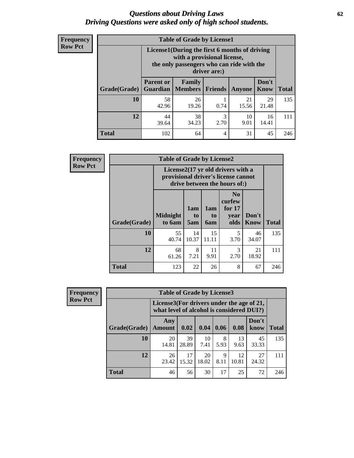#### *Questions about Driving Laws* **62** *Driving Questions were asked only of high school students.*

| <b>Frequency</b> |
|------------------|
| <b>Row Pct</b>   |

| <b>Table of Grade by License1</b> |                                     |                                                                                                                                           |                |             |               |              |  |  |  |  |
|-----------------------------------|-------------------------------------|-------------------------------------------------------------------------------------------------------------------------------------------|----------------|-------------|---------------|--------------|--|--|--|--|
|                                   |                                     | License1(During the first 6 months of driving<br>with a provisional license,<br>the only passengers who can ride with the<br>driver are:) |                |             |               |              |  |  |  |  |
| Grade(Grade)                      | <b>Parent or</b><br><b>Guardian</b> | Family<br><b>Members</b>                                                                                                                  | <b>Friends</b> | Anyone      | Don't<br>Know | <b>Total</b> |  |  |  |  |
| 10                                | 58<br>42.96                         | 26<br>19.26                                                                                                                               | 0.74           | 21<br>15.56 | 29<br>21.48   | 135          |  |  |  |  |
| 12                                | 44<br>39.64                         | 3<br>38<br>10<br>16<br>34.23<br>2.70<br>9.01<br>14.41                                                                                     |                |             |               |              |  |  |  |  |
| <b>Total</b>                      | 102                                 | 64                                                                                                                                        | 4              | 31          | 45            | 246          |  |  |  |  |

| <b>Frequency</b> | <b>Table of Grade by License2</b> |                           |                  |                  |                                                                                                                      |                      |              |  |  |
|------------------|-----------------------------------|---------------------------|------------------|------------------|----------------------------------------------------------------------------------------------------------------------|----------------------|--------------|--|--|
| <b>Row Pct</b>   |                                   |                           |                  |                  | License $2(17 \text{ yr})$ old drivers with a<br>provisional driver's license cannot<br>drive between the hours of:) |                      |              |  |  |
|                  | Grade(Grade)                      | <b>Midnight</b><br>to 6am | 1am<br>to<br>5am | 1am<br>to<br>6am | N <sub>0</sub><br>curfew<br>for $17$<br>year<br>olds                                                                 | Don't<br><b>Know</b> | <b>Total</b> |  |  |
|                  | 10                                | 55<br>40.74               | 14<br>10.37      | 15<br>11.11      | 5<br>3.70                                                                                                            | 46<br>34.07          | 135          |  |  |
|                  | 12                                | 68<br>61.26               | 8<br>7.21        | 11<br>9.91       | 3<br>2.70                                                                                                            | 21<br>18.92          | 111          |  |  |
|                  | <b>Total</b>                      | 123                       | 22               | 26               | 8                                                                                                                    | 67                   | 246          |  |  |

| Frequency      |              | <b>Table of Grade by License3</b> |                                                                                        |             |           |             |               |              |  |
|----------------|--------------|-----------------------------------|----------------------------------------------------------------------------------------|-------------|-----------|-------------|---------------|--------------|--|
| <b>Row Pct</b> |              |                                   | License3(For drivers under the age of 21,<br>what level of alcohol is considered DUI?) |             |           |             |               |              |  |
|                | Grade(Grade) | Any<br><b>Amount</b>              | 0.02                                                                                   | 0.04        | 0.06      | 0.08        | Don't<br>know | <b>Total</b> |  |
|                | 10           | 20<br>14.81                       | 39<br>28.89                                                                            | 10<br>7.41  | 8<br>5.93 | 13<br>9.63  | 45<br>33.33   | 135          |  |
|                | 12           | 26<br>23.42                       | 17<br>15.32                                                                            | 20<br>18.02 | 9<br>8.11 | 12<br>10.81 | 27<br>24.32   | 111          |  |
|                | <b>Total</b> | 46                                | 56                                                                                     | 30          | 17        | 25          | 72            | 246          |  |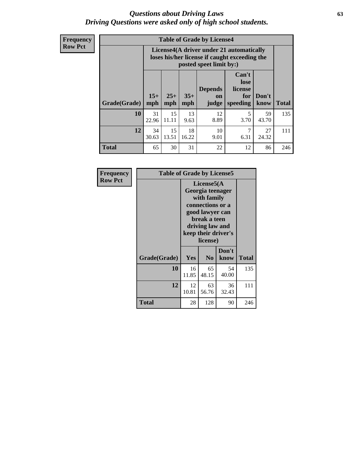#### *Questions about Driving Laws* **63** *Driving Questions were asked only of high school students.*

**Frequency Row Pct**

| <b>Table of Grade by License4</b> |             |                                                                                                                                                                                                                                                                                       |            |            |           |             |     |  |  |
|-----------------------------------|-------------|---------------------------------------------------------------------------------------------------------------------------------------------------------------------------------------------------------------------------------------------------------------------------------------|------------|------------|-----------|-------------|-----|--|--|
|                                   |             | License4(A driver under 21 automatically<br>loses his/her license if caught exceeding the<br>posted speet limit by:)<br>Can't<br>lose<br><b>Depends</b><br>license<br>$15+$<br>$25+$<br>$35+$<br>Don't<br>for<br><b>on</b><br>speeding<br><b>Total</b><br>mph<br>know<br>mph<br>judge |            |            |           |             |     |  |  |
| Grade(Grade)                      | mph         |                                                                                                                                                                                                                                                                                       |            |            |           |             |     |  |  |
| 10                                | 31<br>22.96 | 15<br>11.11                                                                                                                                                                                                                                                                           | 13<br>9.63 | 12<br>8.89 | 5<br>3.70 | 59<br>43.70 | 135 |  |  |
| 12                                | 34<br>30.63 | 15<br>18<br>10<br>7<br>27<br>13.51<br>16.22<br>6.31<br>24.32<br>9.01                                                                                                                                                                                                                  |            |            |           |             |     |  |  |
| <b>Total</b>                      | 65          | 30                                                                                                                                                                                                                                                                                    | 31         | 22         | 12        | 86          | 246 |  |  |

| Frequency      | <b>Table of Grade by License5</b> |             |                                                                                                                                     |                     |              |
|----------------|-----------------------------------|-------------|-------------------------------------------------------------------------------------------------------------------------------------|---------------------|--------------|
| <b>Row Pct</b> |                                   |             | License5(A<br>Georgia teenager<br>with family<br>connections or a<br>good lawyer can<br>break a teen<br>driving law and<br>license) | keep their driver's |              |
|                | Grade(Grade)                      | Yes         | N <sub>0</sub>                                                                                                                      | Don't<br>know       | <b>Total</b> |
|                | 10                                | 16<br>11.85 | 65<br>48.15                                                                                                                         | 54<br>40.00         | 135          |
|                | 12                                | 12<br>10.81 | 63<br>56.76                                                                                                                         | 36<br>32.43         | 111          |
|                | <b>Total</b>                      | 28          | 128                                                                                                                                 | 90                  | 246          |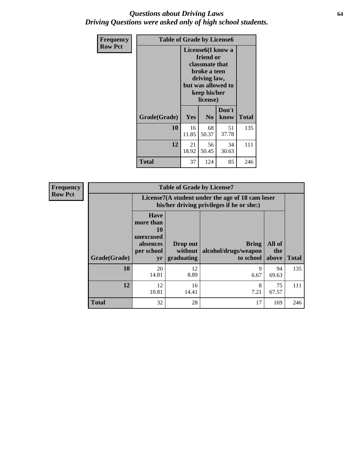#### *Questions about Driving Laws* **64** *Driving Questions were asked only of high school students.*

| <b>Frequency</b> | <b>Table of Grade by License6</b> |                                                                                                                                                 |                |               |              |
|------------------|-----------------------------------|-------------------------------------------------------------------------------------------------------------------------------------------------|----------------|---------------|--------------|
| <b>Row Pct</b>   |                                   | License <sub>6</sub> (I know a<br>friend or<br>classmate that<br>broke a teen<br>driving law,<br>but was allowed to<br>keep his/her<br>license) |                |               |              |
|                  | Grade(Grade)                      | <b>Yes</b>                                                                                                                                      | N <sub>0</sub> | Don't<br>know | <b>Total</b> |
|                  | 10                                | 16<br>11.85                                                                                                                                     | 68<br>50.37    | 51<br>37.78   | 135          |
|                  | 12                                | 21<br>18.92                                                                                                                                     | 56<br>50.45    | 34<br>30.63   | 111          |
|                  | <b>Total</b>                      | 37                                                                                                                                              | 124            | 85            | 246          |

| <b>Frequency</b> | <b>Table of Grade by License7</b> |                                                                             |                                                                                               |                                                   |                        |              |  |
|------------------|-----------------------------------|-----------------------------------------------------------------------------|-----------------------------------------------------------------------------------------------|---------------------------------------------------|------------------------|--------------|--|
| <b>Row Pct</b>   |                                   |                                                                             | License7(A student under the age of 18 cam loser<br>his/her driving privileges if he or she:) |                                                   |                        |              |  |
|                  | Grade(Grade)                      | <b>Have</b><br>more than<br>10<br>unexcused<br>absences<br>per school<br>yr | Drop out<br>without  <br>graduating                                                           | <b>Bring</b><br>alcohol/drugs/weapon<br>to school | All of<br>the<br>above | <b>Total</b> |  |
|                  | 10                                | 20<br>14.81                                                                 | 12<br>8.89                                                                                    | 9<br>6.67                                         | 94<br>69.63            | 135          |  |
|                  | 12                                | 12<br>10.81                                                                 | 16<br>14.41                                                                                   | 8<br>7.21                                         | 75<br>67.57            | 111          |  |
|                  | <b>Total</b>                      | 32                                                                          | 28                                                                                            | 17                                                | 169                    | 246          |  |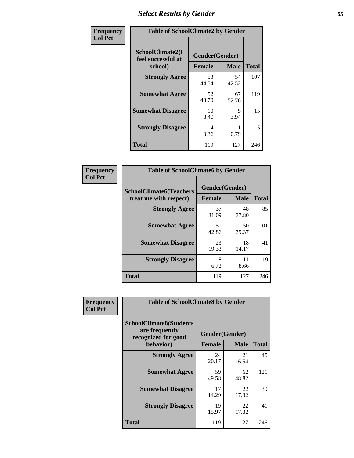# *Select Results by Gender* **65**

| Frequency      | <b>Table of SchoolClimate2 by Gender</b>          |                                 |             |              |
|----------------|---------------------------------------------------|---------------------------------|-------------|--------------|
| <b>Col Pct</b> | SchoolClimate2(I<br>feel successful at<br>school) | Gender(Gender)<br><b>Female</b> | <b>Male</b> | <b>Total</b> |
|                | <b>Strongly Agree</b>                             | 53<br>44.54                     | 54<br>42.52 | 107          |
|                | <b>Somewhat Agree</b>                             | 52<br>43.70                     | 67<br>52.76 | 119          |
|                | <b>Somewhat Disagree</b>                          | 10<br>8.40                      | 5<br>3.94   | 15           |
|                | <b>Strongly Disagree</b>                          | 4<br>3.36                       | 0.79        | 5            |
|                | <b>Total</b>                                      | 119                             | 127         | 246          |

| Frequency      | <b>Table of SchoolClimate6 by Gender</b>                 |                                 |             |              |  |
|----------------|----------------------------------------------------------|---------------------------------|-------------|--------------|--|
| <b>Col Pct</b> | <b>SchoolClimate6(Teachers</b><br>treat me with respect) | Gender(Gender)<br><b>Female</b> | <b>Male</b> | <b>Total</b> |  |
|                | <b>Strongly Agree</b>                                    | 37<br>31.09                     | 48<br>37.80 | 85           |  |
|                | <b>Somewhat Agree</b>                                    | 51<br>42.86                     | 50<br>39.37 | 101          |  |
|                | <b>Somewhat Disagree</b>                                 | 23<br>19.33                     | 18<br>14.17 | 41           |  |
|                | <b>Strongly Disagree</b>                                 | 8<br>6.72                       | 11<br>8.66  | 19           |  |
|                | <b>Total</b>                                             | 119                             | 127         | 246          |  |

| Frequency      | <b>Table of SchoolClimate8 by Gender</b>                                             |                                 |             |              |
|----------------|--------------------------------------------------------------------------------------|---------------------------------|-------------|--------------|
| <b>Col Pct</b> | <b>SchoolClimate8(Students</b><br>are frequently<br>recognized for good<br>behavior) | Gender(Gender)<br><b>Female</b> | <b>Male</b> | <b>Total</b> |
|                | <b>Strongly Agree</b>                                                                | 24<br>20.17                     | 21<br>16.54 | 45           |
|                | <b>Somewhat Agree</b>                                                                | 59<br>49.58                     | 62<br>48.82 | 121          |
|                | <b>Somewhat Disagree</b>                                                             | 17<br>14.29                     | 22<br>17.32 | 39           |
|                | <b>Strongly Disagree</b>                                                             | 19<br>15.97                     | 22<br>17.32 | 41           |
|                | Total                                                                                | 119                             | 127         | 246          |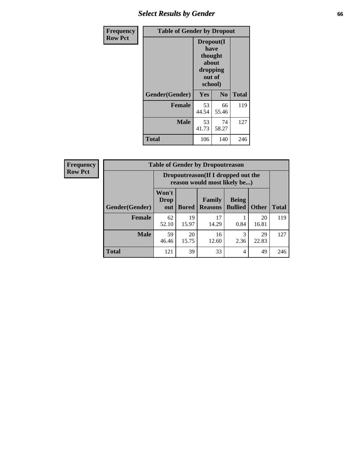# *Select Results by Gender* **66**

| Frequency      | <b>Table of Gender by Dropout</b> |                                                                        |                |              |
|----------------|-----------------------------------|------------------------------------------------------------------------|----------------|--------------|
| <b>Row Pct</b> |                                   | Dropout(I<br>have<br>thought<br>about<br>dropping<br>out of<br>school) |                |              |
|                | Gender(Gender)                    | Yes                                                                    | N <sub>0</sub> | <b>Total</b> |
|                | <b>Female</b>                     | 53<br>44.54                                                            | 66<br>55.46    | 119          |
|                | <b>Male</b>                       | 53<br>41.73                                                            | 74<br>58.27    | 127          |
|                | <b>Total</b>                      | 106                                                                    | 140            | 246          |

| <b>Frequency</b> | <b>Table of Gender by Dropoutreason</b> |                                                                    |              |                          |                                |              |              |
|------------------|-----------------------------------------|--------------------------------------------------------------------|--------------|--------------------------|--------------------------------|--------------|--------------|
| <b>Row Pct</b>   |                                         | Dropoutreason(If I dropped out the<br>reason would most likely be) |              |                          |                                |              |              |
|                  | Gender(Gender)                          | Won't<br>Drop<br>out                                               | <b>Bored</b> | Family<br><b>Reasons</b> | <b>Being</b><br><b>Bullied</b> | <b>Other</b> | <b>Total</b> |
|                  | Female                                  | 62<br>52.10                                                        | 19<br>15.97  | 17<br>14.29              | 0.84                           | 20<br>16.81  | 119          |
|                  | <b>Male</b>                             | 59<br>46.46                                                        | 20<br>15.75  | 16<br>12.60              | 3<br>2.36                      | 29<br>22.83  | 127          |
|                  | <b>Total</b>                            | 121                                                                | 39           | 33                       | $\overline{4}$                 | 49           | 246          |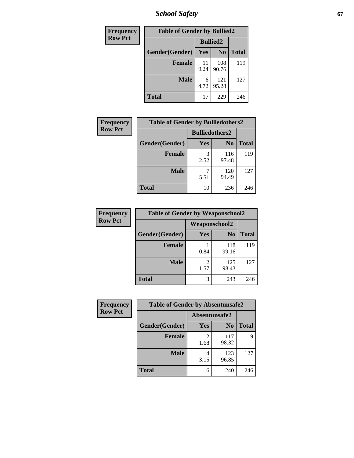*School Safety* **67**

| Frequency      | <b>Table of Gender by Bullied2</b> |                 |                |              |  |
|----------------|------------------------------------|-----------------|----------------|--------------|--|
| <b>Row Pct</b> |                                    | <b>Bullied2</b> |                |              |  |
|                | Gender(Gender)                     | Yes             | N <sub>0</sub> | <b>Total</b> |  |
|                | <b>Female</b>                      | 11<br>9.24      | 108<br>90.76   | 119          |  |
|                | <b>Male</b>                        | 6<br>4.72       | 121<br>95.28   | 127          |  |
|                | <b>Total</b>                       | 17              | 229            | 246          |  |

| <b>Frequency</b> | <b>Table of Gender by Bulliedothers2</b> |                       |                |              |
|------------------|------------------------------------------|-----------------------|----------------|--------------|
| <b>Row Pct</b>   |                                          | <b>Bulliedothers2</b> |                |              |
|                  | Gender(Gender)                           | <b>Yes</b>            | N <sub>0</sub> | <b>Total</b> |
|                  | <b>Female</b>                            | 3<br>2.52             | 116<br>97.48   | 119          |
|                  | <b>Male</b>                              | 5.51                  | 120<br>94.49   | 127          |
|                  | <b>Total</b>                             | 10                    | 236            | 246          |

| Frequency      | <b>Table of Gender by Weaponschool2</b> |               |                |              |
|----------------|-----------------------------------------|---------------|----------------|--------------|
| <b>Row Pct</b> |                                         | Weaponschool2 |                |              |
|                | Gender(Gender)                          | Yes           | N <sub>0</sub> | <b>Total</b> |
|                | <b>Female</b>                           | 0.84          | 118<br>99.16   | 119          |
|                | <b>Male</b>                             | 2<br>1.57     | 125<br>98.43   | 127          |
|                | <b>Total</b>                            | 3             | 243            | 246          |

| Frequency      | <b>Table of Gender by Absentunsafe2</b> |               |                |              |
|----------------|-----------------------------------------|---------------|----------------|--------------|
| <b>Row Pct</b> |                                         | Absentunsafe2 |                |              |
|                | Gender(Gender)                          | Yes           | N <sub>0</sub> | <b>Total</b> |
|                | <b>Female</b>                           | 1.68          | 117<br>98.32   | 119          |
|                | <b>Male</b>                             | 4<br>3.15     | 123<br>96.85   | 127          |
|                | <b>Total</b>                            | 6             | 240            | 246          |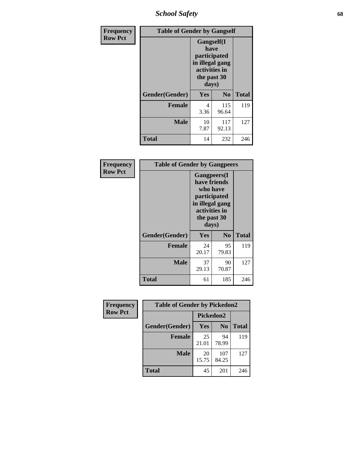*School Safety* **68**

| Frequency      | <b>Table of Gender by Gangself</b> |                                                                                                |                |              |
|----------------|------------------------------------|------------------------------------------------------------------------------------------------|----------------|--------------|
| <b>Row Pct</b> |                                    | Gangself(I<br>have<br>participated<br>in illegal gang<br>activities in<br>the past 30<br>days) |                |              |
|                | Gender(Gender)                     | Yes                                                                                            | N <sub>0</sub> | <b>Total</b> |
|                | <b>Female</b>                      | 4<br>3.36                                                                                      | 115<br>96.64   | 119          |
|                | <b>Male</b>                        | 10<br>7.87                                                                                     | 117<br>92.13   | 127          |
|                | <b>Total</b>                       | 14                                                                                             | 232            | 246          |

| Frequency      | <b>Table of Gender by Gangpeers</b> |                                                                                                                             |                |              |
|----------------|-------------------------------------|-----------------------------------------------------------------------------------------------------------------------------|----------------|--------------|
| <b>Row Pct</b> |                                     | <b>Gangpeers</b> (I<br>have friends<br>who have<br>participated<br>in illegal gang<br>activities in<br>the past 30<br>days) |                |              |
|                | Gender(Gender)                      | <b>Yes</b>                                                                                                                  | N <sub>0</sub> | <b>Total</b> |
|                | <b>Female</b>                       | 24<br>20.17                                                                                                                 | 95<br>79.83    | 119          |
|                | <b>Male</b>                         | 37<br>29.13                                                                                                                 | 90<br>70.87    | 127          |
|                | <b>Total</b>                        | 61                                                                                                                          | 185            | 246          |

| Frequency      | <b>Table of Gender by Pickedon2</b> |             |                |              |
|----------------|-------------------------------------|-------------|----------------|--------------|
| <b>Row Pct</b> |                                     | Pickedon2   |                |              |
|                | Gender(Gender)                      | <b>Yes</b>  | N <sub>0</sub> | <b>Total</b> |
|                | <b>Female</b>                       | 25<br>21.01 | 94<br>78.99    | 119          |
|                | <b>Male</b>                         | 20<br>15.75 | 107<br>84.25   | 127          |
|                | <b>Total</b>                        | 45          | 201            | 246          |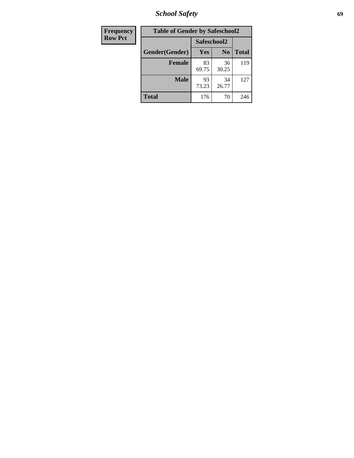*School Safety* **69**

| Frequency      | <b>Table of Gender by Safeschool2</b> |             |                |              |
|----------------|---------------------------------------|-------------|----------------|--------------|
| <b>Row Pct</b> |                                       | Safeschool2 |                |              |
|                | Gender(Gender)                        | <b>Yes</b>  | N <sub>0</sub> | <b>Total</b> |
|                | <b>Female</b>                         | 83<br>69.75 | 36<br>30.25    | 119          |
|                | <b>Male</b>                           | 93<br>73.23 | 34<br>26.77    | 127          |
|                | <b>Total</b>                          | 176         | 70             | 246          |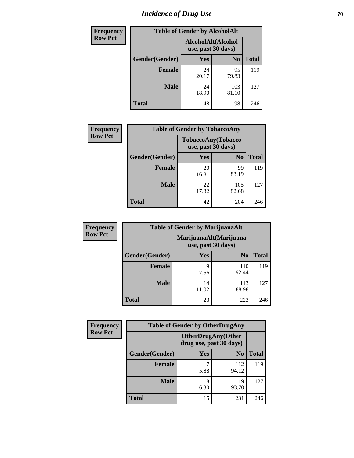# *Incidence of Drug Use* **70**

| <b>Frequency</b> | <b>Table of Gender by AlcoholAlt</b> |                                          |                |              |
|------------------|--------------------------------------|------------------------------------------|----------------|--------------|
| <b>Row Pct</b>   |                                      | AlcoholAlt(Alcohol<br>use, past 30 days) |                |              |
|                  | Gender(Gender)                       | <b>Yes</b>                               | N <sub>0</sub> | <b>Total</b> |
|                  | <b>Female</b>                        | 24<br>20.17                              | 95<br>79.83    | 119          |
|                  | <b>Male</b>                          | 24<br>18.90                              | 103<br>81.10   | 127          |
|                  | <b>Total</b>                         | 48                                       | 198            | 246          |

| <b>Frequency</b> | <b>Table of Gender by TobaccoAny</b> |                    |                    |              |
|------------------|--------------------------------------|--------------------|--------------------|--------------|
| <b>Row Pct</b>   |                                      | use, past 30 days) | TobaccoAny(Tobacco |              |
|                  | Gender(Gender)                       | Yes                | N <sub>0</sub>     | <b>Total</b> |
|                  | <b>Female</b>                        | 20<br>16.81        | 99<br>83.19        | 119          |
|                  | <b>Male</b>                          | 22<br>17.32        | 105<br>82.68       | 127          |
|                  | <b>Total</b>                         | 42                 | 204                | 246          |

| <b>Frequency</b> | <b>Table of Gender by MarijuanaAlt</b> |                    |                        |              |
|------------------|----------------------------------------|--------------------|------------------------|--------------|
| <b>Row Pct</b>   |                                        | use, past 30 days) | MarijuanaAlt(Marijuana |              |
|                  | Gender(Gender)                         | <b>Yes</b>         | N <sub>0</sub>         | <b>Total</b> |
|                  | <b>Female</b>                          | 9<br>7.56          | 110<br>92.44           | 119          |
|                  | <b>Male</b>                            | 14<br>11.02        | 113<br>88.98           | 127          |
|                  | <b>Total</b>                           | 23                 | 223                    | 246          |

| <b>Frequency</b> | <b>Table of Gender by OtherDrugAny</b> |                                                      |                |              |
|------------------|----------------------------------------|------------------------------------------------------|----------------|--------------|
| <b>Row Pct</b>   |                                        | <b>OtherDrugAny(Other</b><br>drug use, past 30 days) |                |              |
|                  | Gender(Gender)                         | <b>Yes</b>                                           | N <sub>0</sub> | <b>Total</b> |
|                  | <b>Female</b>                          | 5.88                                                 | 112<br>94.12   | 119          |
|                  | <b>Male</b>                            | 8<br>6.30                                            | 119<br>93.70   | 127          |
|                  | <b>Total</b>                           | 15                                                   | 231            | 246          |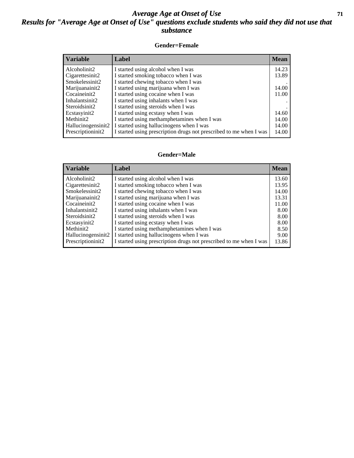#### *Average Age at Onset of Use* **71** *Results for "Average Age at Onset of Use" questions exclude students who said they did not use that substance*

#### **Gender=Female**

| <b>Variable</b>    | Label                                                              | <b>Mean</b> |
|--------------------|--------------------------------------------------------------------|-------------|
| Alcoholinit2       | I started using alcohol when I was                                 | 14.23       |
| Cigarettesinit2    | I started smoking tobacco when I was                               | 13.89       |
| Smokelessinit2     | I started chewing tobacco when I was                               |             |
| Marijuanainit2     | I started using marijuana when I was                               | 14.00       |
| Cocaineinit2       | I started using cocaine when I was                                 | 11.00       |
| Inhalantsinit2     | I started using inhalants when I was                               |             |
| Steroidsinit2      | I started using steroids when I was                                |             |
| Ecstasyinit2       | I started using ecstasy when I was                                 | 14.60       |
| Methinit2          | I started using methamphetamines when I was                        | 14.00       |
| Hallucinogensinit2 | I started using hallucinogens when I was                           | 14.00       |
| Prescription in t2 | I started using prescription drugs not prescribed to me when I was | 14.00       |

#### **Gender=Male**

| <b>Variable</b>    | Label                                                              | <b>Mean</b> |
|--------------------|--------------------------------------------------------------------|-------------|
| Alcoholinit2       | I started using alcohol when I was                                 | 13.60       |
| Cigarettesinit2    | I started smoking tobacco when I was                               | 13.95       |
| Smokelessinit2     | I started chewing tobacco when I was                               | 14.00       |
| Marijuanainit2     | I started using marijuana when I was                               | 13.31       |
| Cocaineinit2       | I started using cocaine when I was                                 | 11.00       |
| Inhalantsinit2     | I started using inhalants when I was                               | 8.00        |
| Steroidsinit2      | I started using steroids when I was                                | 8.00        |
| Ecstasyinit2       | I started using ecstasy when I was                                 | 8.00        |
| Methinit2          | I started using methamphetamines when I was                        | 8.50        |
| Hallucinogensinit2 | I started using hallucinogens when I was                           | 9.00        |
| Prescriptioninit2  | I started using prescription drugs not prescribed to me when I was | 13.86       |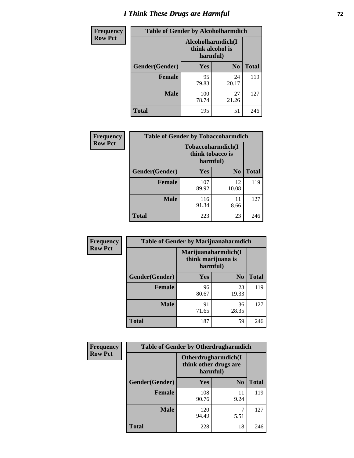# *I Think These Drugs are Harmful* **72**

| <b>Frequency</b> | <b>Table of Gender by Alcoholharmdich</b> |                                                   |                |              |
|------------------|-------------------------------------------|---------------------------------------------------|----------------|--------------|
| <b>Row Pct</b>   |                                           | Alcoholharmdich(I<br>think alcohol is<br>harmful) |                |              |
|                  | Gender(Gender)                            | Yes                                               | N <sub>0</sub> | <b>Total</b> |
|                  | Female                                    | 95<br>79.83                                       | 24<br>20.17    | 119          |
|                  | <b>Male</b>                               | 100<br>78.74                                      | 27<br>21.26    | 127          |
|                  | Total                                     | 195                                               | 51             | 246          |

| Frequency      | <b>Table of Gender by Tobaccoharmdich</b> |                              |                   |              |
|----------------|-------------------------------------------|------------------------------|-------------------|--------------|
| <b>Row Pct</b> |                                           | think tobacco is<br>harmful) | Tobaccoharmdich(I |              |
|                | Gender(Gender)                            | Yes                          | N <sub>0</sub>    | <b>Total</b> |
|                | <b>Female</b>                             | 107<br>89.92                 | 12<br>10.08       | 119          |
|                | <b>Male</b>                               | 116<br>91.34                 | 11<br>8.66        | 127          |
|                | <b>Total</b>                              | 223                          | 23                | 246          |

| Frequency      | <b>Table of Gender by Marijuanaharmdich</b> |                                                       |                |              |  |
|----------------|---------------------------------------------|-------------------------------------------------------|----------------|--------------|--|
| <b>Row Pct</b> |                                             | Marijuanaharmdich(I<br>think marijuana is<br>harmful) |                |              |  |
|                | Gender(Gender)                              | <b>Yes</b>                                            | N <sub>0</sub> | <b>Total</b> |  |
|                | <b>Female</b>                               | 96<br>80.67                                           | 23<br>19.33    | 119          |  |
|                | <b>Male</b>                                 | 91<br>71.65                                           | 36<br>28.35    | 127          |  |
|                | <b>Total</b>                                | 187                                                   | 59             | 246          |  |

| Frequency      | <b>Table of Gender by Otherdrugharmdich</b> |                                                          |                |              |  |
|----------------|---------------------------------------------|----------------------------------------------------------|----------------|--------------|--|
| <b>Row Pct</b> |                                             | Otherdrugharmdich(I<br>think other drugs are<br>harmful) |                |              |  |
|                | Gender(Gender)                              | <b>Yes</b>                                               | N <sub>0</sub> | <b>Total</b> |  |
|                | <b>Female</b>                               | 108<br>90.76                                             | 11<br>9.24     | 119          |  |
|                | <b>Male</b>                                 | 120<br>94.49                                             | 7<br>5.51      | 127          |  |
|                | <b>Total</b>                                | 228                                                      | 18             | 246          |  |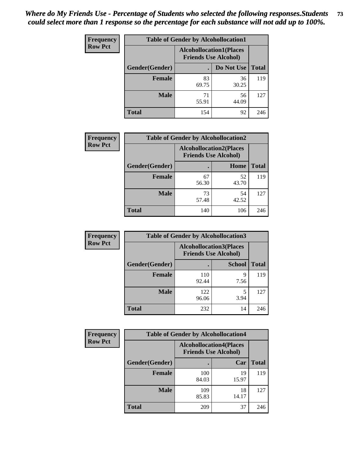| <b>Frequency</b> | <b>Table of Gender by Alcohollocation1</b> |                                                               |             |              |
|------------------|--------------------------------------------|---------------------------------------------------------------|-------------|--------------|
| <b>Row Pct</b>   |                                            | <b>Alcohollocation1(Places</b><br><b>Friends Use Alcohol)</b> |             |              |
|                  | Gender(Gender)                             |                                                               | Do Not Use  | <b>Total</b> |
|                  | <b>Female</b>                              | 83<br>69.75                                                   | 36<br>30.25 | 119          |
|                  | <b>Male</b>                                | 71<br>55.91                                                   | 56<br>44.09 | 127          |
|                  | <b>Total</b>                               | 154                                                           | 92          | 246          |

| <b>Frequency</b> | <b>Table of Gender by Alcohollocation2</b> |             |                                                               |              |
|------------------|--------------------------------------------|-------------|---------------------------------------------------------------|--------------|
| <b>Row Pct</b>   |                                            |             | <b>Alcohollocation2(Places</b><br><b>Friends Use Alcohol)</b> |              |
|                  | Gender(Gender)                             |             | Home                                                          | <b>Total</b> |
|                  | <b>Female</b>                              | 67<br>56.30 | 52<br>43.70                                                   | 119          |
|                  | <b>Male</b>                                | 73<br>57.48 | 54<br>42.52                                                   | 127          |
|                  | <b>Total</b>                               | 140         | 106                                                           | 246          |

| Frequency      | <b>Table of Gender by Alcohollocation3</b> |                                                               |               |              |
|----------------|--------------------------------------------|---------------------------------------------------------------|---------------|--------------|
| <b>Row Pct</b> |                                            | <b>Alcohollocation3(Places</b><br><b>Friends Use Alcohol)</b> |               |              |
|                | Gender(Gender)                             |                                                               | <b>School</b> | <b>Total</b> |
|                | <b>Female</b>                              | 110<br>92.44                                                  | Q<br>7.56     | 119          |
|                | <b>Male</b>                                | 122<br>96.06                                                  | 3.94          | 127          |
|                | <b>Total</b>                               | 232                                                           | 14            | 246          |

| <b>Frequency</b> | <b>Table of Gender by Alcohollocation4</b> |                                                               |             |              |
|------------------|--------------------------------------------|---------------------------------------------------------------|-------------|--------------|
| <b>Row Pct</b>   |                                            | <b>Alcohollocation4(Places</b><br><b>Friends Use Alcohol)</b> |             |              |
|                  | Gender(Gender)                             |                                                               | Car         | <b>Total</b> |
|                  | Female                                     | 100<br>84.03                                                  | 19<br>15.97 | 119          |
|                  | <b>Male</b>                                | 109<br>85.83                                                  | 18<br>14.17 | 127          |
|                  | <b>Total</b>                               | 209                                                           | 37          | 246          |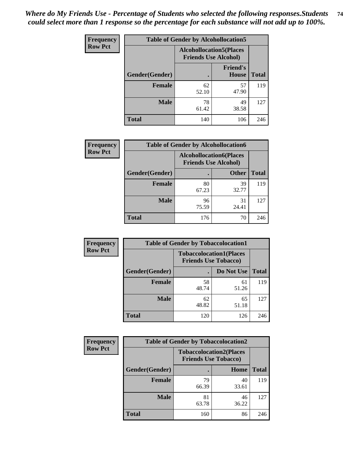| <b>Frequency</b> |                | <b>Table of Gender by Alcohollocation5</b>                     |                                 |              |
|------------------|----------------|----------------------------------------------------------------|---------------------------------|--------------|
| <b>Row Pct</b>   |                | <b>Alcohollocation5</b> (Places<br><b>Friends Use Alcohol)</b> |                                 |              |
|                  | Gender(Gender) | $\bullet$                                                      | <b>Friend's</b><br><b>House</b> | <b>Total</b> |
|                  | <b>Female</b>  | 62<br>52.10                                                    | 57<br>47.90                     | 119          |
|                  | <b>Male</b>    | 78<br>61.42                                                    | 49<br>38.58                     | 127          |
|                  | <b>Total</b>   | 140                                                            | 106                             | 246          |

| Frequency      | <b>Table of Gender by Alcohollocation6</b> |                                                               |              |              |  |
|----------------|--------------------------------------------|---------------------------------------------------------------|--------------|--------------|--|
| <b>Row Pct</b> |                                            | <b>Alcohollocation6(Places</b><br><b>Friends Use Alcohol)</b> |              |              |  |
|                | <b>Gender</b> (Gender)                     |                                                               | <b>Other</b> | <b>Total</b> |  |
|                | Female                                     | 80<br>67.23                                                   | 39<br>32.77  | 119          |  |
|                | <b>Male</b>                                | 96<br>75.59                                                   | 31<br>24.41  | 127          |  |
|                | <b>Total</b>                               | 176                                                           | 70           | 246          |  |

| Frequency      | <b>Table of Gender by Tobaccolocation1</b> |                                                               |             |              |  |
|----------------|--------------------------------------------|---------------------------------------------------------------|-------------|--------------|--|
| <b>Row Pct</b> |                                            | <b>Tobaccolocation1(Places</b><br><b>Friends Use Tobacco)</b> |             |              |  |
|                | Gender(Gender)                             |                                                               | Do Not Use  | <b>Total</b> |  |
|                | Female                                     | 58<br>48.74                                                   | 61<br>51.26 | 119          |  |
|                | <b>Male</b>                                | 62<br>48.82                                                   | 65<br>51.18 | 127          |  |
|                | <b>Total</b>                               | 120                                                           | 126         | 246          |  |

| <b>Frequency</b> |                | <b>Table of Gender by Tobaccolocation2</b> |                                |              |
|------------------|----------------|--------------------------------------------|--------------------------------|--------------|
| <b>Row Pct</b>   |                | <b>Friends Use Tobacco)</b>                | <b>Tobaccolocation2(Places</b> |              |
|                  | Gender(Gender) |                                            | <b>Home</b>                    | <b>Total</b> |
|                  | Female         | 79<br>66.39                                | 40<br>33.61                    | 119          |
|                  | <b>Male</b>    | 81<br>63.78                                | 46<br>36.22                    | 127          |
|                  | <b>Total</b>   | 160                                        | 86                             | 246          |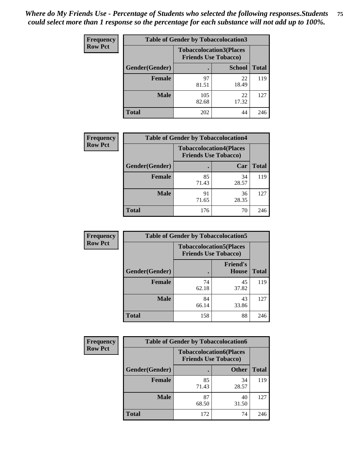| <b>Frequency</b> | <b>Table of Gender by Tobaccolocation3</b> |              |                                                               |              |
|------------------|--------------------------------------------|--------------|---------------------------------------------------------------|--------------|
| <b>Row Pct</b>   |                                            |              | <b>Tobaccolocation3(Places</b><br><b>Friends Use Tobacco)</b> |              |
|                  | Gender(Gender)                             |              | <b>School</b>                                                 | <b>Total</b> |
|                  | <b>Female</b>                              | 97<br>81.51  | 22<br>18.49                                                   | 119          |
|                  | <b>Male</b>                                | 105<br>82.68 | 22<br>17.32                                                   | 127          |
|                  | Total                                      | 202          | 44                                                            | 246          |

| <b>Frequency</b> | <b>Table of Gender by Tobaccolocation4</b> |                                                               |             |              |
|------------------|--------------------------------------------|---------------------------------------------------------------|-------------|--------------|
| <b>Row Pct</b>   |                                            | <b>Tobaccolocation4(Places</b><br><b>Friends Use Tobacco)</b> |             |              |
|                  | Gender(Gender)                             |                                                               | Car         | <b>Total</b> |
|                  | <b>Female</b>                              | 85<br>71.43                                                   | 34<br>28.57 | 119          |
|                  | <b>Male</b>                                | 91<br>71.65                                                   | 36<br>28.35 | 127          |
|                  | <b>Total</b>                               | 176                                                           | 70          | 246          |

| <b>Frequency</b> | <b>Table of Gender by Tobaccolocation5</b> |                                                               |                                 |              |
|------------------|--------------------------------------------|---------------------------------------------------------------|---------------------------------|--------------|
| <b>Row Pct</b>   |                                            | <b>Tobaccolocation5(Places</b><br><b>Friends Use Tobacco)</b> |                                 |              |
|                  | Gender(Gender)                             |                                                               | <b>Friend's</b><br><b>House</b> | <b>Total</b> |
|                  | <b>Female</b>                              | 74<br>62.18                                                   | 45<br>37.82                     | 119          |
|                  | <b>Male</b>                                | 84<br>66.14                                                   | 43<br>33.86                     | 127          |
|                  | <b>Total</b>                               | 158                                                           | 88                              | 246          |

| <b>Frequency</b> | <b>Table of Gender by Tobaccolocation6</b> |                                                               |              |              |
|------------------|--------------------------------------------|---------------------------------------------------------------|--------------|--------------|
| <b>Row Pct</b>   |                                            | <b>Tobaccolocation6(Places</b><br><b>Friends Use Tobacco)</b> |              |              |
|                  | Gender(Gender)                             |                                                               | <b>Other</b> | <b>Total</b> |
|                  | Female                                     | 85<br>71.43                                                   | 34<br>28.57  | 119          |
|                  | <b>Male</b>                                | 87<br>68.50                                                   | 40<br>31.50  | 127          |
|                  | <b>Total</b>                               | 172                                                           | 74           | 246          |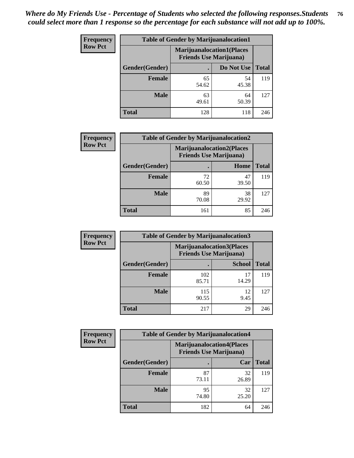| <b>Frequency</b> | <b>Table of Gender by Marijuanalocation1</b> |                                                                    |             |              |
|------------------|----------------------------------------------|--------------------------------------------------------------------|-------------|--------------|
| <b>Row Pct</b>   |                                              | <b>Marijuanalocation1(Places</b><br><b>Friends Use Marijuana</b> ) |             |              |
|                  | <b>Gender</b> (Gender)                       |                                                                    | Do Not Use  | <b>Total</b> |
|                  | <b>Female</b>                                | 65<br>54.62                                                        | 54<br>45.38 | 119          |
|                  | <b>Male</b>                                  | 63<br>49.61                                                        | 64<br>50.39 | 127          |
|                  | <b>Total</b>                                 | 128                                                                | 118         | 246          |

| <b>Frequency</b> | <b>Table of Gender by Marijuanalocation2</b> |                                                                    |             |              |
|------------------|----------------------------------------------|--------------------------------------------------------------------|-------------|--------------|
| <b>Row Pct</b>   |                                              | <b>Marijuanalocation2(Places</b><br><b>Friends Use Marijuana</b> ) |             |              |
|                  | Gender(Gender)                               |                                                                    | Home        | <b>Total</b> |
|                  | <b>Female</b>                                | 72<br>60.50                                                        | 47<br>39.50 | 119          |
|                  | <b>Male</b>                                  | 89<br>70.08                                                        | 38<br>29.92 | 127          |
|                  | <b>Total</b>                                 | 161                                                                | 85          | 246          |

| Frequency      | <b>Table of Gender by Marijuanalocation3</b> |                                |                                   |              |  |
|----------------|----------------------------------------------|--------------------------------|-----------------------------------|--------------|--|
| <b>Row Pct</b> |                                              | <b>Friends Use Marijuana</b> ) | <b>Marijuanalocation3(Places)</b> |              |  |
|                | Gender(Gender)                               |                                | <b>School</b>                     | <b>Total</b> |  |
|                | Female                                       | 102<br>85.71                   | 17<br>14.29                       | 119          |  |
|                | <b>Male</b>                                  | 115<br>90.55                   | 12<br>9.45                        | 127          |  |
|                | <b>Total</b>                                 | 217                            | 29                                | 246          |  |

| <b>Frequency</b> | <b>Table of Gender by Marijuanalocation4</b> |                                                                    |             |              |  |
|------------------|----------------------------------------------|--------------------------------------------------------------------|-------------|--------------|--|
| <b>Row Pct</b>   |                                              | <b>Marijuanalocation4(Places</b><br><b>Friends Use Marijuana</b> ) |             |              |  |
|                  | Gender(Gender)                               |                                                                    | Car         | <b>Total</b> |  |
|                  | Female                                       | 87<br>73.11                                                        | 32<br>26.89 | 119          |  |
|                  | <b>Male</b>                                  | 95<br>74.80                                                        | 32<br>25.20 | 127          |  |
|                  | <b>Total</b>                                 | 182                                                                | 64          | 246          |  |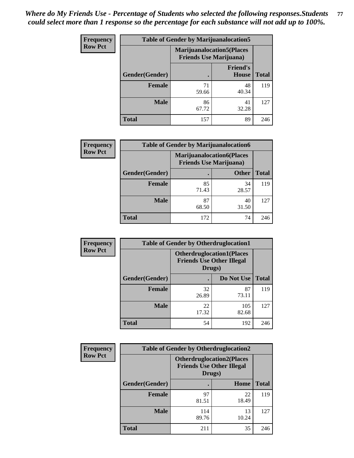| <b>Frequency</b> | <b>Table of Gender by Marijuanalocation5</b> |                                                                     |                          |              |
|------------------|----------------------------------------------|---------------------------------------------------------------------|--------------------------|--------------|
| <b>Row Pct</b>   |                                              | <b>Marijuanalocation5</b> (Places<br><b>Friends Use Marijuana</b> ) |                          |              |
|                  | Gender(Gender)                               |                                                                     | <b>Friend's</b><br>House | <b>Total</b> |
|                  | <b>Female</b>                                | 71<br>59.66                                                         | 48<br>40.34              | 119          |
|                  | <b>Male</b>                                  | 86<br>67.72                                                         | 41<br>32.28              | 127          |
|                  | <b>Total</b>                                 | 157                                                                 | 89                       | 246          |

| <b>Frequency</b> | <b>Table of Gender by Marijuanalocation6</b> |                                |                                  |              |  |
|------------------|----------------------------------------------|--------------------------------|----------------------------------|--------------|--|
| <b>Row Pct</b>   |                                              | <b>Friends Use Marijuana</b> ) | <b>Marijuanalocation6(Places</b> |              |  |
|                  | <b>Gender</b> (Gender)                       |                                | <b>Other</b>                     | <b>Total</b> |  |
|                  | <b>Female</b>                                | 85<br>71.43                    | 34<br>28.57                      | 119          |  |
|                  | <b>Male</b>                                  | 87<br>68.50                    | 40<br>31.50                      | 127          |  |
|                  | <b>Total</b>                                 | 172                            | 74                               | 246          |  |

| Frequency      | <b>Table of Gender by Otherdruglocation1</b> |                                                                                |              |              |
|----------------|----------------------------------------------|--------------------------------------------------------------------------------|--------------|--------------|
| <b>Row Pct</b> |                                              | <b>Otherdruglocation1(Places</b><br><b>Friends Use Other Illegal</b><br>Drugs) |              |              |
|                | Gender(Gender)                               |                                                                                | Do Not Use   | <b>Total</b> |
|                | <b>Female</b>                                | 32<br>26.89                                                                    | 87<br>73.11  | 119          |
|                | <b>Male</b>                                  | 22<br>17.32                                                                    | 105<br>82.68 | 127          |
|                | <b>Total</b>                                 | 54                                                                             | 192          | 246          |

| <b>Frequency</b> | <b>Table of Gender by Otherdruglocation2</b>                                   |              |             |              |
|------------------|--------------------------------------------------------------------------------|--------------|-------------|--------------|
| <b>Row Pct</b>   | <b>Otherdruglocation2(Places</b><br><b>Friends Use Other Illegal</b><br>Drugs) |              |             |              |
|                  | Gender(Gender)                                                                 |              | Home        | <b>Total</b> |
|                  | <b>Female</b>                                                                  | 97<br>81.51  | 22<br>18.49 | 119          |
|                  | <b>Male</b>                                                                    | 114<br>89.76 | 13<br>10.24 | 127          |
|                  | <b>Total</b>                                                                   | 211          | 35          | 246          |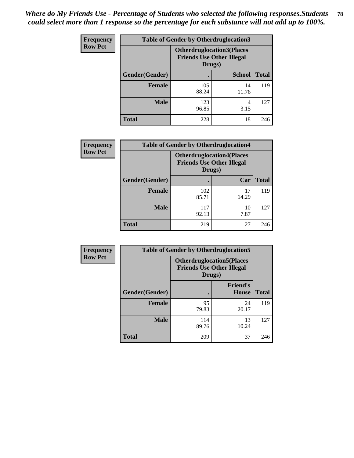| Frequency      | <b>Table of Gender by Otherdruglocation3</b> |                                                                                |               |              |
|----------------|----------------------------------------------|--------------------------------------------------------------------------------|---------------|--------------|
| <b>Row Pct</b> |                                              | <b>Otherdruglocation3(Places</b><br><b>Friends Use Other Illegal</b><br>Drugs) |               |              |
|                | Gender(Gender)                               |                                                                                | <b>School</b> | <b>Total</b> |
|                | <b>Female</b>                                | 105<br>88.24                                                                   | 14<br>11.76   | 119          |
|                | <b>Male</b>                                  | 123<br>96.85                                                                   | 4<br>3.15     | 127          |
|                | <b>Total</b>                                 | 228                                                                            | 18            | 246          |

| <b>Frequency</b> | <b>Table of Gender by Otherdruglocation4</b> |                                                                                |             |              |
|------------------|----------------------------------------------|--------------------------------------------------------------------------------|-------------|--------------|
| <b>Row Pct</b>   |                                              | <b>Otherdruglocation4(Places</b><br><b>Friends Use Other Illegal</b><br>Drugs) |             |              |
|                  | Gender(Gender)                               |                                                                                | Car         | <b>Total</b> |
|                  | Female                                       | 102<br>85.71                                                                   | 17<br>14.29 | 119          |
|                  | <b>Male</b>                                  | 117<br>92.13                                                                   | 10<br>7.87  | 127          |
|                  | <b>Total</b>                                 | 219                                                                            | 27          | 246          |

| <b>Frequency</b> | <b>Table of Gender by Otherdruglocation5</b> |                                                                                |                                 |              |
|------------------|----------------------------------------------|--------------------------------------------------------------------------------|---------------------------------|--------------|
| <b>Row Pct</b>   |                                              | <b>Otherdruglocation5(Places</b><br><b>Friends Use Other Illegal</b><br>Drugs) |                                 |              |
|                  | Gender(Gender)                               |                                                                                | <b>Friend's</b><br><b>House</b> | <b>Total</b> |
|                  | <b>Female</b>                                | 95<br>79.83                                                                    | 24<br>20.17                     | 119          |
|                  | <b>Male</b>                                  | 114<br>89.76                                                                   | 13<br>10.24                     | 127          |
|                  | <b>Total</b>                                 | 209                                                                            | 37                              | 246          |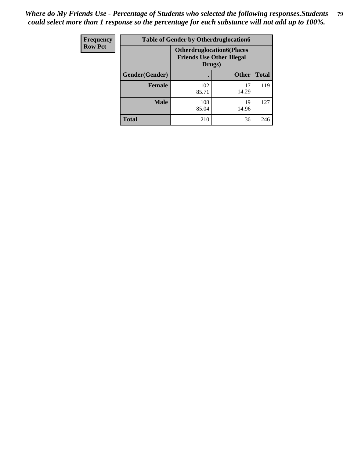| <b>Frequency</b> | <b>Table of Gender by Otherdruglocation6</b> |                                            |                                  |              |
|------------------|----------------------------------------------|--------------------------------------------|----------------------------------|--------------|
| <b>Row Pct</b>   |                                              | <b>Friends Use Other Illegal</b><br>Drugs) | <b>Otherdruglocation6(Places</b> |              |
|                  | Gender(Gender)                               |                                            | <b>Other</b>                     | <b>Total</b> |
|                  | <b>Female</b>                                | 102<br>85.71                               | 17<br>14.29                      | 119          |
|                  | <b>Male</b>                                  | 108<br>85.04                               | 19<br>14.96                      | 127          |
|                  | <b>Total</b>                                 | 210                                        | 36                               | 246          |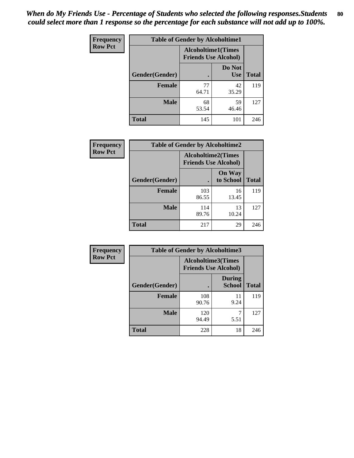| <b>Frequency</b> | <b>Table of Gender by Alcoholtime1</b> |                                                          |                      |              |
|------------------|----------------------------------------|----------------------------------------------------------|----------------------|--------------|
| <b>Row Pct</b>   |                                        | <b>Alcoholtime1(Times</b><br><b>Friends Use Alcohol)</b> |                      |              |
|                  | Gender(Gender)                         | $\bullet$                                                | Do Not<br><b>Use</b> | <b>Total</b> |
|                  | <b>Female</b>                          | 77<br>64.71                                              | 42<br>35.29          | 119          |
|                  | <b>Male</b>                            | 68<br>53.54                                              | 59<br>46.46          | 127          |
|                  | <b>Total</b>                           | 145                                                      | 101                  | 246          |

| Frequency      | <b>Table of Gender by Alcoholtime2</b> |                                                          |                            |              |
|----------------|----------------------------------------|----------------------------------------------------------|----------------------------|--------------|
| <b>Row Pct</b> |                                        | <b>Alcoholtime2(Times</b><br><b>Friends Use Alcohol)</b> |                            |              |
|                | Gender(Gender)                         |                                                          | <b>On Way</b><br>to School | <b>Total</b> |
|                | <b>Female</b>                          | 103<br>86.55                                             | 16<br>13.45                | 119          |
|                | <b>Male</b>                            | 114<br>89.76                                             | 13<br>10.24                | 127          |
|                | <b>Total</b>                           | 217                                                      | 29                         | 246          |

| <b>Frequency</b> | <b>Table of Gender by Alcoholtime3</b> |                                                          |                                |              |
|------------------|----------------------------------------|----------------------------------------------------------|--------------------------------|--------------|
| <b>Row Pct</b>   |                                        | <b>Alcoholtime3(Times</b><br><b>Friends Use Alcohol)</b> |                                |              |
|                  | Gender(Gender)                         |                                                          | <b>During</b><br><b>School</b> | <b>Total</b> |
|                  | Female                                 | 108<br>90.76                                             | 11<br>9.24                     | 119          |
|                  | <b>Male</b>                            | 120<br>94.49                                             | 5.51                           | 127          |
|                  | <b>Total</b>                           | 228                                                      | 18                             | 246          |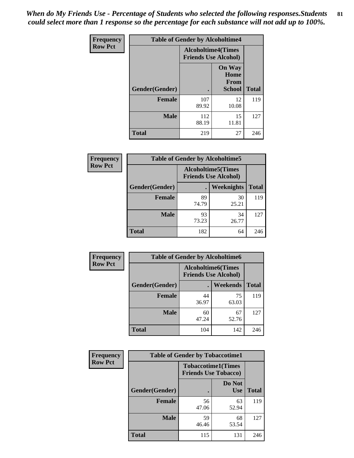*When do My Friends Use - Percentage of Students who selected the following responses.Students could select more than 1 response so the percentage for each substance will not add up to 100%.* **81**

| <b>Frequency</b> | <b>Table of Gender by Alcoholtime4</b> |                                                          |                                                |              |
|------------------|----------------------------------------|----------------------------------------------------------|------------------------------------------------|--------------|
| <b>Row Pct</b>   |                                        | <b>Alcoholtime4(Times</b><br><b>Friends Use Alcohol)</b> |                                                |              |
|                  | Gender(Gender)                         |                                                          | <b>On Way</b><br>Home<br>From<br><b>School</b> | <b>Total</b> |
|                  | <b>Female</b>                          | 107<br>89.92                                             | 12<br>10.08                                    | 119          |
|                  | <b>Male</b>                            | 112<br>88.19                                             | 15<br>11.81                                    | 127          |
|                  | <b>Total</b>                           | 219                                                      | 27                                             | 246          |

| <b>Frequency</b> | <b>Table of Gender by Alcoholtime5</b> |             |                                                           |              |
|------------------|----------------------------------------|-------------|-----------------------------------------------------------|--------------|
| <b>Row Pct</b>   |                                        |             | <b>Alcoholtime5</b> (Times<br><b>Friends Use Alcohol)</b> |              |
|                  | Gender(Gender)                         |             | <b>Weeknights</b>                                         | <b>Total</b> |
|                  | <b>Female</b>                          | 89<br>74.79 | 30<br>25.21                                               | 119          |
|                  | <b>Male</b>                            | 93<br>73.23 | 34<br>26.77                                               | 127          |
|                  | <b>Total</b>                           | 182         | 64                                                        | 246          |

| <b>Frequency</b> |                | <b>Table of Gender by Alcoholtime6</b> |                                                          |              |
|------------------|----------------|----------------------------------------|----------------------------------------------------------|--------------|
| <b>Row Pct</b>   |                |                                        | <b>Alcoholtime6(Times</b><br><b>Friends Use Alcohol)</b> |              |
|                  | Gender(Gender) |                                        | Weekends                                                 | <b>Total</b> |
|                  | Female         | 44<br>36.97                            | 75<br>63.03                                              | 119          |
|                  | <b>Male</b>    | 60<br>47.24                            | 67<br>52.76                                              | 127          |
|                  | <b>Total</b>   | 104                                    | 142                                                      | 246          |

| <b>Frequency</b> | <b>Table of Gender by Tobaccotime1</b> |                                                          |                      |              |
|------------------|----------------------------------------|----------------------------------------------------------|----------------------|--------------|
| <b>Row Pct</b>   |                                        | <b>Tobaccotime1(Times</b><br><b>Friends Use Tobacco)</b> |                      |              |
|                  | Gender(Gender)                         |                                                          | Do Not<br><b>Use</b> | <b>Total</b> |
|                  | <b>Female</b>                          | 56<br>47.06                                              | 63<br>52.94          | 119          |
|                  | <b>Male</b>                            | 59<br>46.46                                              | 68<br>53.54          | 127          |
|                  | <b>Total</b>                           | 115                                                      | 131                  | 246          |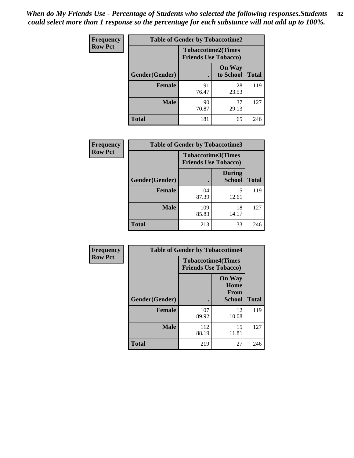| <b>Frequency</b> | <b>Table of Gender by Tobaccotime2</b> |                                                          |                            |              |
|------------------|----------------------------------------|----------------------------------------------------------|----------------------------|--------------|
| <b>Row Pct</b>   |                                        | <b>Tobaccotime2(Times</b><br><b>Friends Use Tobacco)</b> |                            |              |
|                  | Gender(Gender)                         | $\bullet$                                                | <b>On Way</b><br>to School | <b>Total</b> |
|                  | Female                                 | 91<br>76.47                                              | 28<br>23.53                | 119          |
|                  | <b>Male</b>                            | 90<br>70.87                                              | 37<br>29.13                | 127          |
|                  | <b>Total</b>                           | 181                                                      | 65                         | 246          |

| Frequency      | <b>Table of Gender by Tobaccotime3</b> |                                                          |                                |              |
|----------------|----------------------------------------|----------------------------------------------------------|--------------------------------|--------------|
| <b>Row Pct</b> |                                        | <b>Tobaccotime3(Times</b><br><b>Friends Use Tobacco)</b> |                                |              |
|                | Gender(Gender)                         |                                                          | <b>During</b><br><b>School</b> | <b>Total</b> |
|                | <b>Female</b>                          | 104<br>87.39                                             | 15<br>12.61                    | 119          |
|                | <b>Male</b>                            | 109<br>85.83                                             | 18<br>14.17                    | 127          |
|                | <b>Total</b>                           | 213                                                      | 33                             | 246          |

| Frequency      | <b>Table of Gender by Tobaccotime4</b> |                                                          |                                                |              |
|----------------|----------------------------------------|----------------------------------------------------------|------------------------------------------------|--------------|
| <b>Row Pct</b> |                                        | <b>Tobaccotime4(Times</b><br><b>Friends Use Tobacco)</b> |                                                |              |
|                | Gender(Gender)                         |                                                          | <b>On Way</b><br>Home<br>From<br><b>School</b> | <b>Total</b> |
|                | <b>Female</b>                          | 107<br>89.92                                             | 12<br>10.08                                    | 119          |
|                | <b>Male</b>                            | 112<br>88.19                                             | 15<br>11.81                                    | 127          |
|                | <b>Total</b>                           | 219                                                      | 27                                             | 246          |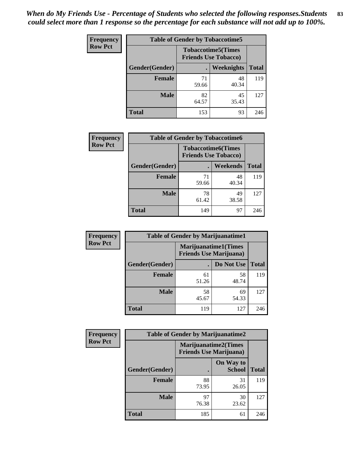| <b>Frequency</b> | <b>Table of Gender by Tobaccotime5</b> |             |                                                          |              |  |
|------------------|----------------------------------------|-------------|----------------------------------------------------------|--------------|--|
| <b>Row Pct</b>   |                                        |             | <b>Tobaccotime5(Times</b><br><b>Friends Use Tobacco)</b> |              |  |
|                  | <b>Gender</b> (Gender)                 |             | Weeknights                                               | <b>Total</b> |  |
|                  | <b>Female</b>                          | 71<br>59.66 | 48<br>40.34                                              | 119          |  |
|                  | <b>Male</b>                            | 82<br>64.57 | 45<br>35.43                                              | 127          |  |
|                  | <b>Total</b>                           | 153         | 93                                                       | 246          |  |

| Frequency      | <b>Table of Gender by Tobaccotime6</b> |                             |                           |              |
|----------------|----------------------------------------|-----------------------------|---------------------------|--------------|
| <b>Row Pct</b> |                                        | <b>Friends Use Tobacco)</b> | <b>Tobaccotime6(Times</b> |              |
|                | Gender(Gender)                         |                             | Weekends                  | <b>Total</b> |
|                | Female                                 | 71<br>59.66                 | 48<br>40.34               | 119          |
|                | <b>Male</b>                            | 78<br>61.42                 | 49<br>38.58               | 127          |
|                | <b>Total</b>                           | 149                         | 97                        | 246          |

| <b>Frequency</b> | <b>Table of Gender by Marijuanatime1</b> |                                |                             |              |
|------------------|------------------------------------------|--------------------------------|-----------------------------|--------------|
| <b>Row Pct</b>   |                                          | <b>Friends Use Marijuana</b> ) | <b>Marijuanatime1(Times</b> |              |
|                  | Gender(Gender)                           |                                | Do Not Use                  | <b>Total</b> |
|                  | <b>Female</b>                            | 61<br>51.26                    | 58<br>48.74                 | 119          |
|                  | <b>Male</b>                              | 58<br>45.67                    | 69<br>54.33                 | 127          |
|                  | <b>Total</b>                             | 119                            | 127                         | 246          |

| <b>Frequency</b> | <b>Table of Gender by Marijuanatime2</b> |                                                        |                            |              |
|------------------|------------------------------------------|--------------------------------------------------------|----------------------------|--------------|
| <b>Row Pct</b>   |                                          | Marijuanatime2(Times<br><b>Friends Use Marijuana</b> ) |                            |              |
|                  | Gender(Gender)                           |                                                        | On Way to<br><b>School</b> | <b>Total</b> |
|                  | Female                                   | 88<br>73.95                                            | 31<br>26.05                | 119          |
|                  | <b>Male</b>                              | 97<br>76.38                                            | 30<br>23.62                | 127          |
|                  | <b>Total</b>                             | 185                                                    | 61                         | 246          |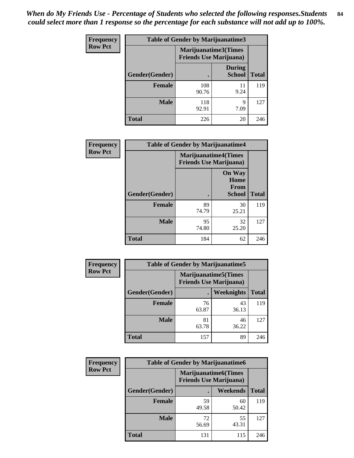*When do My Friends Use - Percentage of Students who selected the following responses.Students could select more than 1 response so the percentage for each substance will not add up to 100%.* **84**

| <b>Frequency</b> | Table of Gender by Marijuanatime3 |                                                        |                                |              |
|------------------|-----------------------------------|--------------------------------------------------------|--------------------------------|--------------|
| <b>Row Pct</b>   |                                   | Marijuanatime3(Times<br><b>Friends Use Marijuana</b> ) |                                |              |
|                  | Gender(Gender)                    |                                                        | <b>During</b><br><b>School</b> | <b>Total</b> |
|                  | <b>Female</b>                     | 108<br>90.76                                           | 11<br>9.24                     | 119          |
|                  | <b>Male</b>                       | 118<br>92.91                                           | 9<br>7.09                      | 127          |
|                  | <b>Total</b>                      | 226                                                    | 20                             | 246          |

| Frequency      | <b>Table of Gender by Marijuanatime4</b> |                             |                                                |              |
|----------------|------------------------------------------|-----------------------------|------------------------------------------------|--------------|
| <b>Row Pct</b> |                                          | <b>Marijuanatime4(Times</b> | <b>Friends Use Marijuana</b> )                 |              |
|                | Gender(Gender)                           |                             | <b>On Way</b><br>Home<br>From<br><b>School</b> | <b>Total</b> |
|                | <b>Female</b>                            | 89<br>74.79                 | 30<br>25.21                                    | 119          |
|                | <b>Male</b>                              | 95<br>74.80                 | 32<br>25.20                                    | 127          |
|                | <b>Total</b>                             | 184                         | 62                                             | 246          |

| Frequency      |                | <b>Table of Gender by Marijuanatime5</b>                       |             |              |  |
|----------------|----------------|----------------------------------------------------------------|-------------|--------------|--|
| <b>Row Pct</b> |                | <b>Marijuanatime5</b> (Times<br><b>Friends Use Marijuana</b> ) |             |              |  |
|                | Gender(Gender) | ٠                                                              | Weeknights  | <b>Total</b> |  |
|                | <b>Female</b>  | 76<br>63.87                                                    | 43<br>36.13 | 119          |  |
|                | <b>Male</b>    | 81<br>63.78                                                    | 46<br>36.22 | 127          |  |
|                | <b>Total</b>   | 157                                                            | 89          | 246          |  |

| Frequency      | <b>Table of Gender by Marijuanatime6</b> |                                                               |                 |              |
|----------------|------------------------------------------|---------------------------------------------------------------|-----------------|--------------|
| <b>Row Pct</b> |                                          | <b>Marijuanatime6(Times</b><br><b>Friends Use Marijuana</b> ) |                 |              |
|                | Gender(Gender)                           |                                                               | <b>Weekends</b> | <b>Total</b> |
|                | <b>Female</b>                            | 59<br>49.58                                                   | 60<br>50.42     | 119          |
|                | <b>Male</b>                              | 72<br>56.69                                                   | 55<br>43.31     | 127          |
|                | <b>Total</b>                             | 131                                                           | 115             | 246          |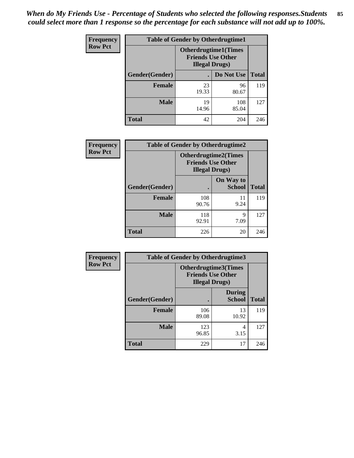*When do My Friends Use - Percentage of Students who selected the following responses.Students could select more than 1 response so the percentage for each substance will not add up to 100%.* **85**

| <b>Frequency</b> | <b>Table of Gender by Otherdrugtime1</b> |                                                                                    |              |              |
|------------------|------------------------------------------|------------------------------------------------------------------------------------|--------------|--------------|
| <b>Row Pct</b>   |                                          | <b>Otherdrugtime1</b> (Times<br><b>Friends Use Other</b><br><b>Illegal Drugs</b> ) |              |              |
|                  | Gender(Gender)                           |                                                                                    | Do Not Use   | <b>Total</b> |
|                  | Female                                   | 23<br>19.33                                                                        | 96<br>80.67  | 119          |
|                  | <b>Male</b>                              | 19<br>14.96                                                                        | 108<br>85.04 | 127          |
|                  | <b>Total</b>                             | 42                                                                                 | 204          | 246          |

| <b>Frequency</b> | <b>Table of Gender by Otherdrugtime2</b> |                                                                                   |                            |              |
|------------------|------------------------------------------|-----------------------------------------------------------------------------------|----------------------------|--------------|
| <b>Row Pct</b>   |                                          | <b>Otherdrugtime2(Times</b><br><b>Friends Use Other</b><br><b>Illegal Drugs</b> ) |                            |              |
|                  | <b>Gender</b> (Gender)                   |                                                                                   | On Way to<br><b>School</b> | <b>Total</b> |
|                  | <b>Female</b>                            | 108<br>90.76                                                                      | 11<br>9.24                 | 119          |
|                  | <b>Male</b>                              | 118<br>92.91                                                                      | 9<br>7.09                  | 127          |
|                  | <b>Total</b>                             | 226                                                                               | 20                         | 246          |

| Frequency      | <b>Table of Gender by Otherdrugtime3</b> |                        |                                                  |              |
|----------------|------------------------------------------|------------------------|--------------------------------------------------|--------------|
| <b>Row Pct</b> |                                          | <b>Illegal Drugs</b> ) | Otherdrugtime3(Times<br><b>Friends Use Other</b> |              |
|                | Gender(Gender)                           |                        | <b>During</b><br><b>School</b>                   | <b>Total</b> |
|                | <b>Female</b>                            | 106<br>89.08           | 13<br>10.92                                      | 119          |
|                | <b>Male</b>                              | 123<br>96.85           | 4<br>3.15                                        | 127          |
|                | <b>Total</b>                             | 229                    | 17                                               | 246          |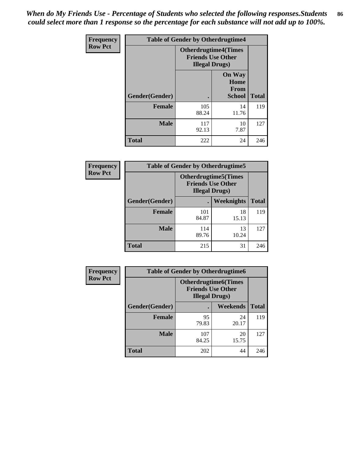*When do My Friends Use - Percentage of Students who selected the following responses.Students could select more than 1 response so the percentage for each substance will not add up to 100%.* **86**

| Frequency      | <b>Table of Gender by Otherdrugtime4</b> |                        |                                                         |              |
|----------------|------------------------------------------|------------------------|---------------------------------------------------------|--------------|
| <b>Row Pct</b> |                                          | <b>Illegal Drugs</b> ) | <b>Otherdrugtime4(Times</b><br><b>Friends Use Other</b> |              |
|                | Gender(Gender)                           |                        | <b>On Way</b><br>Home<br><b>From</b><br><b>School</b>   | <b>Total</b> |
|                | <b>Female</b>                            | 105<br>88.24           | 14<br>11.76                                             | 119          |
|                | <b>Male</b>                              | 117<br>92.13           | 10<br>7.87                                              | 127          |
|                | <b>Total</b>                             | 222                    | 24                                                      | 246          |

| Frequency      | <b>Table of Gender by Otherdrugtime5</b> |                                                                                    |             |              |
|----------------|------------------------------------------|------------------------------------------------------------------------------------|-------------|--------------|
| <b>Row Pct</b> |                                          | <b>Otherdrugtime5</b> (Times<br><b>Friends Use Other</b><br><b>Illegal Drugs</b> ) |             |              |
|                | Gender(Gender)                           |                                                                                    | Weeknights  | <b>Total</b> |
|                | Female                                   | 101<br>84.87                                                                       | 18<br>15.13 | 119          |
|                | <b>Male</b>                              | 114<br>89.76                                                                       | 13<br>10.24 | 127          |
|                | <b>Total</b>                             | 215                                                                                | 31          | 246          |

| <b>Frequency</b> | <b>Table of Gender by Otherdrugtime6</b> |                                                                                   |             |              |
|------------------|------------------------------------------|-----------------------------------------------------------------------------------|-------------|--------------|
| <b>Row Pct</b>   |                                          | <b>Otherdrugtime6(Times</b><br><b>Friends Use Other</b><br><b>Illegal Drugs</b> ) |             |              |
|                  | Gender(Gender)                           |                                                                                   | Weekends    | <b>Total</b> |
|                  | <b>Female</b>                            | 95<br>79.83                                                                       | 24<br>20.17 | 119          |
|                  | <b>Male</b>                              | 107<br>84.25                                                                      | 20<br>15.75 | 127          |
|                  | <b>Total</b>                             | 202                                                                               | 44          | 246          |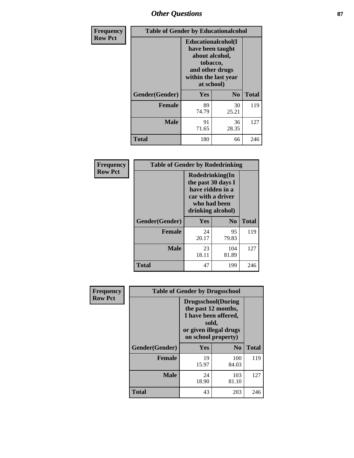# *Other Questions* **87**

| Frequency      | <b>Table of Gender by Educationalcohol</b> |                                                                                                                                       |                |              |  |
|----------------|--------------------------------------------|---------------------------------------------------------------------------------------------------------------------------------------|----------------|--------------|--|
| <b>Row Pct</b> |                                            | <b>Educationalcohol</b> (I<br>have been taught<br>about alcohol,<br>tobacco,<br>and other drugs<br>within the last year<br>at school) |                |              |  |
|                | Gender(Gender)                             | <b>Yes</b>                                                                                                                            | N <sub>0</sub> | <b>Total</b> |  |
|                | <b>Female</b>                              | 89<br>74.79                                                                                                                           | 30<br>25.21    | 119          |  |
|                | <b>Male</b>                                | 91<br>71.65                                                                                                                           | 36<br>28.35    | 127          |  |
|                | Total                                      | 180                                                                                                                                   | 66             | 246          |  |

| Frequency      | <b>Table of Gender by Rodedrinking</b> |                                                                                                                     |                |              |  |
|----------------|----------------------------------------|---------------------------------------------------------------------------------------------------------------------|----------------|--------------|--|
| <b>Row Pct</b> |                                        | Rodedrinking(In<br>the past 30 days I<br>have ridden in a<br>car with a driver<br>who had been<br>drinking alcohol) |                |              |  |
|                | Gender(Gender)                         | Yes                                                                                                                 | N <sub>0</sub> | <b>Total</b> |  |
|                | <b>Female</b>                          | 24<br>20.17                                                                                                         | 95<br>79.83    | 119          |  |
|                | <b>Male</b>                            | 23<br>18.11                                                                                                         | 104<br>81.89   | 127          |  |
|                | <b>Total</b>                           | 47                                                                                                                  | 199            | 246          |  |

| Frequency      |                | <b>Table of Gender by Drugsschool</b>                                                                                               |                |              |
|----------------|----------------|-------------------------------------------------------------------------------------------------------------------------------------|----------------|--------------|
| <b>Row Pct</b> |                | <b>Drugsschool</b> (During<br>the past 12 months,<br>I have been offered,<br>sold,<br>or given illegal drugs<br>on school property) |                |              |
|                | Gender(Gender) | <b>Yes</b>                                                                                                                          | N <sub>0</sub> | <b>Total</b> |
|                | <b>Female</b>  | 19<br>15.97                                                                                                                         | 100<br>84.03   | 119          |
|                | <b>Male</b>    | 24<br>18.90                                                                                                                         | 103<br>81.10   | 127          |
|                | <b>Total</b>   | 43                                                                                                                                  | 203            | 246          |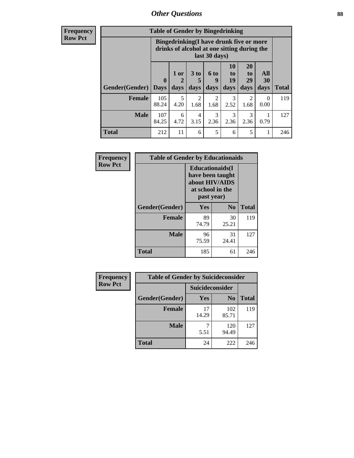# *Other Questions* **88**

**Frequency Row Pct**

| <b>Table of Gender by Bingedrinking</b> |                         |                                                                                                         |                   |                   |                        |                               |                   |              |
|-----------------------------------------|-------------------------|---------------------------------------------------------------------------------------------------------|-------------------|-------------------|------------------------|-------------------------------|-------------------|--------------|
|                                         |                         | Bingedrinking(I have drunk five or more<br>drinks of alcohol at one sitting during the<br>last 30 days) |                   |                   |                        |                               |                   |              |
| <b>Gender</b> (Gender)                  | $\bf{0}$<br><b>Days</b> | $1$ or<br>days                                                                                          | 3 to<br>5<br>days | 6 to<br>9<br>days | 10<br>to<br>19<br>days | <b>20</b><br>to<br>29<br>days | All<br>30<br>days | <b>Total</b> |
| <b>Female</b>                           | 105<br>88.24            | 5                                                                                                       | $\overline{2}$    | 2                 | 3                      | 2                             | $\theta$          | 119          |
|                                         |                         | 4.20                                                                                                    | 1.68              | 1.68              | 2.52                   | 1.68                          | 0.00              |              |
| <b>Male</b>                             | 107<br>84.25            | 6<br>4.72                                                                                               | 4<br>3.15         | 3<br>2.36         | 3<br>2.36              | 3<br>2.36                     | 0.79              | 127          |

| Frequency      | <b>Table of Gender by Educationaids</b> |                                                                                                 |                |              |  |
|----------------|-----------------------------------------|-------------------------------------------------------------------------------------------------|----------------|--------------|--|
| <b>Row Pct</b> |                                         | <b>Educationaids</b> (I<br>have been taught<br>about HIV/AIDS<br>at school in the<br>past year) |                |              |  |
|                | Gender(Gender)                          | Yes                                                                                             | N <sub>0</sub> | <b>Total</b> |  |
|                | <b>Female</b>                           | 89<br>74.79                                                                                     | 30<br>25.21    | 119          |  |
|                | <b>Male</b>                             | 96<br>75.59                                                                                     | 31<br>24.41    | 127          |  |
|                | <b>Total</b>                            | 185                                                                                             | 61             | 246          |  |

| <b>Frequency</b> | <b>Table of Gender by Suicideconsider</b> |                 |                |       |  |
|------------------|-------------------------------------------|-----------------|----------------|-------|--|
| <b>Row Pct</b>   |                                           | Suicideconsider |                |       |  |
|                  | Gender(Gender)                            | Yes             | N <sub>0</sub> | Total |  |
|                  | <b>Female</b>                             | 17<br>14.29     | 102<br>85.71   | 119   |  |
|                  | <b>Male</b>                               | 5.51            | 120<br>94.49   | 127   |  |
|                  | <b>Total</b>                              | 24              | 222            | 246   |  |